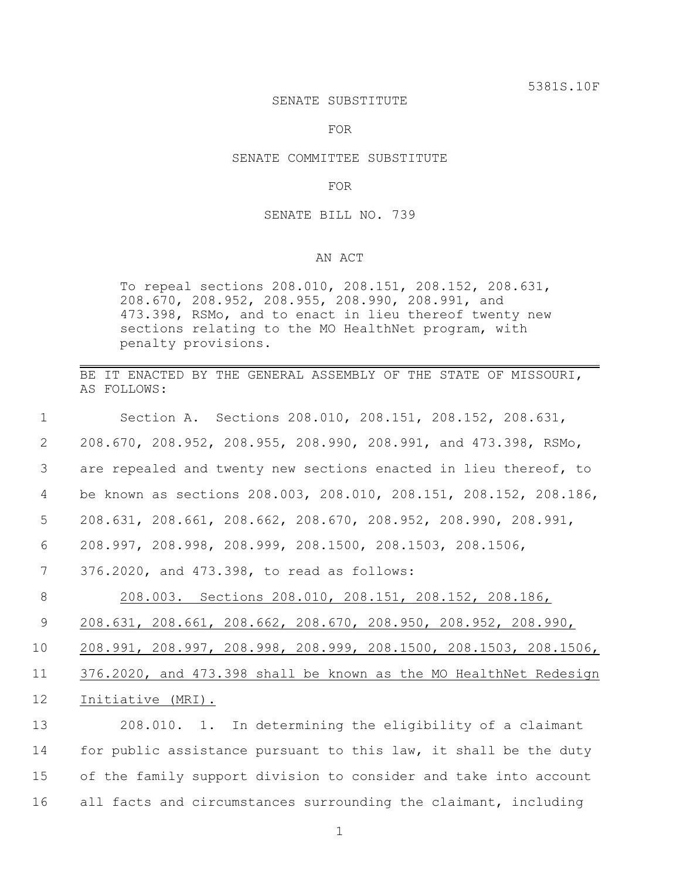#### SENATE SUBSTITUTE

FOR

# SENATE COMMITTEE SUBSTITUTE

### FOR

### SENATE BILL NO. 739

# AN ACT

To repeal sections 208.010, 208.151, 208.152, 208.631, 208.670, 208.952, 208.955, 208.990, 208.991, and 473.398, RSMo, and to enact in lieu thereof twenty new sections relating to the MO HealthNet program, with penalty provisions.

BE IT ENACTED BY THE GENERAL ASSEMBLY OF THE STATE OF MISSOURI, AS FOLLOWS:

| $\mathbf 1$ | Section A. Sections 208.010, 208.151, 208.152, 208.631,           |
|-------------|-------------------------------------------------------------------|
| 2           | 208.670, 208.952, 208.955, 208.990, 208.991, and 473.398, RSMo,   |
| 3           | are repealed and twenty new sections enacted in lieu thereof, to  |
| 4           | be known as sections 208.003, 208.010, 208.151, 208.152, 208.186, |
| 5           | 208.631, 208.661, 208.662, 208.670, 208.952, 208.990, 208.991,    |
| 6           | 208.997, 208.998, 208.999, 208.1500, 208.1503, 208.1506,          |
| 7           | 376.2020, and 473.398, to read as follows:                        |
| 8           | 208.003. Sections 208.010, 208.151, 208.152, 208.186,             |
| 9           | $208.631$ , 208.661, 208.662, 208.670, 208.950, 208.952, 208.990, |
| 10          | 208.991, 208.997, 208.998, 208.999, 208.1500, 208.1503, 208.1506, |
| 11          | 376.2020, and 473.398 shall be known as the MO HealthNet Redesign |
| 12          | Initiative (MRI).                                                 |
| 13          | 208.010. 1. In determining the eligibility of a claimant          |
| 14          | for public assistance pursuant to this law, it shall be the duty  |
| 15          | of the family support division to consider and take into account  |

16 all facts and circumstances surrounding the claimant, including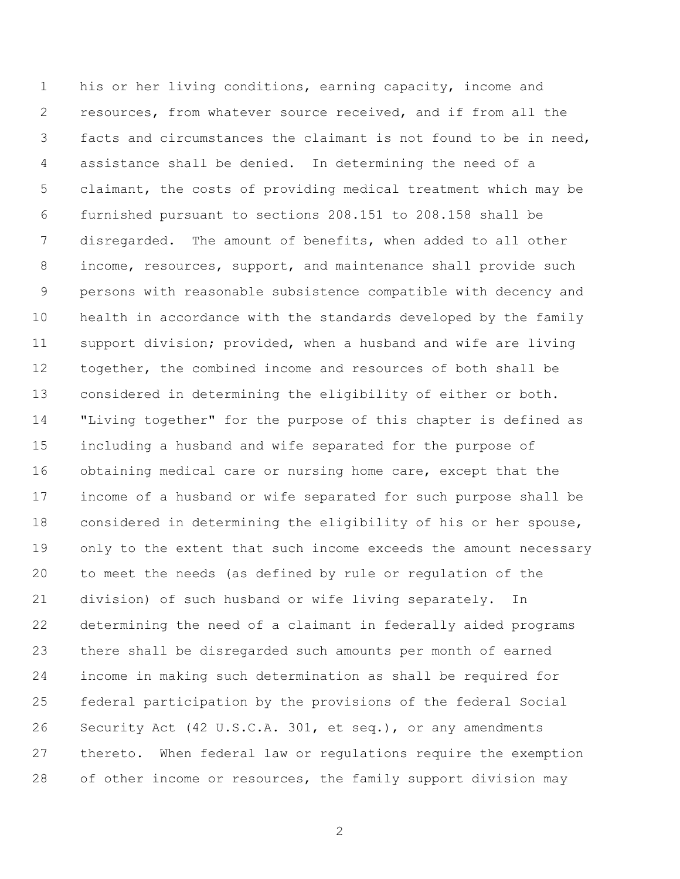his or her living conditions, earning capacity, income and resources, from whatever source received, and if from all the facts and circumstances the claimant is not found to be in need, assistance shall be denied. In determining the need of a claimant, the costs of providing medical treatment which may be furnished pursuant to sections 208.151 to 208.158 shall be disregarded. The amount of benefits, when added to all other income, resources, support, and maintenance shall provide such persons with reasonable subsistence compatible with decency and health in accordance with the standards developed by the family support division; provided, when a husband and wife are living together, the combined income and resources of both shall be considered in determining the eligibility of either or both. "Living together" for the purpose of this chapter is defined as including a husband and wife separated for the purpose of obtaining medical care or nursing home care, except that the income of a husband or wife separated for such purpose shall be considered in determining the eligibility of his or her spouse, only to the extent that such income exceeds the amount necessary to meet the needs (as defined by rule or regulation of the division) of such husband or wife living separately. In determining the need of a claimant in federally aided programs there shall be disregarded such amounts per month of earned income in making such determination as shall be required for federal participation by the provisions of the federal Social Security Act (42 U.S.C.A. 301, et seq.), or any amendments thereto. When federal law or regulations require the exemption of other income or resources, the family support division may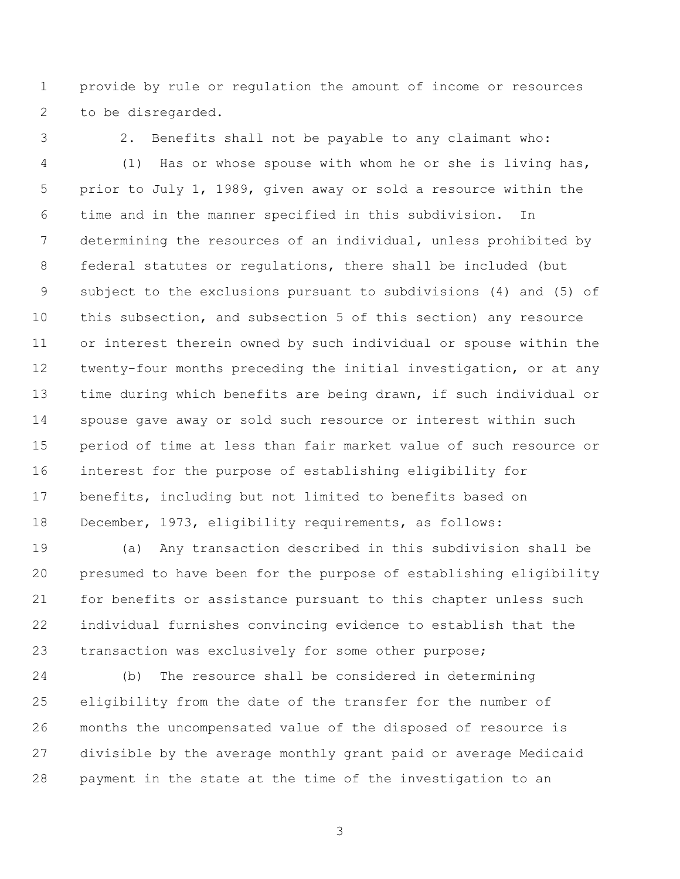provide by rule or regulation the amount of income or resources to be disregarded.

2. Benefits shall not be payable to any claimant who:

 (1) Has or whose spouse with whom he or she is living has, prior to July 1, 1989, given away or sold a resource within the time and in the manner specified in this subdivision. In determining the resources of an individual, unless prohibited by federal statutes or regulations, there shall be included (but subject to the exclusions pursuant to subdivisions (4) and (5) of this subsection, and subsection 5 of this section) any resource or interest therein owned by such individual or spouse within the twenty-four months preceding the initial investigation, or at any time during which benefits are being drawn, if such individual or spouse gave away or sold such resource or interest within such period of time at less than fair market value of such resource or interest for the purpose of establishing eligibility for benefits, including but not limited to benefits based on December, 1973, eligibility requirements, as follows:

 (a) Any transaction described in this subdivision shall be presumed to have been for the purpose of establishing eligibility for benefits or assistance pursuant to this chapter unless such individual furnishes convincing evidence to establish that the 23 transaction was exclusively for some other purpose;

 (b) The resource shall be considered in determining eligibility from the date of the transfer for the number of months the uncompensated value of the disposed of resource is divisible by the average monthly grant paid or average Medicaid payment in the state at the time of the investigation to an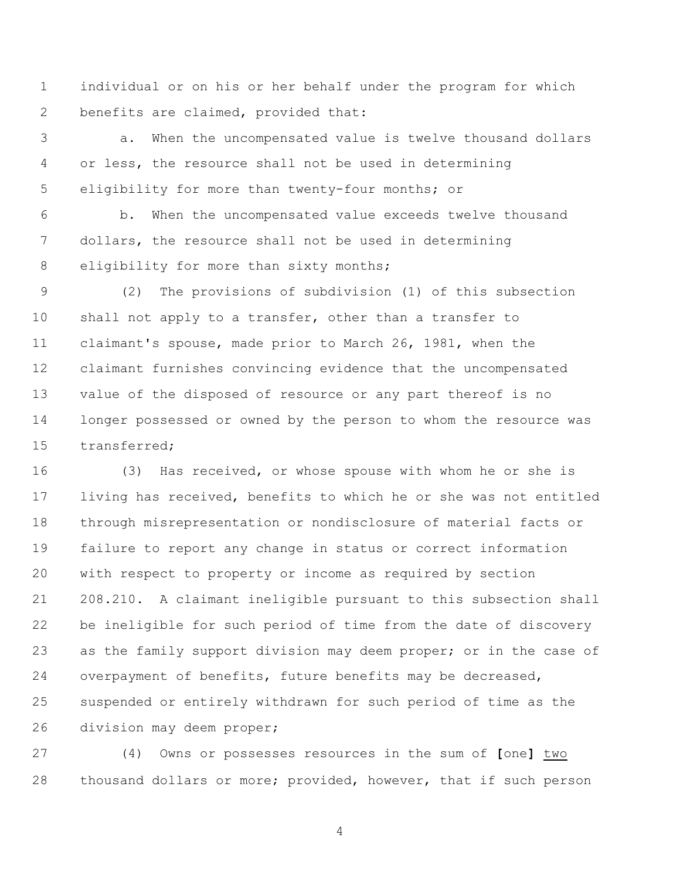individual or on his or her behalf under the program for which 2 benefits are claimed, provided that:

 a. When the uncompensated value is twelve thousand dollars or less, the resource shall not be used in determining eligibility for more than twenty-four months; or

 b. When the uncompensated value exceeds twelve thousand dollars, the resource shall not be used in determining 8 eligibility for more than sixty months;

 (2) The provisions of subdivision (1) of this subsection shall not apply to a transfer, other than a transfer to claimant's spouse, made prior to March 26, 1981, when the claimant furnishes convincing evidence that the uncompensated value of the disposed of resource or any part thereof is no longer possessed or owned by the person to whom the resource was transferred;

 (3) Has received, or whose spouse with whom he or she is living has received, benefits to which he or she was not entitled through misrepresentation or nondisclosure of material facts or failure to report any change in status or correct information with respect to property or income as required by section 208.210. A claimant ineligible pursuant to this subsection shall be ineligible for such period of time from the date of discovery 23 as the family support division may deem proper; or in the case of overpayment of benefits, future benefits may be decreased, suspended or entirely withdrawn for such period of time as the division may deem proper;

 (4) Owns or possesses resources in the sum of **[**one**]** two thousand dollars or more; provided, however, that if such person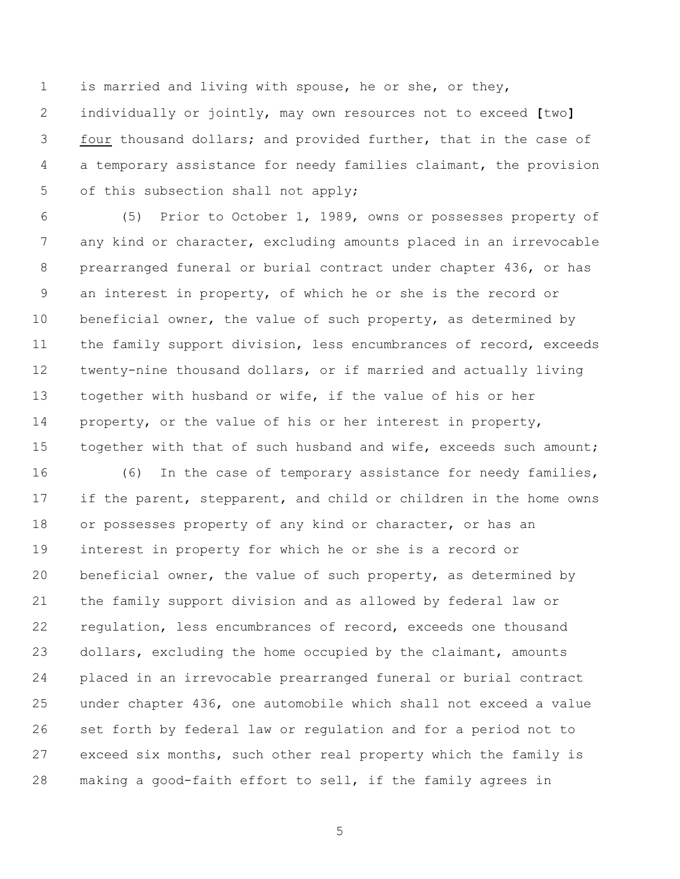is married and living with spouse, he or she, or they, individually or jointly, may own resources not to exceed **[**two**]** four thousand dollars; and provided further, that in the case of a temporary assistance for needy families claimant, the provision 5 of this subsection shall not apply;

 (5) Prior to October 1, 1989, owns or possesses property of any kind or character, excluding amounts placed in an irrevocable prearranged funeral or burial contract under chapter 436, or has an interest in property, of which he or she is the record or beneficial owner, the value of such property, as determined by 11 the family support division, less encumbrances of record, exceeds twenty-nine thousand dollars, or if married and actually living together with husband or wife, if the value of his or her property, or the value of his or her interest in property, 15 together with that of such husband and wife, exceeds such amount;

 (6) In the case of temporary assistance for needy families, 17 if the parent, stepparent, and child or children in the home owns 18 or possesses property of any kind or character, or has an interest in property for which he or she is a record or beneficial owner, the value of such property, as determined by the family support division and as allowed by federal law or regulation, less encumbrances of record, exceeds one thousand dollars, excluding the home occupied by the claimant, amounts placed in an irrevocable prearranged funeral or burial contract under chapter 436, one automobile which shall not exceed a value set forth by federal law or regulation and for a period not to exceed six months, such other real property which the family is making a good-faith effort to sell, if the family agrees in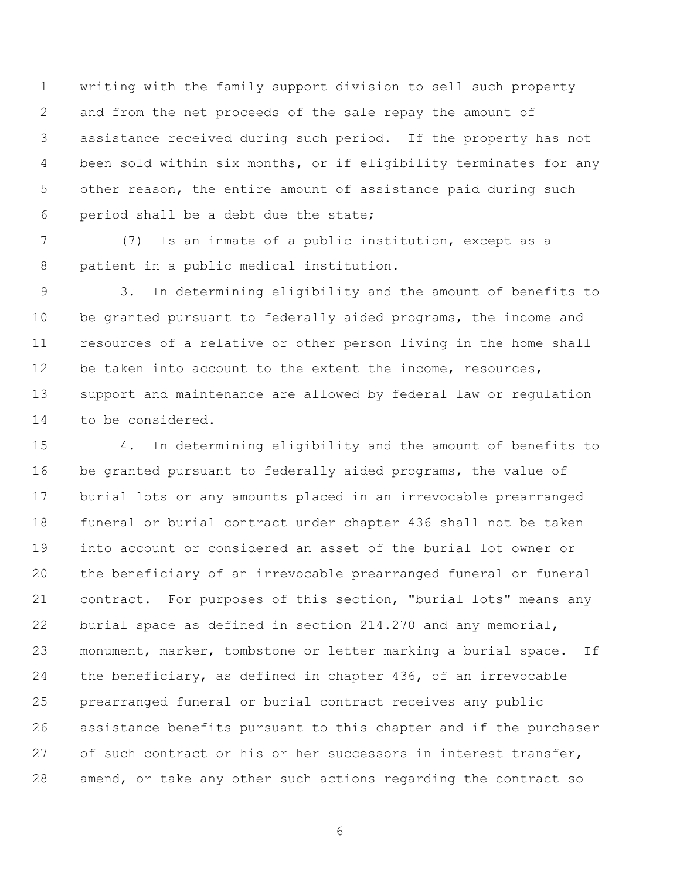writing with the family support division to sell such property and from the net proceeds of the sale repay the amount of assistance received during such period. If the property has not been sold within six months, or if eligibility terminates for any other reason, the entire amount of assistance paid during such period shall be a debt due the state;

 (7) Is an inmate of a public institution, except as a patient in a public medical institution.

 3. In determining eligibility and the amount of benefits to be granted pursuant to federally aided programs, the income and resources of a relative or other person living in the home shall 12 be taken into account to the extent the income, resources, support and maintenance are allowed by federal law or regulation to be considered.

 4. In determining eligibility and the amount of benefits to be granted pursuant to federally aided programs, the value of burial lots or any amounts placed in an irrevocable prearranged funeral or burial contract under chapter 436 shall not be taken into account or considered an asset of the burial lot owner or the beneficiary of an irrevocable prearranged funeral or funeral contract. For purposes of this section, "burial lots" means any burial space as defined in section 214.270 and any memorial, monument, marker, tombstone or letter marking a burial space. If the beneficiary, as defined in chapter 436, of an irrevocable prearranged funeral or burial contract receives any public assistance benefits pursuant to this chapter and if the purchaser of such contract or his or her successors in interest transfer, amend, or take any other such actions regarding the contract so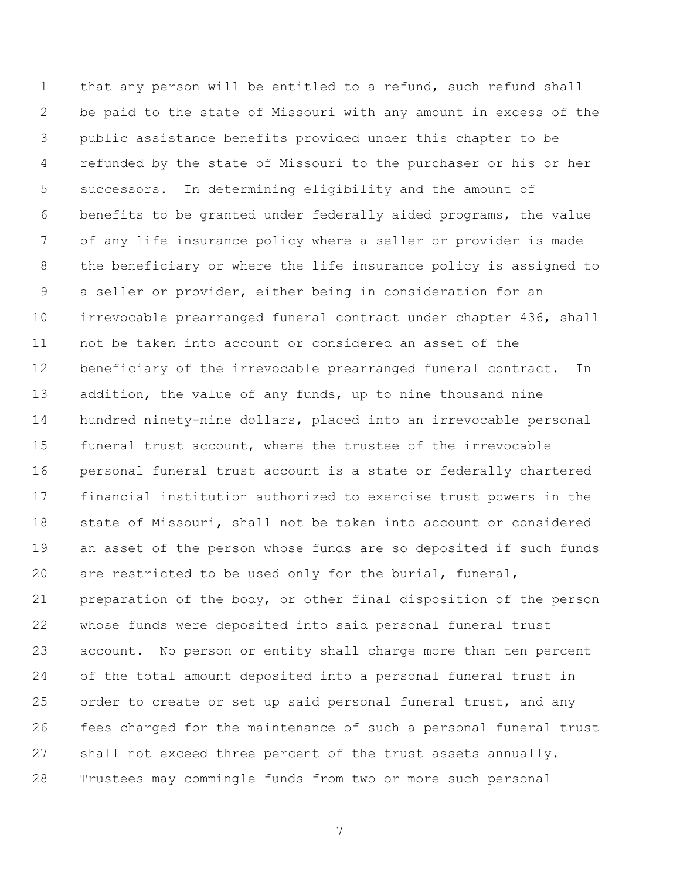that any person will be entitled to a refund, such refund shall be paid to the state of Missouri with any amount in excess of the public assistance benefits provided under this chapter to be refunded by the state of Missouri to the purchaser or his or her successors. In determining eligibility and the amount of benefits to be granted under federally aided programs, the value of any life insurance policy where a seller or provider is made the beneficiary or where the life insurance policy is assigned to a seller or provider, either being in consideration for an irrevocable prearranged funeral contract under chapter 436, shall not be taken into account or considered an asset of the beneficiary of the irrevocable prearranged funeral contract. In 13 addition, the value of any funds, up to nine thousand nine hundred ninety-nine dollars, placed into an irrevocable personal funeral trust account, where the trustee of the irrevocable personal funeral trust account is a state or federally chartered financial institution authorized to exercise trust powers in the state of Missouri, shall not be taken into account or considered an asset of the person whose funds are so deposited if such funds are restricted to be used only for the burial, funeral, preparation of the body, or other final disposition of the person whose funds were deposited into said personal funeral trust account. No person or entity shall charge more than ten percent of the total amount deposited into a personal funeral trust in order to create or set up said personal funeral trust, and any fees charged for the maintenance of such a personal funeral trust shall not exceed three percent of the trust assets annually. Trustees may commingle funds from two or more such personal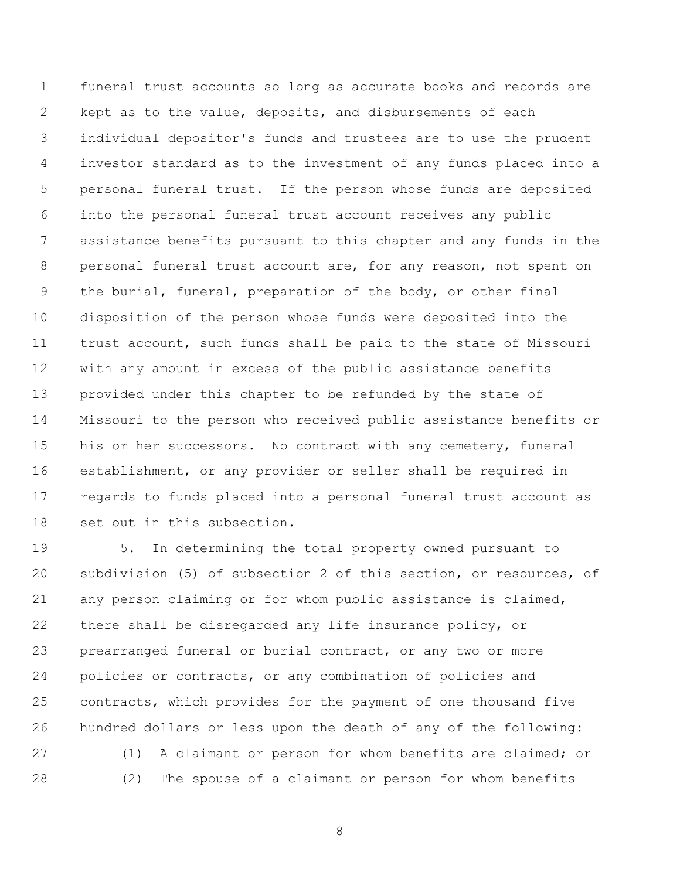funeral trust accounts so long as accurate books and records are kept as to the value, deposits, and disbursements of each individual depositor's funds and trustees are to use the prudent investor standard as to the investment of any funds placed into a personal funeral trust. If the person whose funds are deposited into the personal funeral trust account receives any public assistance benefits pursuant to this chapter and any funds in the personal funeral trust account are, for any reason, not spent on the burial, funeral, preparation of the body, or other final disposition of the person whose funds were deposited into the trust account, such funds shall be paid to the state of Missouri with any amount in excess of the public assistance benefits provided under this chapter to be refunded by the state of Missouri to the person who received public assistance benefits or 15 his or her successors. No contract with any cemetery, funeral establishment, or any provider or seller shall be required in regards to funds placed into a personal funeral trust account as set out in this subsection.

 5. In determining the total property owned pursuant to subdivision (5) of subsection 2 of this section, or resources, of any person claiming or for whom public assistance is claimed, there shall be disregarded any life insurance policy, or prearranged funeral or burial contract, or any two or more policies or contracts, or any combination of policies and contracts, which provides for the payment of one thousand five hundred dollars or less upon the death of any of the following: (1) A claimant or person for whom benefits are claimed; or (2) The spouse of a claimant or person for whom benefits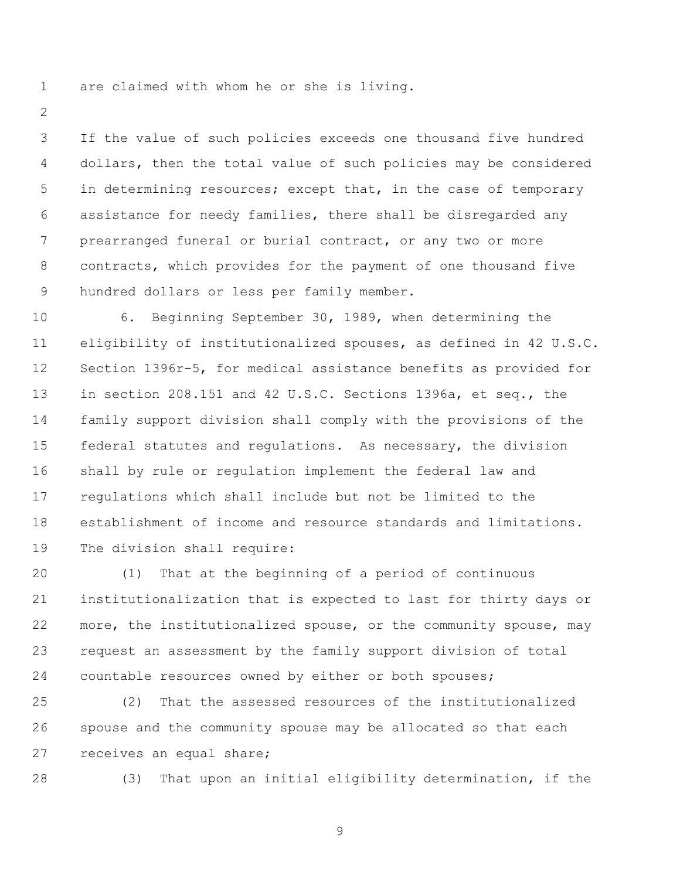are claimed with whom he or she is living.

 If the value of such policies exceeds one thousand five hundred dollars, then the total value of such policies may be considered 5 in determining resources; except that, in the case of temporary assistance for needy families, there shall be disregarded any prearranged funeral or burial contract, or any two or more contracts, which provides for the payment of one thousand five hundred dollars or less per family member.

 6. Beginning September 30, 1989, when determining the eligibility of institutionalized spouses, as defined in 42 U.S.C. Section 1396r-5, for medical assistance benefits as provided for in section 208.151 and 42 U.S.C. Sections 1396a, et seq., the family support division shall comply with the provisions of the federal statutes and regulations. As necessary, the division shall by rule or regulation implement the federal law and regulations which shall include but not be limited to the establishment of income and resource standards and limitations. The division shall require:

 (1) That at the beginning of a period of continuous institutionalization that is expected to last for thirty days or more, the institutionalized spouse, or the community spouse, may request an assessment by the family support division of total countable resources owned by either or both spouses;

 (2) That the assessed resources of the institutionalized spouse and the community spouse may be allocated so that each receives an equal share;

(3) That upon an initial eligibility determination, if the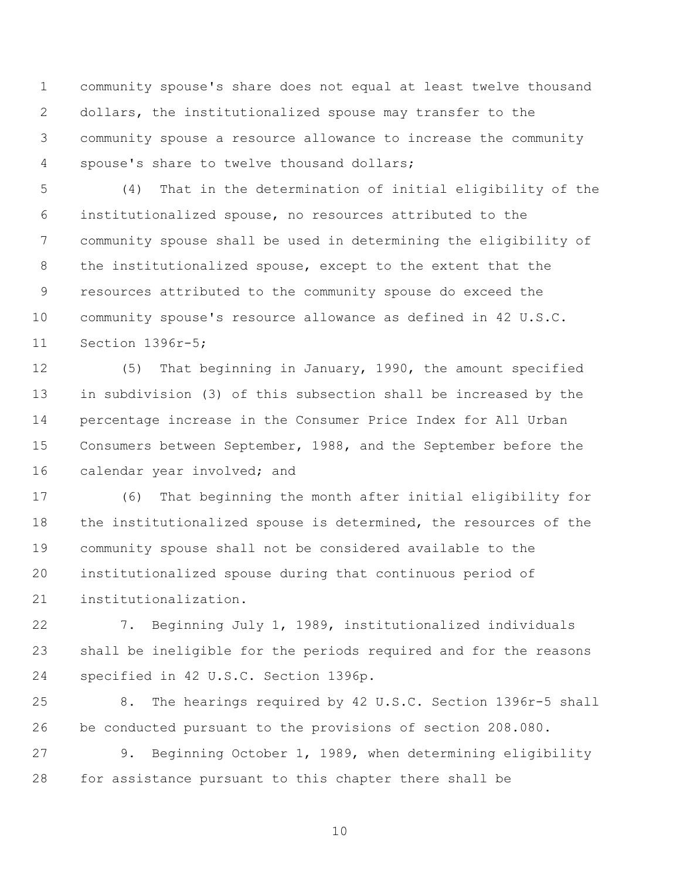community spouse's share does not equal at least twelve thousand dollars, the institutionalized spouse may transfer to the community spouse a resource allowance to increase the community spouse's share to twelve thousand dollars;

 (4) That in the determination of initial eligibility of the institutionalized spouse, no resources attributed to the community spouse shall be used in determining the eligibility of the institutionalized spouse, except to the extent that the resources attributed to the community spouse do exceed the community spouse's resource allowance as defined in 42 U.S.C. Section 1396r-5;

 (5) That beginning in January, 1990, the amount specified in subdivision (3) of this subsection shall be increased by the percentage increase in the Consumer Price Index for All Urban Consumers between September, 1988, and the September before the 16 calendar year involved; and

 (6) That beginning the month after initial eligibility for the institutionalized spouse is determined, the resources of the community spouse shall not be considered available to the institutionalized spouse during that continuous period of institutionalization.

 7. Beginning July 1, 1989, institutionalized individuals shall be ineligible for the periods required and for the reasons specified in 42 U.S.C. Section 1396p.

 8. The hearings required by 42 U.S.C. Section 1396r-5 shall be conducted pursuant to the provisions of section 208.080.

 9. Beginning October 1, 1989, when determining eligibility for assistance pursuant to this chapter there shall be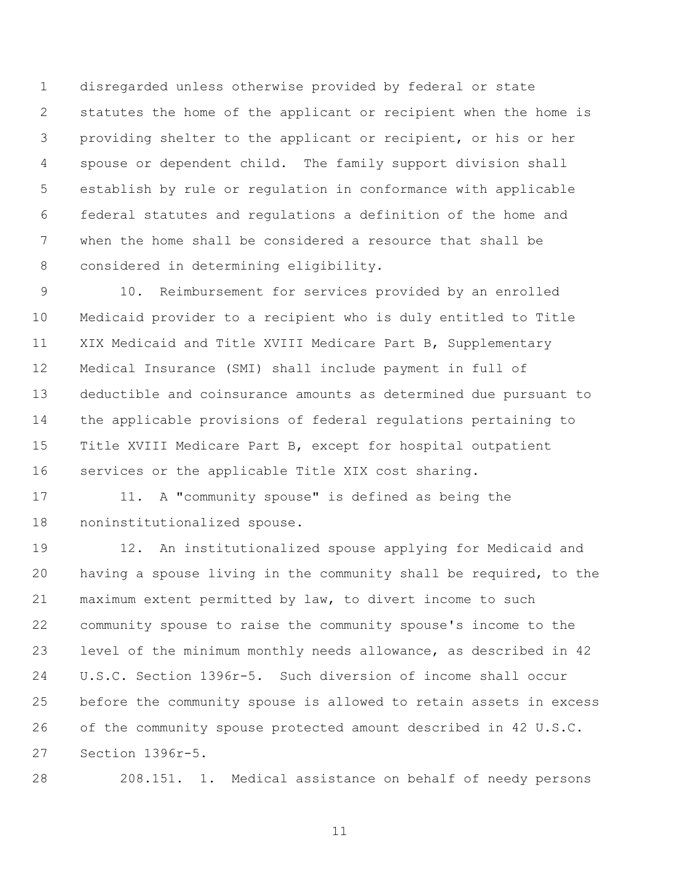disregarded unless otherwise provided by federal or state statutes the home of the applicant or recipient when the home is providing shelter to the applicant or recipient, or his or her spouse or dependent child. The family support division shall establish by rule or regulation in conformance with applicable federal statutes and regulations a definition of the home and when the home shall be considered a resource that shall be considered in determining eligibility.

 10. Reimbursement for services provided by an enrolled Medicaid provider to a recipient who is duly entitled to Title XIX Medicaid and Title XVIII Medicare Part B, Supplementary Medical Insurance (SMI) shall include payment in full of deductible and coinsurance amounts as determined due pursuant to the applicable provisions of federal regulations pertaining to Title XVIII Medicare Part B, except for hospital outpatient services or the applicable Title XIX cost sharing.

 11. A "community spouse" is defined as being the noninstitutionalized spouse.

 12. An institutionalized spouse applying for Medicaid and having a spouse living in the community shall be required, to the maximum extent permitted by law, to divert income to such community spouse to raise the community spouse's income to the level of the minimum monthly needs allowance, as described in 42 U.S.C. Section 1396r-5. Such diversion of income shall occur before the community spouse is allowed to retain assets in excess of the community spouse protected amount described in 42 U.S.C. Section 1396r-5.

208.151. 1. Medical assistance on behalf of needy persons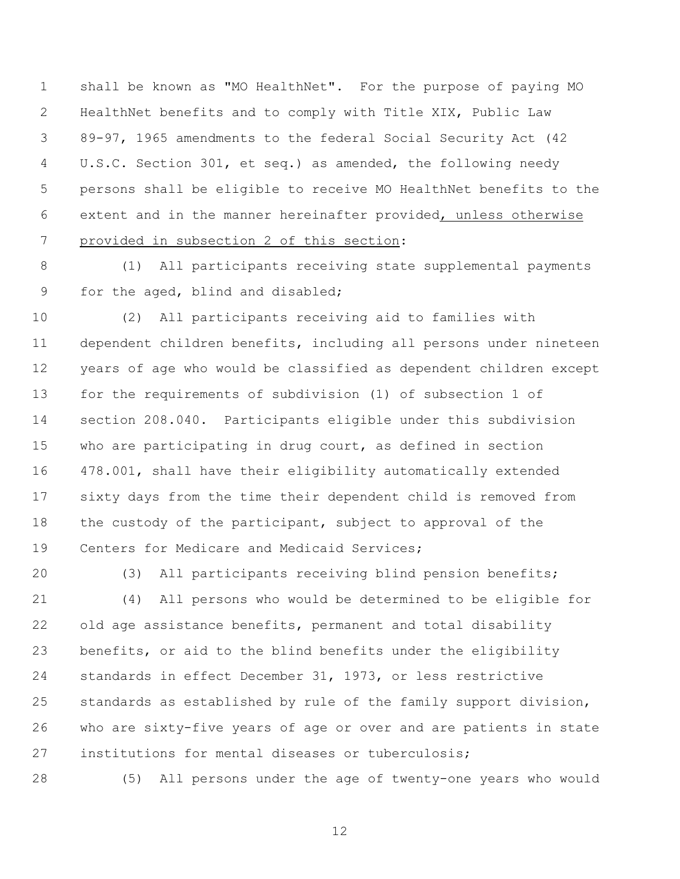shall be known as "MO HealthNet". For the purpose of paying MO HealthNet benefits and to comply with Title XIX, Public Law 89-97, 1965 amendments to the federal Social Security Act (42 U.S.C. Section 301, et seq.) as amended, the following needy persons shall be eligible to receive MO HealthNet benefits to the extent and in the manner hereinafter provided, unless otherwise provided in subsection 2 of this section:

 (1) All participants receiving state supplemental payments for the aged, blind and disabled;

 (2) All participants receiving aid to families with dependent children benefits, including all persons under nineteen years of age who would be classified as dependent children except for the requirements of subdivision (1) of subsection 1 of section 208.040. Participants eligible under this subdivision who are participating in drug court, as defined in section 478.001, shall have their eligibility automatically extended sixty days from the time their dependent child is removed from the custody of the participant, subject to approval of the Centers for Medicare and Medicaid Services;

(3) All participants receiving blind pension benefits;

 (4) All persons who would be determined to be eligible for old age assistance benefits, permanent and total disability benefits, or aid to the blind benefits under the eligibility standards in effect December 31, 1973, or less restrictive standards as established by rule of the family support division, who are sixty-five years of age or over and are patients in state institutions for mental diseases or tuberculosis;

(5) All persons under the age of twenty-one years who would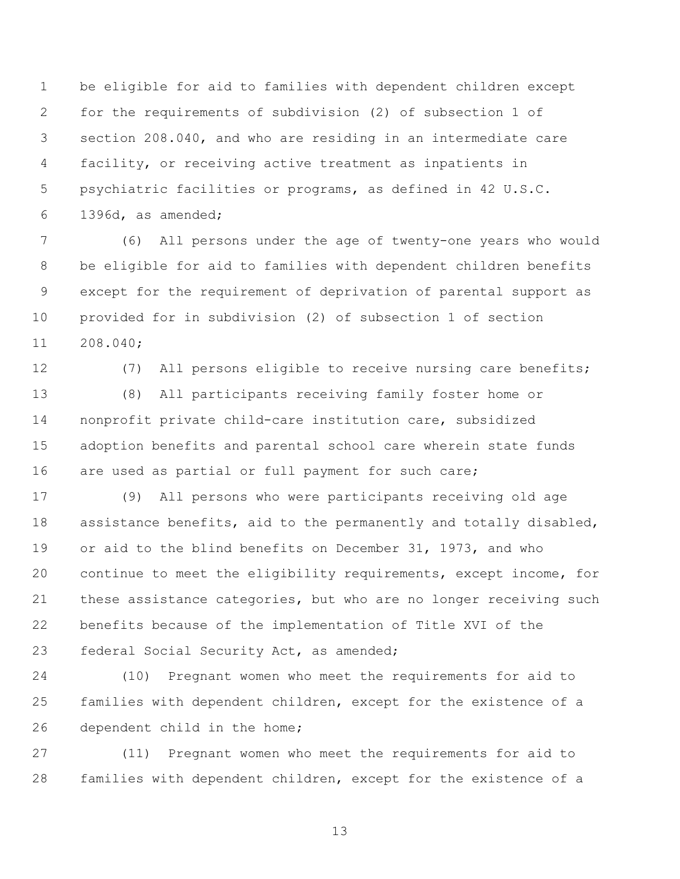be eligible for aid to families with dependent children except for the requirements of subdivision (2) of subsection 1 of section 208.040, and who are residing in an intermediate care facility, or receiving active treatment as inpatients in psychiatric facilities or programs, as defined in 42 U.S.C. 1396d, as amended;

 (6) All persons under the age of twenty-one years who would be eligible for aid to families with dependent children benefits except for the requirement of deprivation of parental support as provided for in subdivision (2) of subsection 1 of section 208.040;

 (7) All persons eligible to receive nursing care benefits; (8) All participants receiving family foster home or nonprofit private child-care institution care, subsidized adoption benefits and parental school care wherein state funds are used as partial or full payment for such care;

 (9) All persons who were participants receiving old age assistance benefits, aid to the permanently and totally disabled, or aid to the blind benefits on December 31, 1973, and who continue to meet the eligibility requirements, except income, for these assistance categories, but who are no longer receiving such benefits because of the implementation of Title XVI of the federal Social Security Act, as amended;

 (10) Pregnant women who meet the requirements for aid to families with dependent children, except for the existence of a dependent child in the home;

 (11) Pregnant women who meet the requirements for aid to families with dependent children, except for the existence of a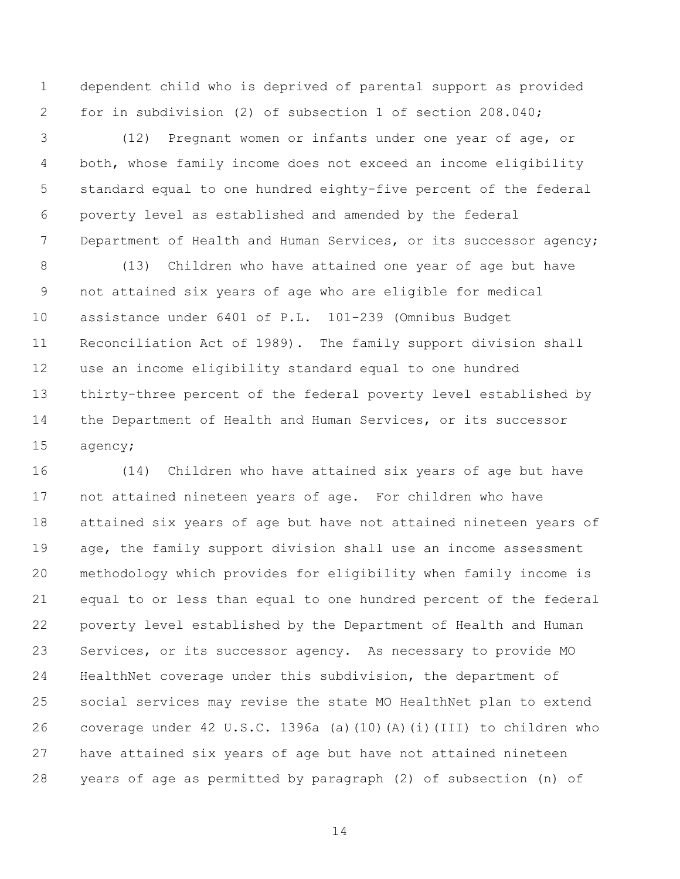dependent child who is deprived of parental support as provided for in subdivision (2) of subsection 1 of section 208.040;

 (12) Pregnant women or infants under one year of age, or both, whose family income does not exceed an income eligibility standard equal to one hundred eighty-five percent of the federal poverty level as established and amended by the federal 7 Department of Health and Human Services, or its successor agency;

 (13) Children who have attained one year of age but have not attained six years of age who are eligible for medical assistance under 6401 of P.L. 101-239 (Omnibus Budget Reconciliation Act of 1989). The family support division shall use an income eligibility standard equal to one hundred thirty-three percent of the federal poverty level established by the Department of Health and Human Services, or its successor agency;

 (14) Children who have attained six years of age but have not attained nineteen years of age. For children who have attained six years of age but have not attained nineteen years of 19 age, the family support division shall use an income assessment methodology which provides for eligibility when family income is equal to or less than equal to one hundred percent of the federal poverty level established by the Department of Health and Human Services, or its successor agency. As necessary to provide MO HealthNet coverage under this subdivision, the department of social services may revise the state MO HealthNet plan to extend coverage under 42 U.S.C. 1396a (a)(10)(A)(i)(III) to children who have attained six years of age but have not attained nineteen years of age as permitted by paragraph (2) of subsection (n) of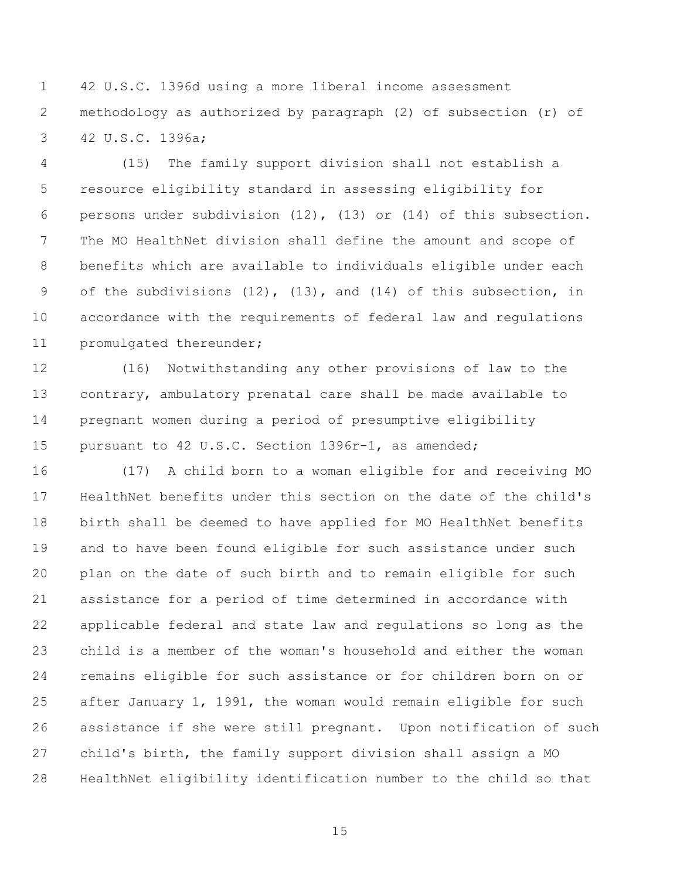42 U.S.C. 1396d using a more liberal income assessment methodology as authorized by paragraph (2) of subsection (r) of 42 U.S.C. 1396a;

 (15) The family support division shall not establish a resource eligibility standard in assessing eligibility for persons under subdivision (12), (13) or (14) of this subsection. The MO HealthNet division shall define the amount and scope of benefits which are available to individuals eligible under each of the subdivisions (12), (13), and (14) of this subsection, in accordance with the requirements of federal law and regulations promulgated thereunder;

 (16) Notwithstanding any other provisions of law to the contrary, ambulatory prenatal care shall be made available to pregnant women during a period of presumptive eligibility pursuant to 42 U.S.C. Section 1396r-1, as amended;

 (17) A child born to a woman eligible for and receiving MO HealthNet benefits under this section on the date of the child's birth shall be deemed to have applied for MO HealthNet benefits and to have been found eligible for such assistance under such plan on the date of such birth and to remain eligible for such assistance for a period of time determined in accordance with applicable federal and state law and regulations so long as the child is a member of the woman's household and either the woman remains eligible for such assistance or for children born on or after January 1, 1991, the woman would remain eligible for such assistance if she were still pregnant. Upon notification of such child's birth, the family support division shall assign a MO HealthNet eligibility identification number to the child so that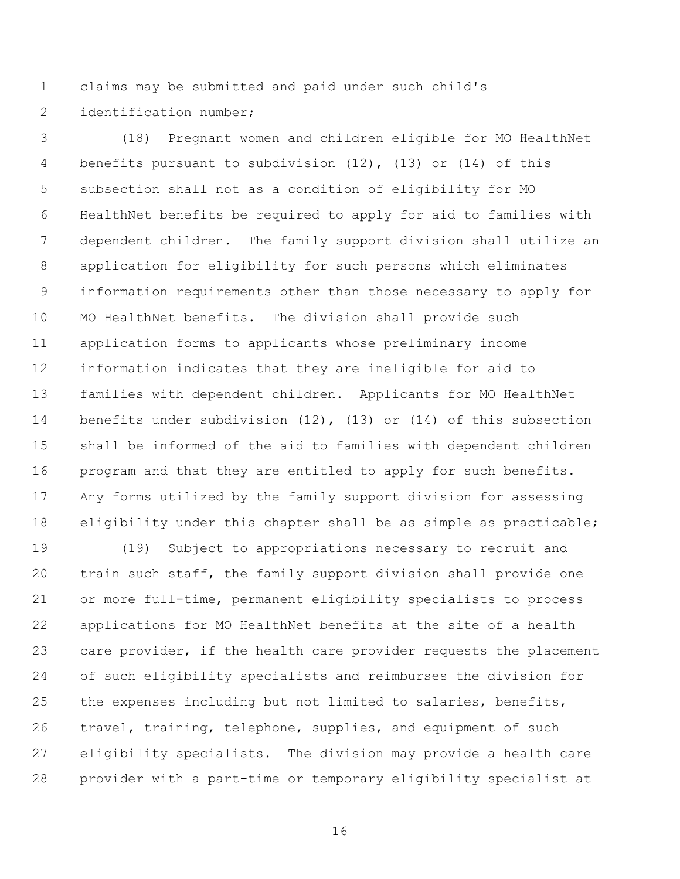claims may be submitted and paid under such child's

2 identification number;

 (18) Pregnant women and children eligible for MO HealthNet benefits pursuant to subdivision (12), (13) or (14) of this subsection shall not as a condition of eligibility for MO HealthNet benefits be required to apply for aid to families with dependent children. The family support division shall utilize an application for eligibility for such persons which eliminates information requirements other than those necessary to apply for MO HealthNet benefits. The division shall provide such application forms to applicants whose preliminary income information indicates that they are ineligible for aid to families with dependent children. Applicants for MO HealthNet benefits under subdivision (12), (13) or (14) of this subsection shall be informed of the aid to families with dependent children program and that they are entitled to apply for such benefits. Any forms utilized by the family support division for assessing eligibility under this chapter shall be as simple as practicable;

 (19) Subject to appropriations necessary to recruit and train such staff, the family support division shall provide one or more full-time, permanent eligibility specialists to process applications for MO HealthNet benefits at the site of a health care provider, if the health care provider requests the placement of such eligibility specialists and reimburses the division for the expenses including but not limited to salaries, benefits, travel, training, telephone, supplies, and equipment of such eligibility specialists. The division may provide a health care provider with a part-time or temporary eligibility specialist at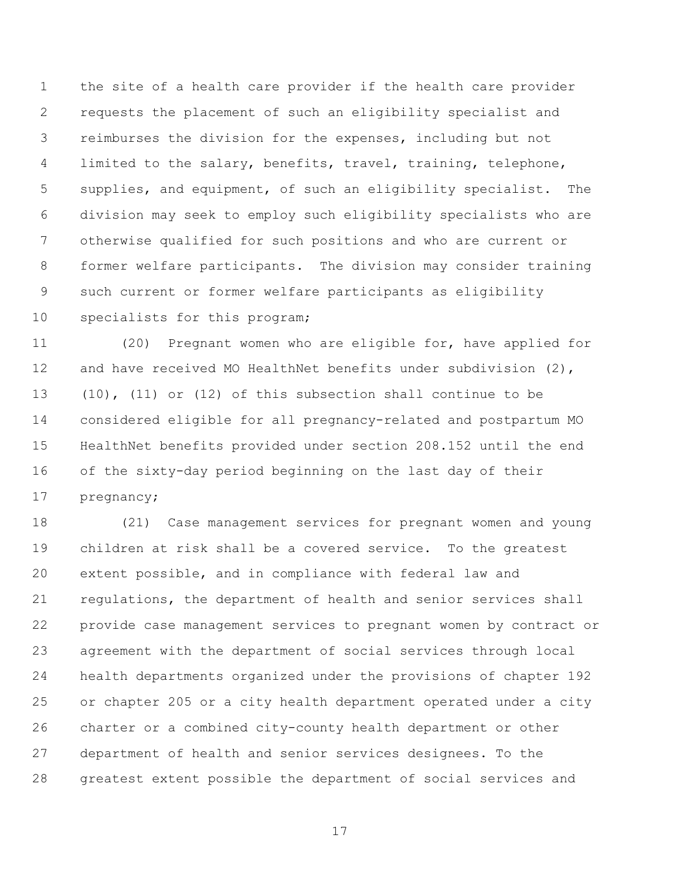the site of a health care provider if the health care provider requests the placement of such an eligibility specialist and reimburses the division for the expenses, including but not limited to the salary, benefits, travel, training, telephone, supplies, and equipment, of such an eligibility specialist. The division may seek to employ such eligibility specialists who are otherwise qualified for such positions and who are current or former welfare participants. The division may consider training such current or former welfare participants as eligibility 10 specialists for this program;

 (20) Pregnant women who are eligible for, have applied for and have received MO HealthNet benefits under subdivision (2), (10), (11) or (12) of this subsection shall continue to be considered eligible for all pregnancy-related and postpartum MO HealthNet benefits provided under section 208.152 until the end of the sixty-day period beginning on the last day of their pregnancy;

 (21) Case management services for pregnant women and young children at risk shall be a covered service. To the greatest extent possible, and in compliance with federal law and regulations, the department of health and senior services shall provide case management services to pregnant women by contract or agreement with the department of social services through local health departments organized under the provisions of chapter 192 or chapter 205 or a city health department operated under a city charter or a combined city-county health department or other department of health and senior services designees. To the greatest extent possible the department of social services and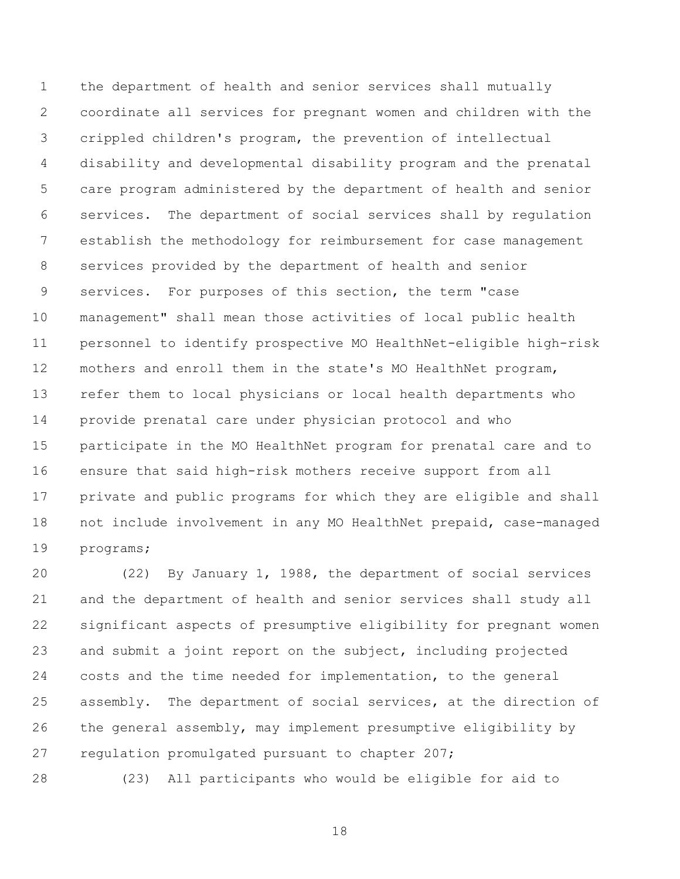the department of health and senior services shall mutually coordinate all services for pregnant women and children with the crippled children's program, the prevention of intellectual disability and developmental disability program and the prenatal care program administered by the department of health and senior services. The department of social services shall by regulation establish the methodology for reimbursement for case management services provided by the department of health and senior services. For purposes of this section, the term "case management" shall mean those activities of local public health personnel to identify prospective MO HealthNet-eligible high-risk mothers and enroll them in the state's MO HealthNet program, refer them to local physicians or local health departments who provide prenatal care under physician protocol and who participate in the MO HealthNet program for prenatal care and to ensure that said high-risk mothers receive support from all private and public programs for which they are eligible and shall not include involvement in any MO HealthNet prepaid, case-managed programs;

 (22) By January 1, 1988, the department of social services and the department of health and senior services shall study all significant aspects of presumptive eligibility for pregnant women and submit a joint report on the subject, including projected costs and the time needed for implementation, to the general assembly. The department of social services, at the direction of the general assembly, may implement presumptive eligibility by regulation promulgated pursuant to chapter 207;

(23) All participants who would be eligible for aid to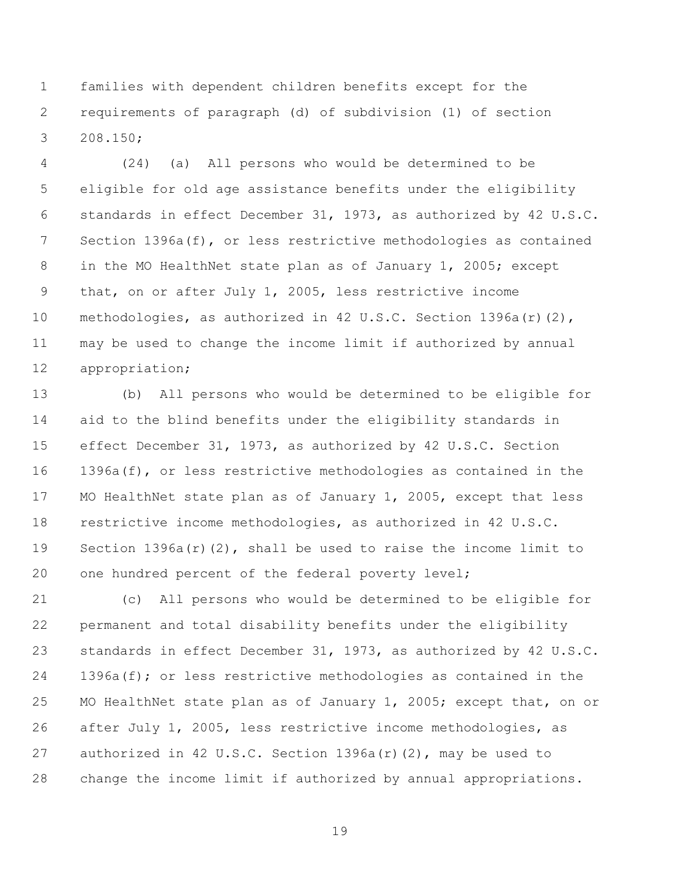families with dependent children benefits except for the requirements of paragraph (d) of subdivision (1) of section 208.150;

 (24) (a) All persons who would be determined to be eligible for old age assistance benefits under the eligibility standards in effect December 31, 1973, as authorized by 42 U.S.C. Section 1396a(f), or less restrictive methodologies as contained in the MO HealthNet state plan as of January 1, 2005; except that, on or after July 1, 2005, less restrictive income methodologies, as authorized in 42 U.S.C. Section 1396a(r)(2), may be used to change the income limit if authorized by annual appropriation;

 (b) All persons who would be determined to be eligible for aid to the blind benefits under the eligibility standards in effect December 31, 1973, as authorized by 42 U.S.C. Section 1396a(f), or less restrictive methodologies as contained in the MO HealthNet state plan as of January 1, 2005, except that less restrictive income methodologies, as authorized in 42 U.S.C. Section 1396a(r)(2), shall be used to raise the income limit to one hundred percent of the federal poverty level;

 (c) All persons who would be determined to be eligible for permanent and total disability benefits under the eligibility standards in effect December 31, 1973, as authorized by 42 U.S.C. 1396a(f); or less restrictive methodologies as contained in the 25 MO HealthNet state plan as of January 1, 2005; except that, on or after July 1, 2005, less restrictive income methodologies, as authorized in 42 U.S.C. Section 1396a(r)(2), may be used to change the income limit if authorized by annual appropriations.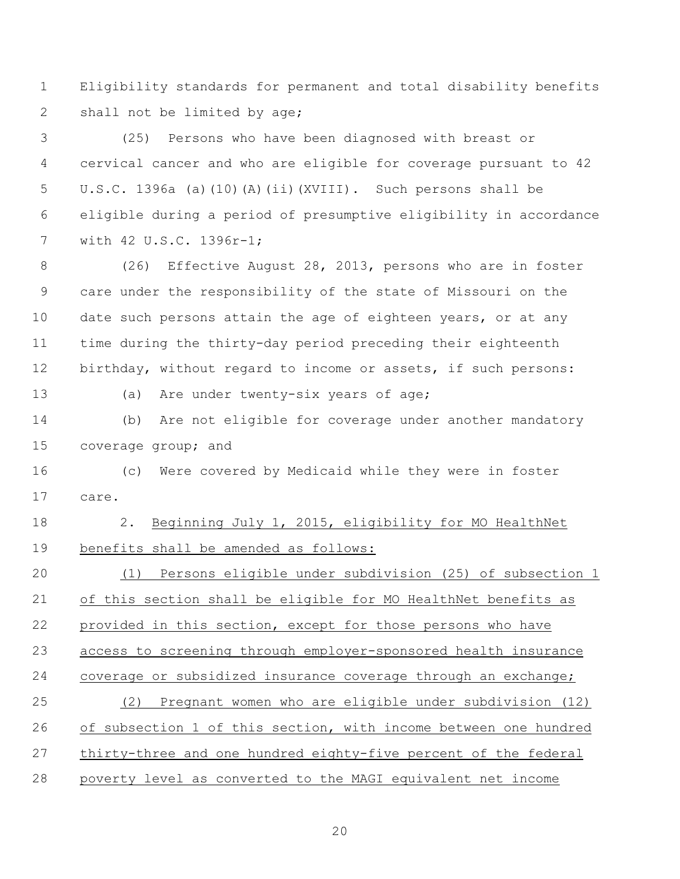Eligibility standards for permanent and total disability benefits 2 shall not be limited by age;

 (25) Persons who have been diagnosed with breast or cervical cancer and who are eligible for coverage pursuant to 42 U.S.C. 1396a (a)(10)(A)(ii)(XVIII). Such persons shall be eligible during a period of presumptive eligibility in accordance with 42 U.S.C. 1396r-1;

 (26) Effective August 28, 2013, persons who are in foster care under the responsibility of the state of Missouri on the date such persons attain the age of eighteen years, or at any time during the thirty-day period preceding their eighteenth birthday, without regard to income or assets, if such persons:

(a) Are under twenty-six years of age;

 (b) Are not eligible for coverage under another mandatory coverage group; and

 (c) Were covered by Medicaid while they were in foster care.

 2. Beginning July 1, 2015, eligibility for MO HealthNet benefits shall be amended as follows:

 (1) Persons eligible under subdivision (25) of subsection 1 21 of this section shall be eligible for MO HealthNet benefits as provided in this section, except for those persons who have access to screening through employer-sponsored health insurance coverage or subsidized insurance coverage through an exchange; (2) Pregnant women who are eligible under subdivision (12) of subsection 1 of this section, with income between one hundred 27 thirty-three and one hundred eighty-five percent of the federal poverty level as converted to the MAGI equivalent net income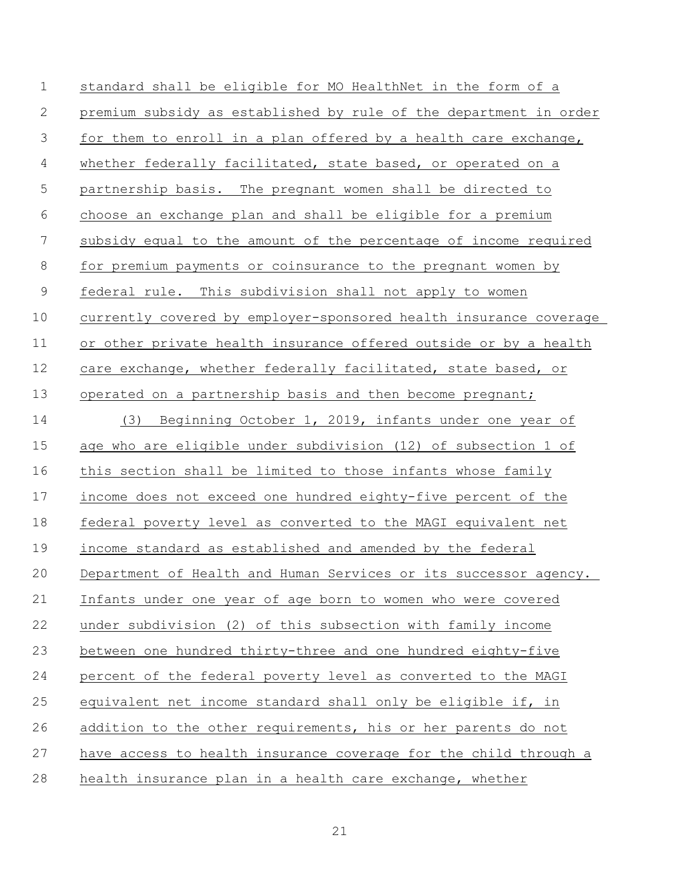| $\mathbf 1$    | standard shall be eligible for MO HealthNet in the form of a      |
|----------------|-------------------------------------------------------------------|
| 2              | premium subsidy as established by rule of the department in order |
| 3              | for them to enroll in a plan offered by a health care exchange,   |
| $\overline{4}$ | whether federally facilitated, state based, or operated on a      |
| 5              | partnership basis. The pregnant women shall be directed to        |
| 6              | choose an exchange plan and shall be eligible for a premium       |
| 7              | subsidy equal to the amount of the percentage of income required  |
| $8\,$          | for premium payments or coinsurance to the pregnant women by      |
| $\mathsf 9$    | federal rule. This subdivision shall not apply to women           |
| 10             | currently covered by employer-sponsored health insurance coverage |
| 11             | or other private health insurance offered outside or by a health  |
| 12             | care exchange, whether federally facilitated, state based, or     |
| 13             | operated on a partnership basis and then become pregnant;         |
| 14             | (3) Beginning October 1, 2019, infants under one year of          |
| 15             | age who are eligible under subdivision (12) of subsection 1 of    |
| 16             | this section shall be limited to those infants whose family       |
| 17             | income does not exceed one hundred eighty-five percent of the     |
| 18             | federal poverty level as converted to the MAGI equivalent net     |
| 19             | income standard as established and amended by the federal         |
| 20             | Department of Health and Human Services or its successor agency.  |
| 21             | Infants under one year of age born to women who were covered      |
| 22             | under subdivision (2) of this subsection with family income       |
| 23             | between one hundred thirty-three and one hundred eighty-five      |
| 24             | percent of the federal poverty level as converted to the MAGI     |
| 25             | equivalent net income standard shall only be eligible if, in      |
| 26             | addition to the other requirements, his or her parents do not     |
| 27             | have access to health insurance coverage for the child through a  |
| 28             | health insurance plan in a health care exchange, whether          |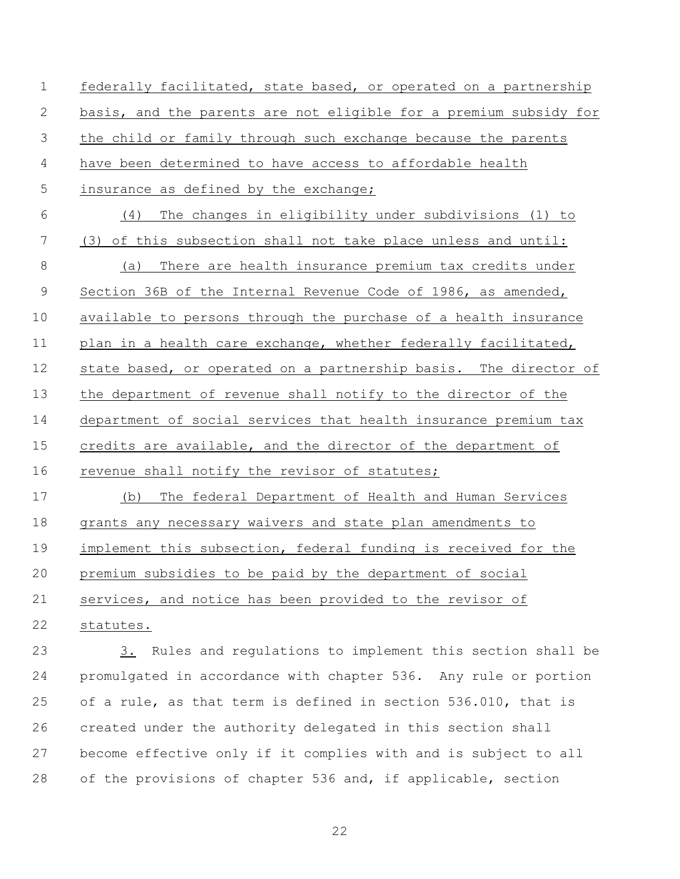federally facilitated, state based, or operated on a partnership basis, and the parents are not eligible for a premium subsidy for the child or family through such exchange because the parents have been determined to have access to affordable health insurance as defined by the exchange; (4) The changes in eligibility under subdivisions (1) to (3) of this subsection shall not take place unless and until: (a) There are health insurance premium tax credits under Section 36B of the Internal Revenue Code of 1986, as amended, available to persons through the purchase of a health insurance plan in a health care exchange, whether federally facilitated, state based, or operated on a partnership basis. The director of the department of revenue shall notify to the director of the department of social services that health insurance premium tax credits are available, and the director of the department of 16 revenue shall notify the revisor of statutes; (b) The federal Department of Health and Human Services grants any necessary waivers and state plan amendments to 19 implement this subsection, federal funding is received for the premium subsidies to be paid by the department of social services, and notice has been provided to the revisor of statutes.

 3. Rules and regulations to implement this section shall be promulgated in accordance with chapter 536. Any rule or portion of a rule, as that term is defined in section 536.010, that is created under the authority delegated in this section shall become effective only if it complies with and is subject to all of the provisions of chapter 536 and, if applicable, section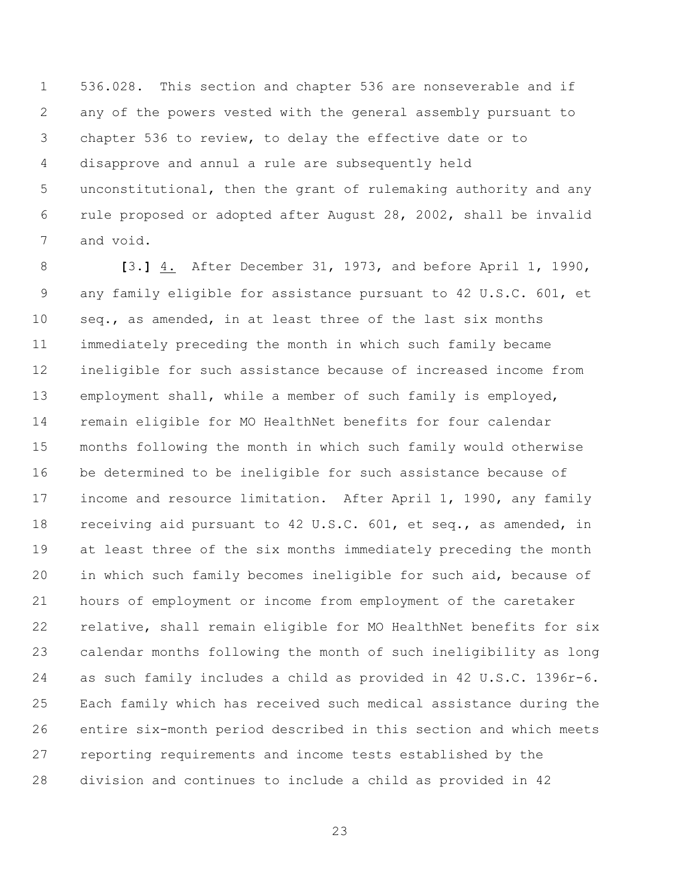536.028. This section and chapter 536 are nonseverable and if any of the powers vested with the general assembly pursuant to chapter 536 to review, to delay the effective date or to disapprove and annul a rule are subsequently held unconstitutional, then the grant of rulemaking authority and any rule proposed or adopted after August 28, 2002, shall be invalid and void.

 **[**3.**]** 4. After December 31, 1973, and before April 1, 1990, any family eligible for assistance pursuant to 42 U.S.C. 601, et seq., as amended, in at least three of the last six months immediately preceding the month in which such family became ineligible for such assistance because of increased income from employment shall, while a member of such family is employed, remain eligible for MO HealthNet benefits for four calendar months following the month in which such family would otherwise be determined to be ineligible for such assistance because of income and resource limitation. After April 1, 1990, any family receiving aid pursuant to 42 U.S.C. 601, et seq., as amended, in at least three of the six months immediately preceding the month in which such family becomes ineligible for such aid, because of hours of employment or income from employment of the caretaker relative, shall remain eligible for MO HealthNet benefits for six calendar months following the month of such ineligibility as long as such family includes a child as provided in 42 U.S.C. 1396r-6. Each family which has received such medical assistance during the entire six-month period described in this section and which meets reporting requirements and income tests established by the division and continues to include a child as provided in 42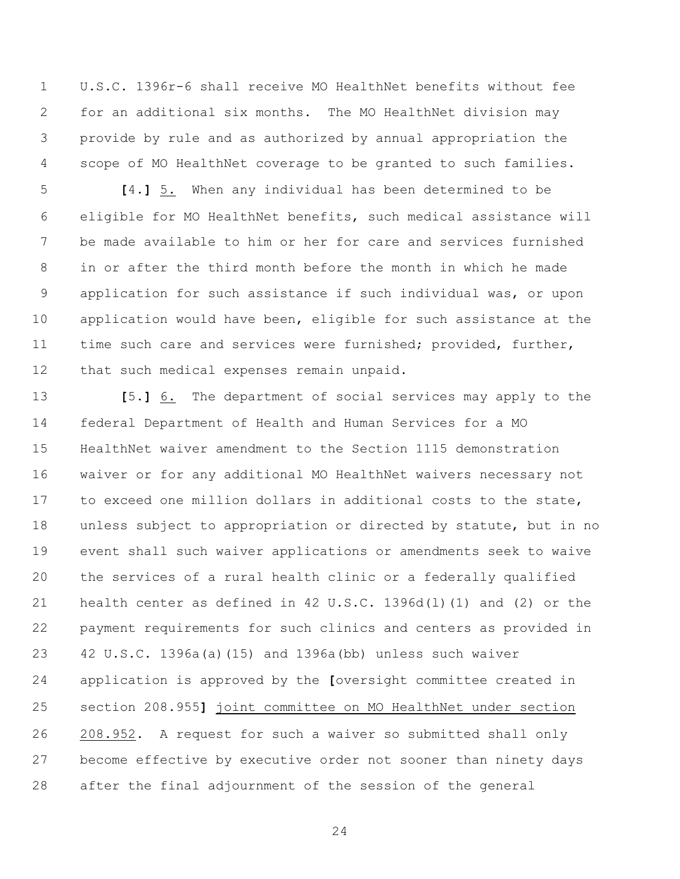U.S.C. 1396r-6 shall receive MO HealthNet benefits without fee for an additional six months. The MO HealthNet division may provide by rule and as authorized by annual appropriation the scope of MO HealthNet coverage to be granted to such families.

 **[**4.**]** 5. When any individual has been determined to be eligible for MO HealthNet benefits, such medical assistance will be made available to him or her for care and services furnished in or after the third month before the month in which he made application for such assistance if such individual was, or upon application would have been, eligible for such assistance at the time such care and services were furnished; provided, further, that such medical expenses remain unpaid.

 **[**5.**]** 6. The department of social services may apply to the federal Department of Health and Human Services for a MO HealthNet waiver amendment to the Section 1115 demonstration waiver or for any additional MO HealthNet waivers necessary not to exceed one million dollars in additional costs to the state, unless subject to appropriation or directed by statute, but in no event shall such waiver applications or amendments seek to waive the services of a rural health clinic or a federally qualified health center as defined in 42 U.S.C. 1396d(l)(1) and (2) or the payment requirements for such clinics and centers as provided in 42 U.S.C. 1396a(a)(15) and 1396a(bb) unless such waiver application is approved by the **[**oversight committee created in section 208.955**]** joint committee on MO HealthNet under section 208.952. A request for such a waiver so submitted shall only become effective by executive order not sooner than ninety days after the final adjournment of the session of the general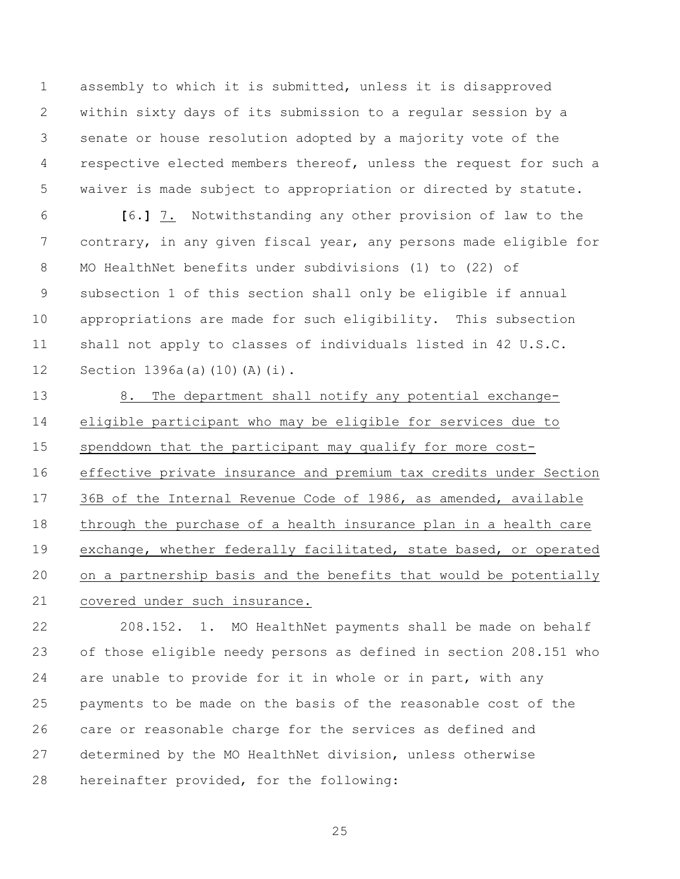assembly to which it is submitted, unless it is disapproved within sixty days of its submission to a regular session by a senate or house resolution adopted by a majority vote of the respective elected members thereof, unless the request for such a waiver is made subject to appropriation or directed by statute.

 **[**6.**]** 7. Notwithstanding any other provision of law to the contrary, in any given fiscal year, any persons made eligible for MO HealthNet benefits under subdivisions (1) to (22) of subsection 1 of this section shall only be eligible if annual appropriations are made for such eligibility. This subsection shall not apply to classes of individuals listed in 42 U.S.C. Section 1396a(a)(10)(A)(i).

13 8. The department shall notify any potential exchange- eligible participant who may be eligible for services due to spenddown that the participant may qualify for more cost- effective private insurance and premium tax credits under Section 36B of the Internal Revenue Code of 1986, as amended, available through the purchase of a health insurance plan in a health care exchange, whether federally facilitated, state based, or operated on a partnership basis and the benefits that would be potentially covered under such insurance.

 208.152. 1. MO HealthNet payments shall be made on behalf of those eligible needy persons as defined in section 208.151 who 24 are unable to provide for it in whole or in part, with any payments to be made on the basis of the reasonable cost of the care or reasonable charge for the services as defined and determined by the MO HealthNet division, unless otherwise hereinafter provided, for the following: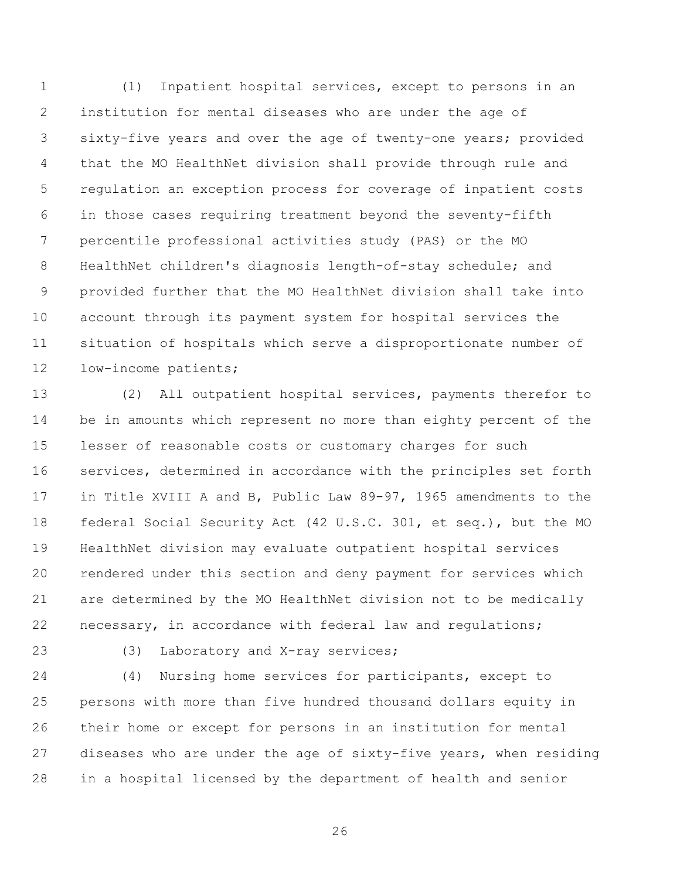(1) Inpatient hospital services, except to persons in an institution for mental diseases who are under the age of sixty-five years and over the age of twenty-one years; provided that the MO HealthNet division shall provide through rule and regulation an exception process for coverage of inpatient costs in those cases requiring treatment beyond the seventy-fifth percentile professional activities study (PAS) or the MO HealthNet children's diagnosis length-of-stay schedule; and provided further that the MO HealthNet division shall take into account through its payment system for hospital services the situation of hospitals which serve a disproportionate number of low-income patients;

 (2) All outpatient hospital services, payments therefor to be in amounts which represent no more than eighty percent of the lesser of reasonable costs or customary charges for such services, determined in accordance with the principles set forth in Title XVIII A and B, Public Law 89-97, 1965 amendments to the federal Social Security Act (42 U.S.C. 301, et seq.), but the MO HealthNet division may evaluate outpatient hospital services rendered under this section and deny payment for services which are determined by the MO HealthNet division not to be medically necessary, in accordance with federal law and regulations;

(3) Laboratory and X-ray services;

 (4) Nursing home services for participants, except to persons with more than five hundred thousand dollars equity in their home or except for persons in an institution for mental diseases who are under the age of sixty-five years, when residing in a hospital licensed by the department of health and senior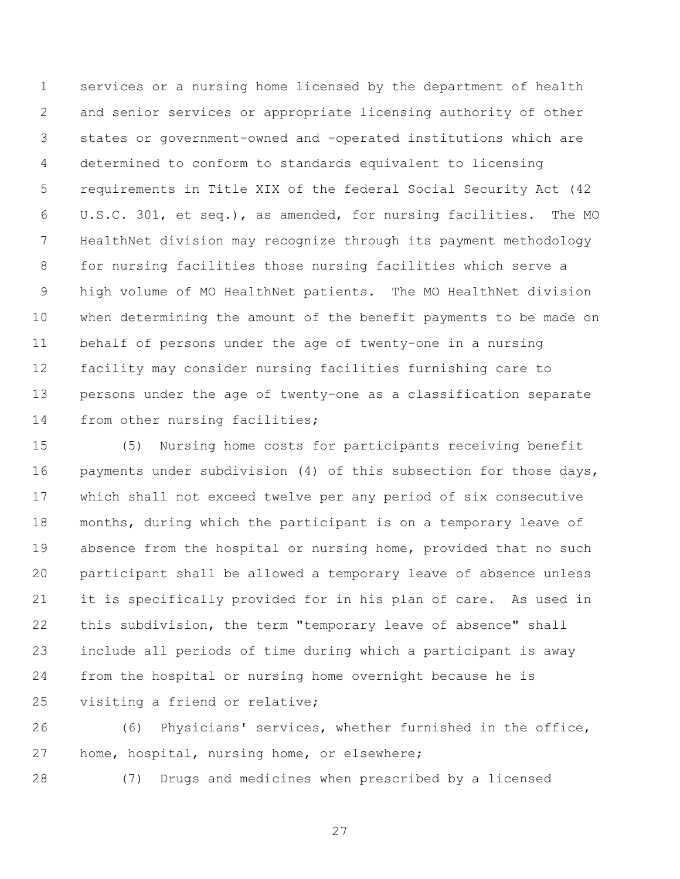services or a nursing home licensed by the department of health and senior services or appropriate licensing authority of other states or government-owned and -operated institutions which are determined to conform to standards equivalent to licensing requirements in Title XIX of the federal Social Security Act (42 U.S.C. 301, et seq.), as amended, for nursing facilities. The MO HealthNet division may recognize through its payment methodology for nursing facilities those nursing facilities which serve a high volume of MO HealthNet patients. The MO HealthNet division when determining the amount of the benefit payments to be made on behalf of persons under the age of twenty-one in a nursing facility may consider nursing facilities furnishing care to persons under the age of twenty-one as a classification separate from other nursing facilities;

 (5) Nursing home costs for participants receiving benefit 16 payments under subdivision (4) of this subsection for those days, which shall not exceed twelve per any period of six consecutive months, during which the participant is on a temporary leave of absence from the hospital or nursing home, provided that no such participant shall be allowed a temporary leave of absence unless it is specifically provided for in his plan of care. As used in this subdivision, the term "temporary leave of absence" shall include all periods of time during which a participant is away from the hospital or nursing home overnight because he is visiting a friend or relative;

 (6) Physicians' services, whether furnished in the office, home, hospital, nursing home, or elsewhere;

(7) Drugs and medicines when prescribed by a licensed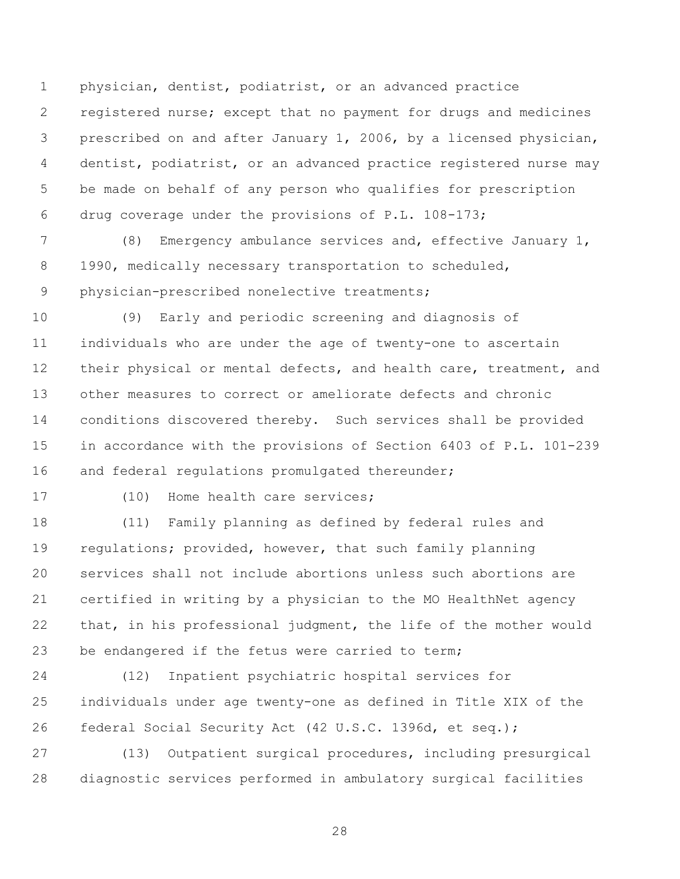physician, dentist, podiatrist, or an advanced practice registered nurse; except that no payment for drugs and medicines prescribed on and after January 1, 2006, by a licensed physician, dentist, podiatrist, or an advanced practice registered nurse may be made on behalf of any person who qualifies for prescription drug coverage under the provisions of P.L. 108-173;

 (8) Emergency ambulance services and, effective January 1, 8 1990, medically necessary transportation to scheduled, physician-prescribed nonelective treatments;

 (9) Early and periodic screening and diagnosis of individuals who are under the age of twenty-one to ascertain 12 their physical or mental defects, and health care, treatment, and other measures to correct or ameliorate defects and chronic conditions discovered thereby. Such services shall be provided in accordance with the provisions of Section 6403 of P.L. 101-239 16 and federal requlations promulgated thereunder;

17 (10) Home health care services;

 (11) Family planning as defined by federal rules and regulations; provided, however, that such family planning services shall not include abortions unless such abortions are certified in writing by a physician to the MO HealthNet agency that, in his professional judgment, the life of the mother would 23 be endangered if the fetus were carried to term;

 (12) Inpatient psychiatric hospital services for individuals under age twenty-one as defined in Title XIX of the federal Social Security Act (42 U.S.C. 1396d, et seq.);

 (13) Outpatient surgical procedures, including presurgical diagnostic services performed in ambulatory surgical facilities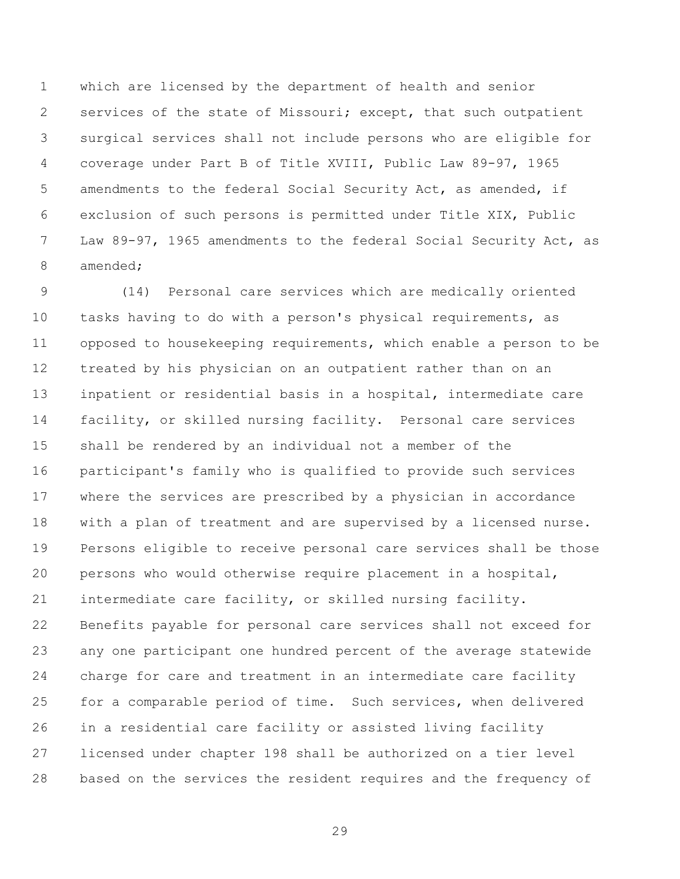which are licensed by the department of health and senior services of the state of Missouri; except, that such outpatient surgical services shall not include persons who are eligible for coverage under Part B of Title XVIII, Public Law 89-97, 1965 amendments to the federal Social Security Act, as amended, if exclusion of such persons is permitted under Title XIX, Public Law 89-97, 1965 amendments to the federal Social Security Act, as amended;

 (14) Personal care services which are medically oriented tasks having to do with a person's physical requirements, as opposed to housekeeping requirements, which enable a person to be treated by his physician on an outpatient rather than on an inpatient or residential basis in a hospital, intermediate care facility, or skilled nursing facility. Personal care services shall be rendered by an individual not a member of the participant's family who is qualified to provide such services where the services are prescribed by a physician in accordance with a plan of treatment and are supervised by a licensed nurse. Persons eligible to receive personal care services shall be those persons who would otherwise require placement in a hospital, intermediate care facility, or skilled nursing facility. Benefits payable for personal care services shall not exceed for any one participant one hundred percent of the average statewide charge for care and treatment in an intermediate care facility for a comparable period of time. Such services, when delivered in a residential care facility or assisted living facility licensed under chapter 198 shall be authorized on a tier level based on the services the resident requires and the frequency of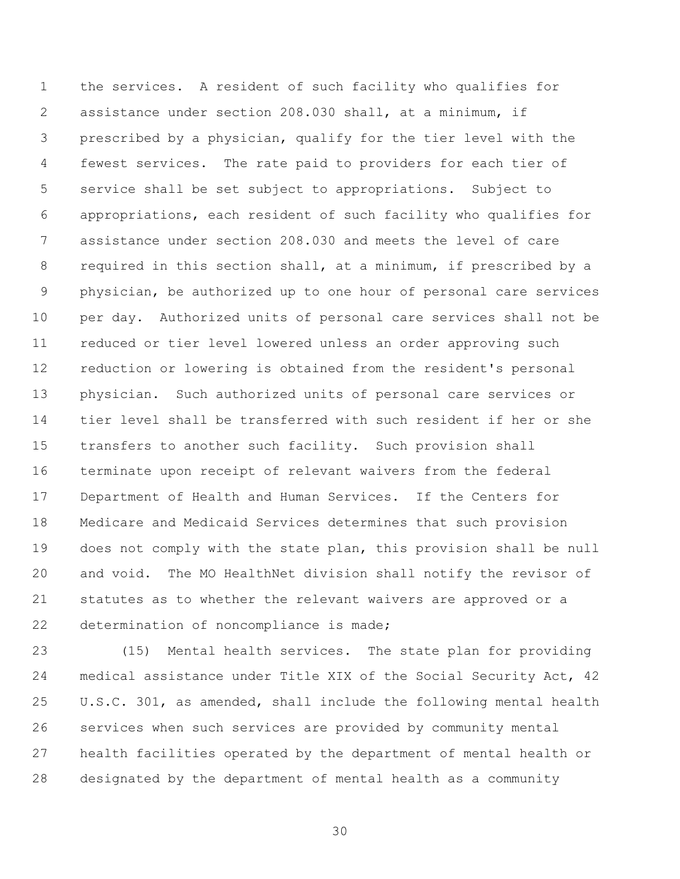the services. A resident of such facility who qualifies for assistance under section 208.030 shall, at a minimum, if prescribed by a physician, qualify for the tier level with the fewest services. The rate paid to providers for each tier of service shall be set subject to appropriations. Subject to appropriations, each resident of such facility who qualifies for assistance under section 208.030 and meets the level of care required in this section shall, at a minimum, if prescribed by a physician, be authorized up to one hour of personal care services per day. Authorized units of personal care services shall not be reduced or tier level lowered unless an order approving such reduction or lowering is obtained from the resident's personal physician. Such authorized units of personal care services or tier level shall be transferred with such resident if her or she transfers to another such facility. Such provision shall terminate upon receipt of relevant waivers from the federal Department of Health and Human Services. If the Centers for Medicare and Medicaid Services determines that such provision does not comply with the state plan, this provision shall be null and void. The MO HealthNet division shall notify the revisor of statutes as to whether the relevant waivers are approved or a determination of noncompliance is made;

 (15) Mental health services. The state plan for providing medical assistance under Title XIX of the Social Security Act, 42 U.S.C. 301, as amended, shall include the following mental health services when such services are provided by community mental health facilities operated by the department of mental health or designated by the department of mental health as a community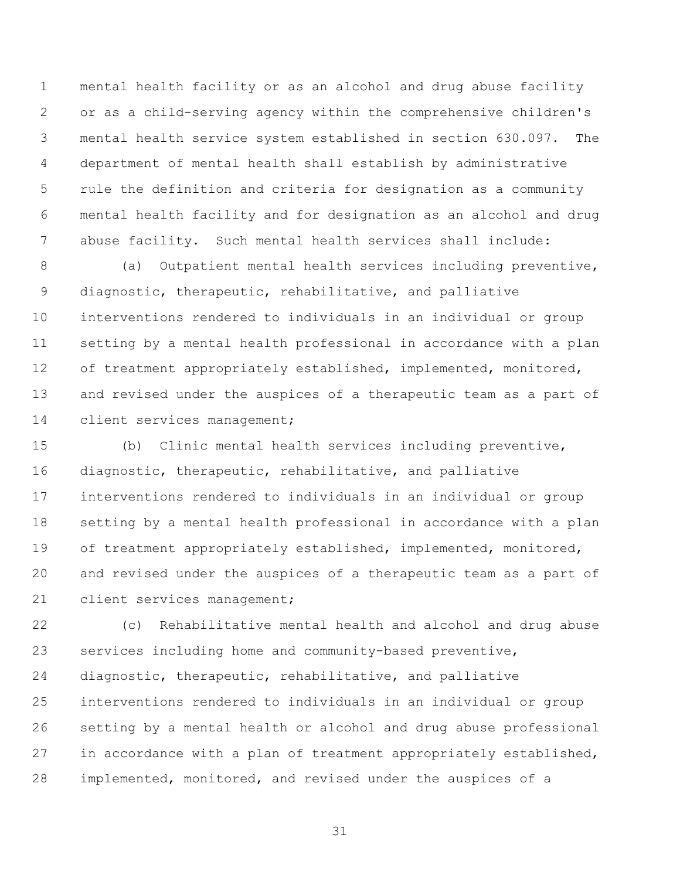mental health facility or as an alcohol and drug abuse facility or as a child-serving agency within the comprehensive children's mental health service system established in section 630.097. The department of mental health shall establish by administrative rule the definition and criteria for designation as a community mental health facility and for designation as an alcohol and drug abuse facility. Such mental health services shall include:

 (a) Outpatient mental health services including preventive, diagnostic, therapeutic, rehabilitative, and palliative interventions rendered to individuals in an individual or group setting by a mental health professional in accordance with a plan 12 of treatment appropriately established, implemented, monitored, and revised under the auspices of a therapeutic team as a part of client services management;

 (b) Clinic mental health services including preventive, diagnostic, therapeutic, rehabilitative, and palliative interventions rendered to individuals in an individual or group setting by a mental health professional in accordance with a plan 19 of treatment appropriately established, implemented, monitored, and revised under the auspices of a therapeutic team as a part of 21 client services management;

 (c) Rehabilitative mental health and alcohol and drug abuse services including home and community-based preventive, diagnostic, therapeutic, rehabilitative, and palliative interventions rendered to individuals in an individual or group setting by a mental health or alcohol and drug abuse professional in accordance with a plan of treatment appropriately established, implemented, monitored, and revised under the auspices of a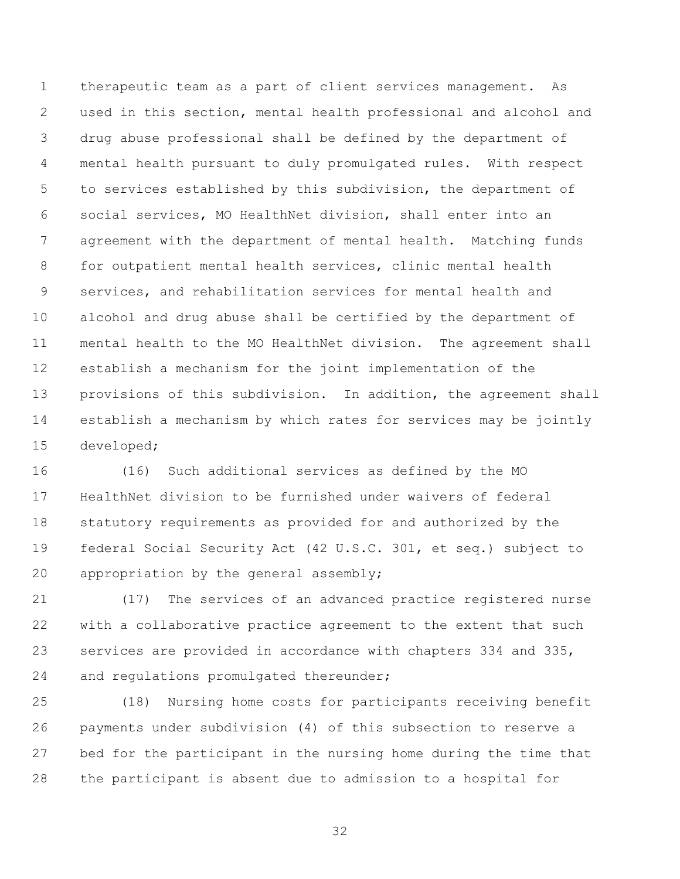therapeutic team as a part of client services management. As used in this section, mental health professional and alcohol and drug abuse professional shall be defined by the department of mental health pursuant to duly promulgated rules. With respect to services established by this subdivision, the department of social services, MO HealthNet division, shall enter into an agreement with the department of mental health. Matching funds for outpatient mental health services, clinic mental health services, and rehabilitation services for mental health and alcohol and drug abuse shall be certified by the department of mental health to the MO HealthNet division. The agreement shall establish a mechanism for the joint implementation of the provisions of this subdivision. In addition, the agreement shall establish a mechanism by which rates for services may be jointly developed;

 (16) Such additional services as defined by the MO HealthNet division to be furnished under waivers of federal statutory requirements as provided for and authorized by the federal Social Security Act (42 U.S.C. 301, et seq.) subject to appropriation by the general assembly;

 (17) The services of an advanced practice registered nurse with a collaborative practice agreement to the extent that such services are provided in accordance with chapters 334 and 335, and regulations promulgated thereunder;

 (18) Nursing home costs for participants receiving benefit payments under subdivision (4) of this subsection to reserve a bed for the participant in the nursing home during the time that the participant is absent due to admission to a hospital for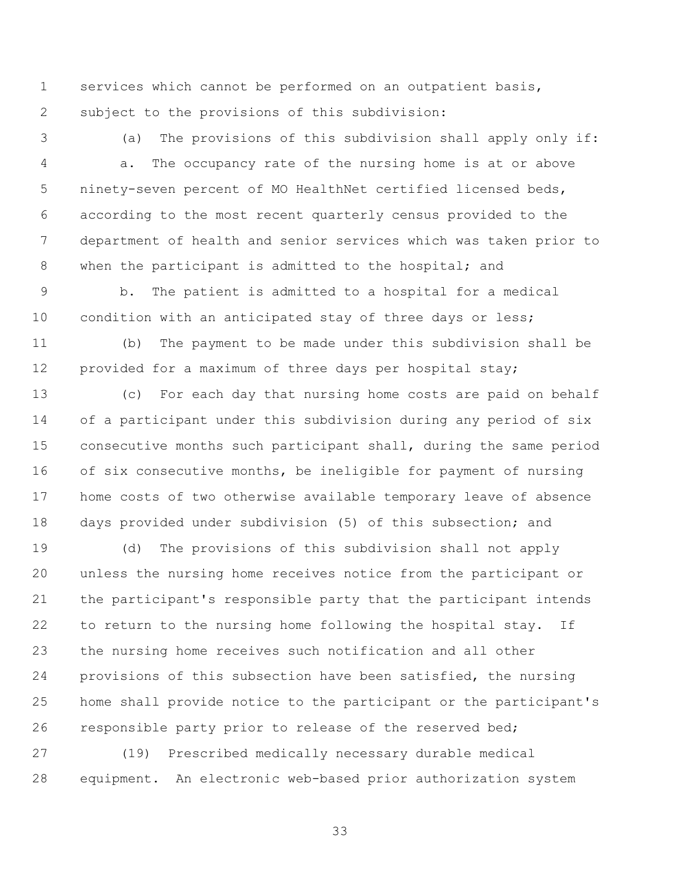services which cannot be performed on an outpatient basis, subject to the provisions of this subdivision:

 (a) The provisions of this subdivision shall apply only if: a. The occupancy rate of the nursing home is at or above ninety-seven percent of MO HealthNet certified licensed beds, according to the most recent quarterly census provided to the department of health and senior services which was taken prior to 8 when the participant is admitted to the hospital; and

 b. The patient is admitted to a hospital for a medical 10 condition with an anticipated stay of three days or less;

 (b) The payment to be made under this subdivision shall be provided for a maximum of three days per hospital stay;

 (c) For each day that nursing home costs are paid on behalf of a participant under this subdivision during any period of six consecutive months such participant shall, during the same period of six consecutive months, be ineligible for payment of nursing home costs of two otherwise available temporary leave of absence days provided under subdivision (5) of this subsection; and

 (d) The provisions of this subdivision shall not apply unless the nursing home receives notice from the participant or the participant's responsible party that the participant intends to return to the nursing home following the hospital stay. If the nursing home receives such notification and all other provisions of this subsection have been satisfied, the nursing home shall provide notice to the participant or the participant's responsible party prior to release of the reserved bed;

 (19) Prescribed medically necessary durable medical equipment. An electronic web-based prior authorization system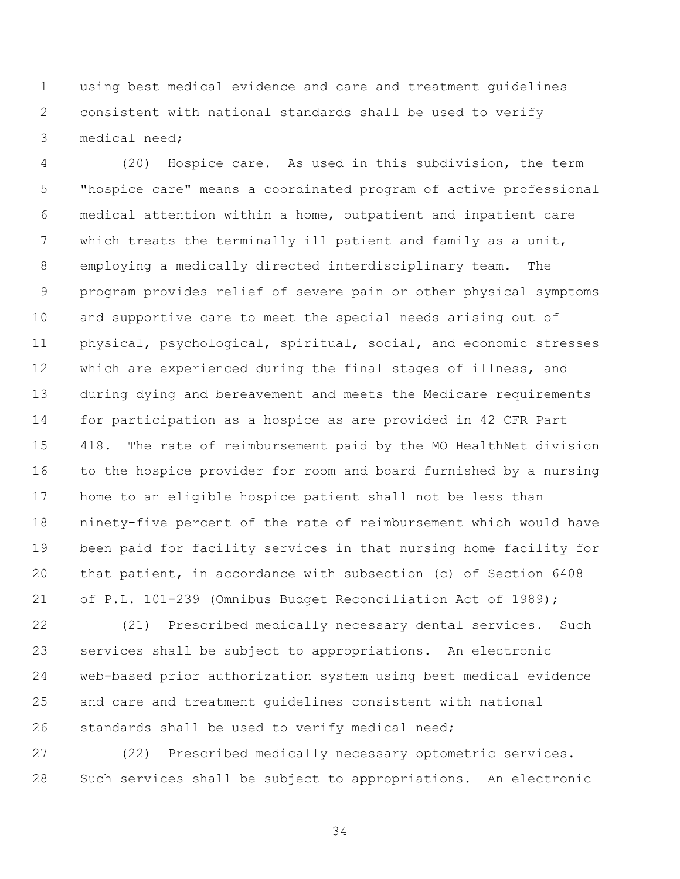using best medical evidence and care and treatment guidelines consistent with national standards shall be used to verify medical need;

 (20) Hospice care. As used in this subdivision, the term "hospice care" means a coordinated program of active professional medical attention within a home, outpatient and inpatient care which treats the terminally ill patient and family as a unit, employing a medically directed interdisciplinary team. The program provides relief of severe pain or other physical symptoms and supportive care to meet the special needs arising out of physical, psychological, spiritual, social, and economic stresses which are experienced during the final stages of illness, and during dying and bereavement and meets the Medicare requirements for participation as a hospice as are provided in 42 CFR Part 418. The rate of reimbursement paid by the MO HealthNet division to the hospice provider for room and board furnished by a nursing home to an eligible hospice patient shall not be less than ninety-five percent of the rate of reimbursement which would have been paid for facility services in that nursing home facility for that patient, in accordance with subsection (c) of Section 6408 of P.L. 101-239 (Omnibus Budget Reconciliation Act of 1989);

 (21) Prescribed medically necessary dental services. Such services shall be subject to appropriations. An electronic web-based prior authorization system using best medical evidence and care and treatment guidelines consistent with national standards shall be used to verify medical need;

 (22) Prescribed medically necessary optometric services. Such services shall be subject to appropriations. An electronic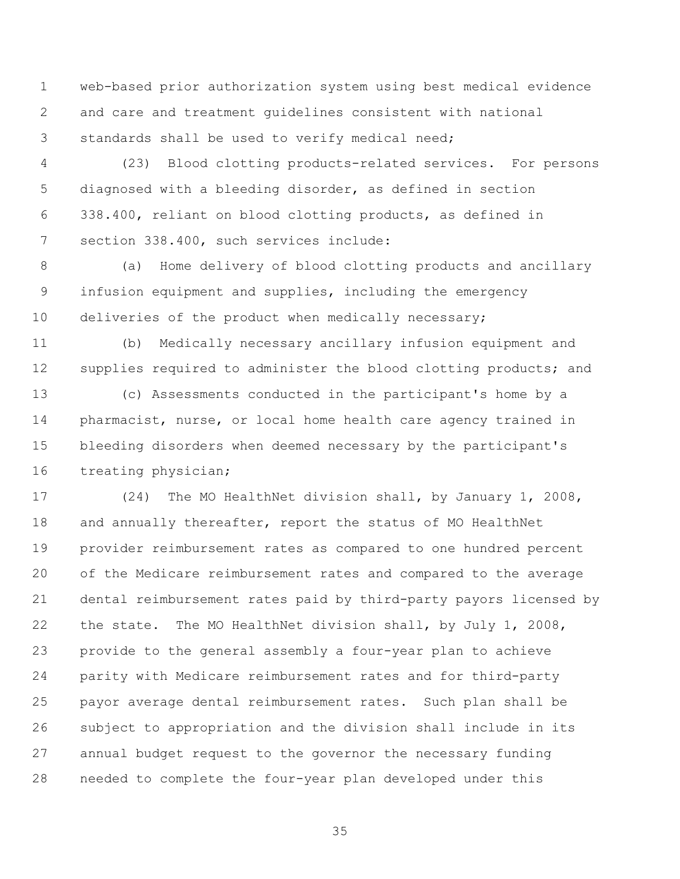web-based prior authorization system using best medical evidence and care and treatment guidelines consistent with national standards shall be used to verify medical need;

 (23) Blood clotting products-related services. For persons diagnosed with a bleeding disorder, as defined in section 338.400, reliant on blood clotting products, as defined in section 338.400, such services include:

 (a) Home delivery of blood clotting products and ancillary infusion equipment and supplies, including the emergency 10 deliveries of the product when medically necessary;

 (b) Medically necessary ancillary infusion equipment and 12 supplies required to administer the blood clotting products; and

 (c) Assessments conducted in the participant's home by a pharmacist, nurse, or local home health care agency trained in bleeding disorders when deemed necessary by the participant's treating physician;

 (24) The MO HealthNet division shall, by January 1, 2008, 18 and annually thereafter, report the status of MO HealthNet provider reimbursement rates as compared to one hundred percent of the Medicare reimbursement rates and compared to the average dental reimbursement rates paid by third-party payors licensed by the state. The MO HealthNet division shall, by July 1, 2008, provide to the general assembly a four-year plan to achieve parity with Medicare reimbursement rates and for third-party payor average dental reimbursement rates. Such plan shall be subject to appropriation and the division shall include in its annual budget request to the governor the necessary funding needed to complete the four-year plan developed under this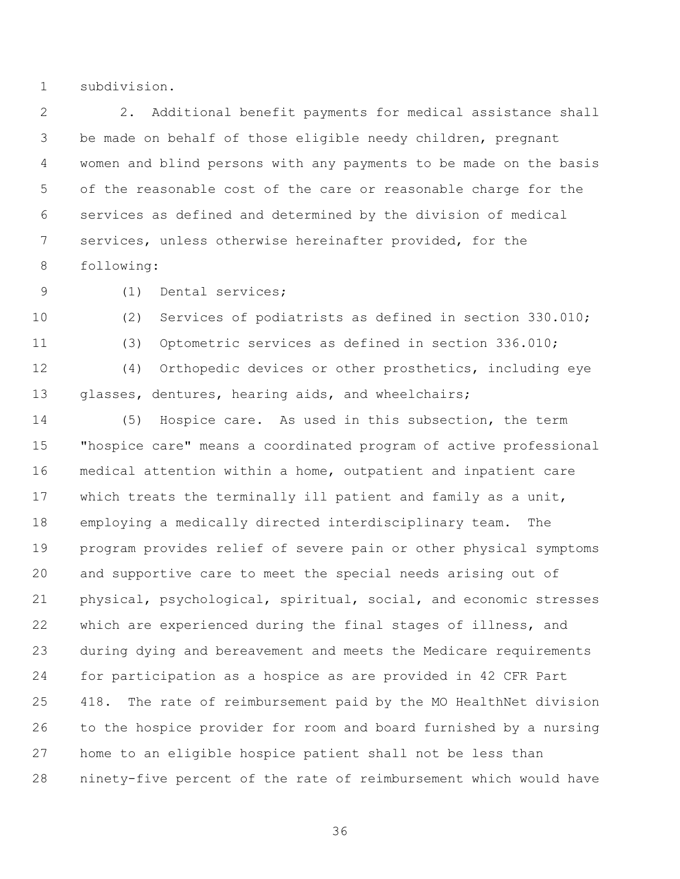subdivision.

 2. Additional benefit payments for medical assistance shall be made on behalf of those eligible needy children, pregnant women and blind persons with any payments to be made on the basis of the reasonable cost of the care or reasonable charge for the services as defined and determined by the division of medical services, unless otherwise hereinafter provided, for the following:

(1) Dental services;

 (2) Services of podiatrists as defined in section 330.010; (3) Optometric services as defined in section 336.010; (4) Orthopedic devices or other prosthetics, including eye glasses, dentures, hearing aids, and wheelchairs;

 (5) Hospice care. As used in this subsection, the term "hospice care" means a coordinated program of active professional medical attention within a home, outpatient and inpatient care which treats the terminally ill patient and family as a unit, employing a medically directed interdisciplinary team. The program provides relief of severe pain or other physical symptoms and supportive care to meet the special needs arising out of physical, psychological, spiritual, social, and economic stresses which are experienced during the final stages of illness, and during dying and bereavement and meets the Medicare requirements for participation as a hospice as are provided in 42 CFR Part 418. The rate of reimbursement paid by the MO HealthNet division to the hospice provider for room and board furnished by a nursing home to an eligible hospice patient shall not be less than ninety-five percent of the rate of reimbursement which would have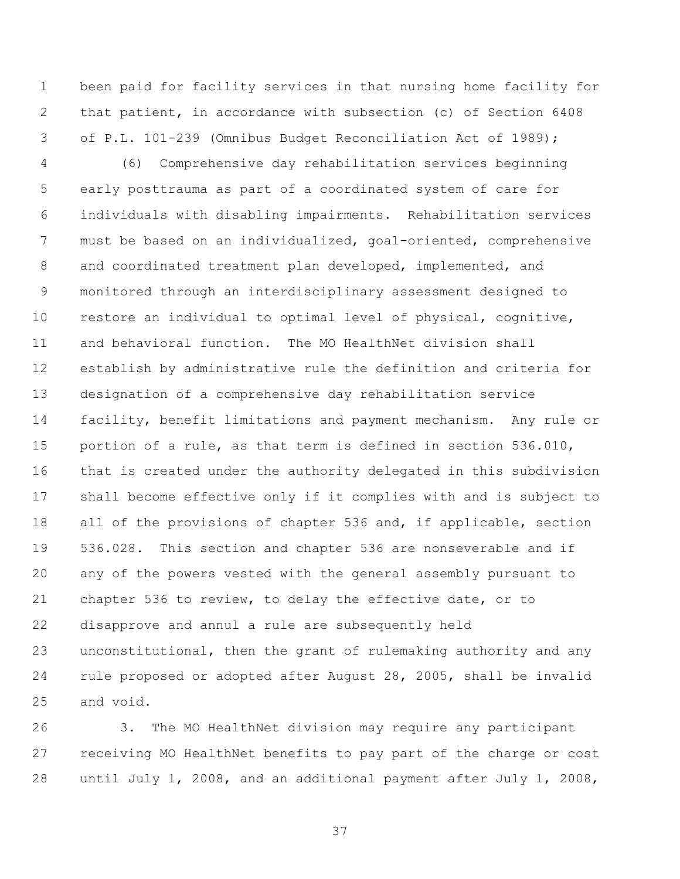been paid for facility services in that nursing home facility for that patient, in accordance with subsection (c) of Section 6408 of P.L. 101-239 (Omnibus Budget Reconciliation Act of 1989);

 (6) Comprehensive day rehabilitation services beginning early posttrauma as part of a coordinated system of care for individuals with disabling impairments. Rehabilitation services must be based on an individualized, goal-oriented, comprehensive and coordinated treatment plan developed, implemented, and monitored through an interdisciplinary assessment designed to restore an individual to optimal level of physical, cognitive, and behavioral function. The MO HealthNet division shall establish by administrative rule the definition and criteria for designation of a comprehensive day rehabilitation service facility, benefit limitations and payment mechanism. Any rule or portion of a rule, as that term is defined in section 536.010, that is created under the authority delegated in this subdivision shall become effective only if it complies with and is subject to 18 all of the provisions of chapter 536 and, if applicable, section 536.028. This section and chapter 536 are nonseverable and if any of the powers vested with the general assembly pursuant to chapter 536 to review, to delay the effective date, or to disapprove and annul a rule are subsequently held unconstitutional, then the grant of rulemaking authority and any rule proposed or adopted after August 28, 2005, shall be invalid and void.

 3. The MO HealthNet division may require any participant receiving MO HealthNet benefits to pay part of the charge or cost until July 1, 2008, and an additional payment after July 1, 2008,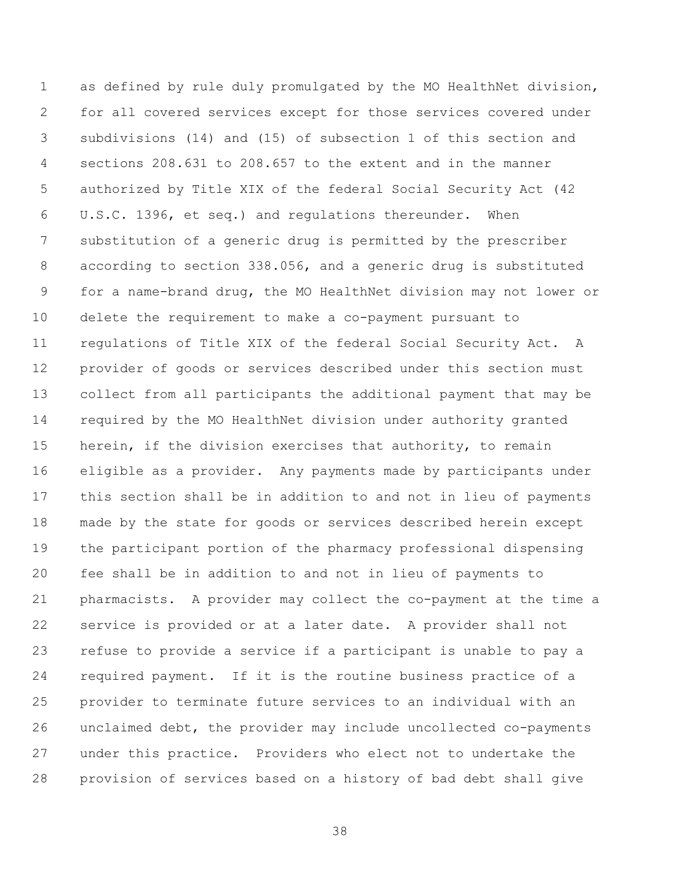as defined by rule duly promulgated by the MO HealthNet division, for all covered services except for those services covered under subdivisions (14) and (15) of subsection 1 of this section and sections 208.631 to 208.657 to the extent and in the manner authorized by Title XIX of the federal Social Security Act (42 U.S.C. 1396, et seq.) and regulations thereunder. When substitution of a generic drug is permitted by the prescriber according to section 338.056, and a generic drug is substituted for a name-brand drug, the MO HealthNet division may not lower or delete the requirement to make a co-payment pursuant to regulations of Title XIX of the federal Social Security Act. A provider of goods or services described under this section must collect from all participants the additional payment that may be required by the MO HealthNet division under authority granted herein, if the division exercises that authority, to remain eligible as a provider. Any payments made by participants under this section shall be in addition to and not in lieu of payments made by the state for goods or services described herein except the participant portion of the pharmacy professional dispensing fee shall be in addition to and not in lieu of payments to pharmacists. A provider may collect the co-payment at the time a service is provided or at a later date. A provider shall not refuse to provide a service if a participant is unable to pay a required payment. If it is the routine business practice of a provider to terminate future services to an individual with an unclaimed debt, the provider may include uncollected co-payments under this practice. Providers who elect not to undertake the provision of services based on a history of bad debt shall give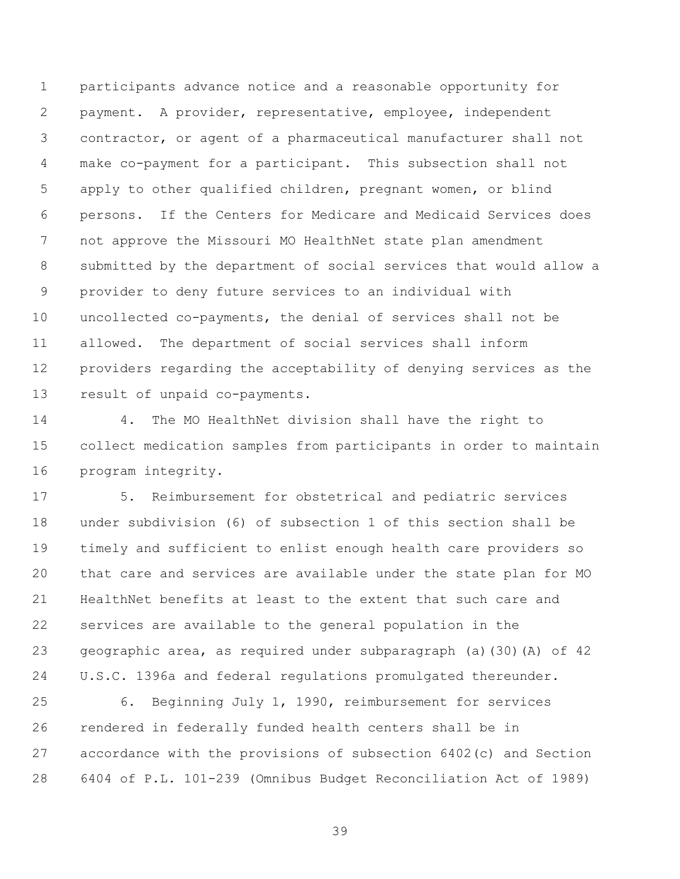participants advance notice and a reasonable opportunity for payment. A provider, representative, employee, independent contractor, or agent of a pharmaceutical manufacturer shall not make co-payment for a participant. This subsection shall not apply to other qualified children, pregnant women, or blind persons. If the Centers for Medicare and Medicaid Services does not approve the Missouri MO HealthNet state plan amendment submitted by the department of social services that would allow a provider to deny future services to an individual with uncollected co-payments, the denial of services shall not be allowed. The department of social services shall inform providers regarding the acceptability of denying services as the result of unpaid co-payments.

 4. The MO HealthNet division shall have the right to collect medication samples from participants in order to maintain program integrity.

 5. Reimbursement for obstetrical and pediatric services under subdivision (6) of subsection 1 of this section shall be timely and sufficient to enlist enough health care providers so that care and services are available under the state plan for MO HealthNet benefits at least to the extent that such care and services are available to the general population in the geographic area, as required under subparagraph (a)(30)(A) of 42 U.S.C. 1396a and federal regulations promulgated thereunder.

 6. Beginning July 1, 1990, reimbursement for services rendered in federally funded health centers shall be in accordance with the provisions of subsection 6402(c) and Section 6404 of P.L. 101-239 (Omnibus Budget Reconciliation Act of 1989)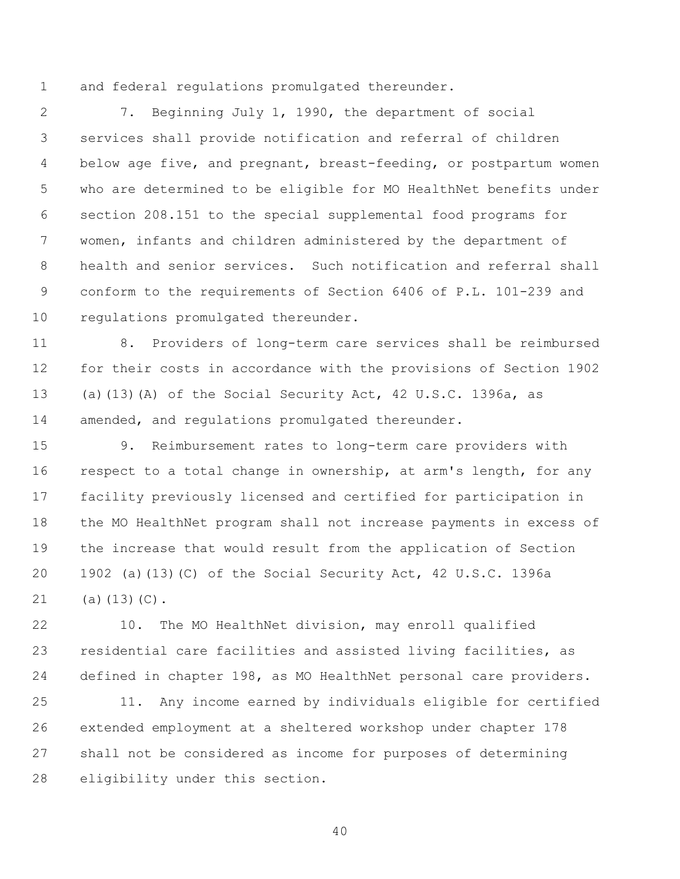and federal regulations promulgated thereunder.

 7. Beginning July 1, 1990, the department of social services shall provide notification and referral of children below age five, and pregnant, breast-feeding, or postpartum women who are determined to be eligible for MO HealthNet benefits under section 208.151 to the special supplemental food programs for women, infants and children administered by the department of health and senior services. Such notification and referral shall conform to the requirements of Section 6406 of P.L. 101-239 and regulations promulgated thereunder.

 8. Providers of long-term care services shall be reimbursed for their costs in accordance with the provisions of Section 1902 (a)(13)(A) of the Social Security Act, 42 U.S.C. 1396a, as amended, and regulations promulgated thereunder.

 9. Reimbursement rates to long-term care providers with respect to a total change in ownership, at arm's length, for any facility previously licensed and certified for participation in the MO HealthNet program shall not increase payments in excess of the increase that would result from the application of Section 1902 (a)(13)(C) of the Social Security Act, 42 U.S.C. 1396a (a)(13)(C).

 10. The MO HealthNet division, may enroll qualified residential care facilities and assisted living facilities, as defined in chapter 198, as MO HealthNet personal care providers.

 11. Any income earned by individuals eligible for certified extended employment at a sheltered workshop under chapter 178 shall not be considered as income for purposes of determining eligibility under this section.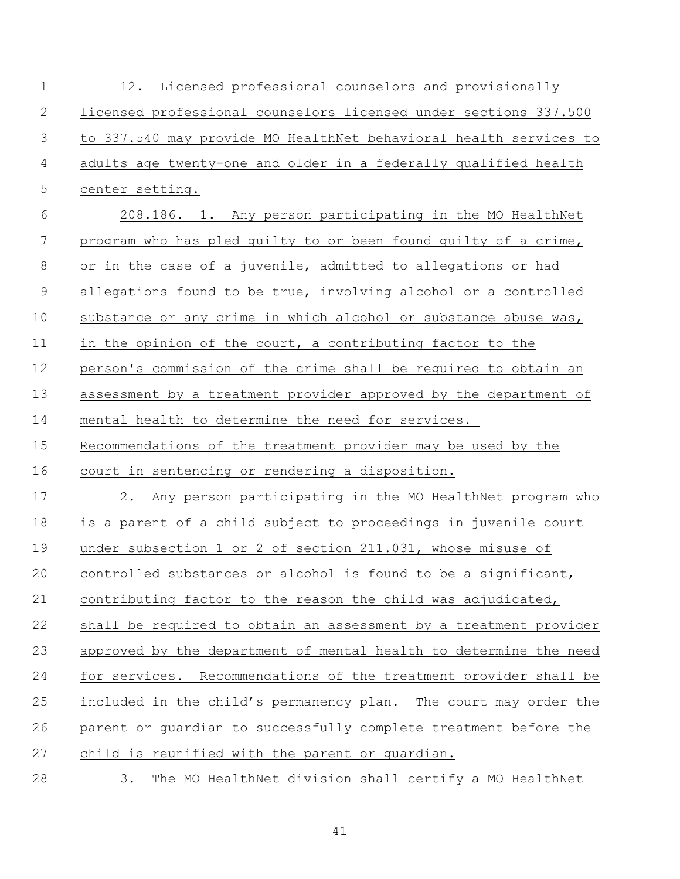| $\mathbf 1$    | 12. Licensed professional counselors and provisionally            |
|----------------|-------------------------------------------------------------------|
| 2              | licensed professional counselors licensed under sections 337.500  |
| 3              | to 337.540 may provide MO HealthNet behavioral health services to |
| $\overline{4}$ | adults age twenty-one and older in a federally qualified health   |
| 5              | center setting.                                                   |
| 6              | 208.186. 1. Any person participating in the MO HealthNet          |
| $\overline{7}$ | program who has pled guilty to or been found guilty of a crime,   |
| $8\,$          | or in the case of a juvenile, admitted to allegations or had      |
| $\mathsf 9$    | allegations found to be true, involving alcohol or a controlled   |
| 10             | substance or any crime in which alcohol or substance abuse was,   |
| 11             | in the opinion of the court, a contributing factor to the         |
| 12             | person's commission of the crime shall be required to obtain an   |
| 13             | assessment by a treatment provider approved by the department of  |
| 14             | mental health to determine the need for services.                 |
| 15             | Recommendations of the treatment provider may be used by the      |
| 16             | court in sentencing or rendering a disposition.                   |
| 17             | 2. Any person participating in the MO HealthNet program who       |
| 18             | is a parent of a child subject to proceedings in juvenile court   |
| 19             | under subsection 1 or 2 of section 211.031, whose misuse of       |
| 20             | controlled substances or alcohol is found to be a significant,    |
| 21             | contributing factor to the reason the child was adjudicated,      |
| 22             | shall be required to obtain an assessment by a treatment provider |
| 23             | approved by the department of mental health to determine the need |
| 24             | for services. Recommendations of the treatment provider shall be  |
| 25             | included in the child's permanency plan. The court may order the  |
| 26             | parent or guardian to successfully complete treatment before the  |
| 27             | child is reunified with the parent or quardian.                   |
| 28             | The MO HealthNet division shall certify a MO HealthNet<br>3.      |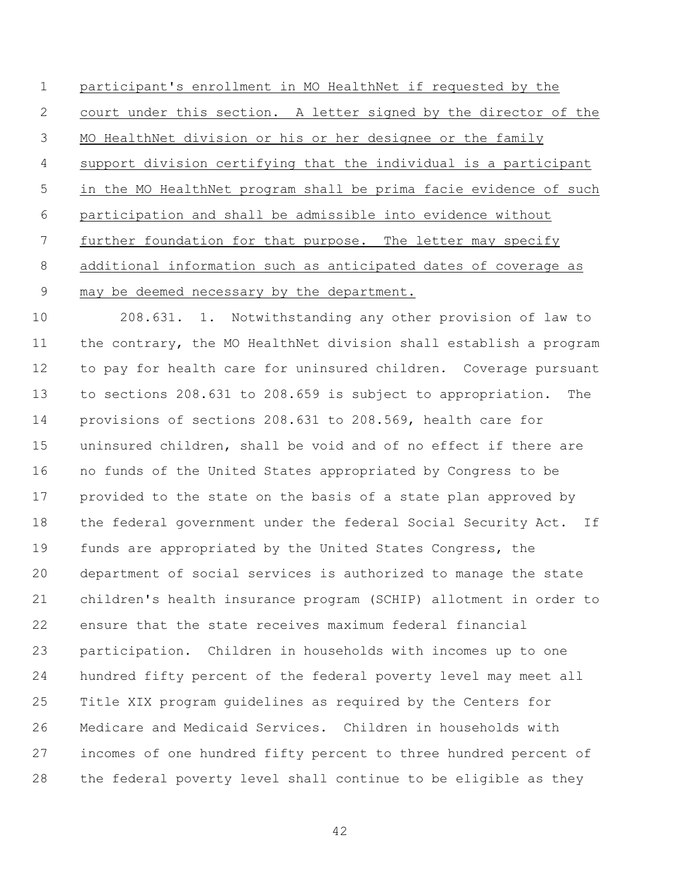participant's enrollment in MO HealthNet if requested by the court under this section. A letter signed by the director of the MO HealthNet division or his or her designee or the family support division certifying that the individual is a participant in the MO HealthNet program shall be prima facie evidence of such participation and shall be admissible into evidence without 7 further foundation for that purpose. The letter may specify additional information such as anticipated dates of coverage as may be deemed necessary by the department.

 208.631. 1. Notwithstanding any other provision of law to the contrary, the MO HealthNet division shall establish a program to pay for health care for uninsured children. Coverage pursuant to sections 208.631 to 208.659 is subject to appropriation. The provisions of sections 208.631 to 208.569, health care for uninsured children, shall be void and of no effect if there are no funds of the United States appropriated by Congress to be provided to the state on the basis of a state plan approved by the federal government under the federal Social Security Act. If funds are appropriated by the United States Congress, the department of social services is authorized to manage the state children's health insurance program (SCHIP) allotment in order to ensure that the state receives maximum federal financial participation. Children in households with incomes up to one hundred fifty percent of the federal poverty level may meet all Title XIX program guidelines as required by the Centers for Medicare and Medicaid Services. Children in households with incomes of one hundred fifty percent to three hundred percent of the federal poverty level shall continue to be eligible as they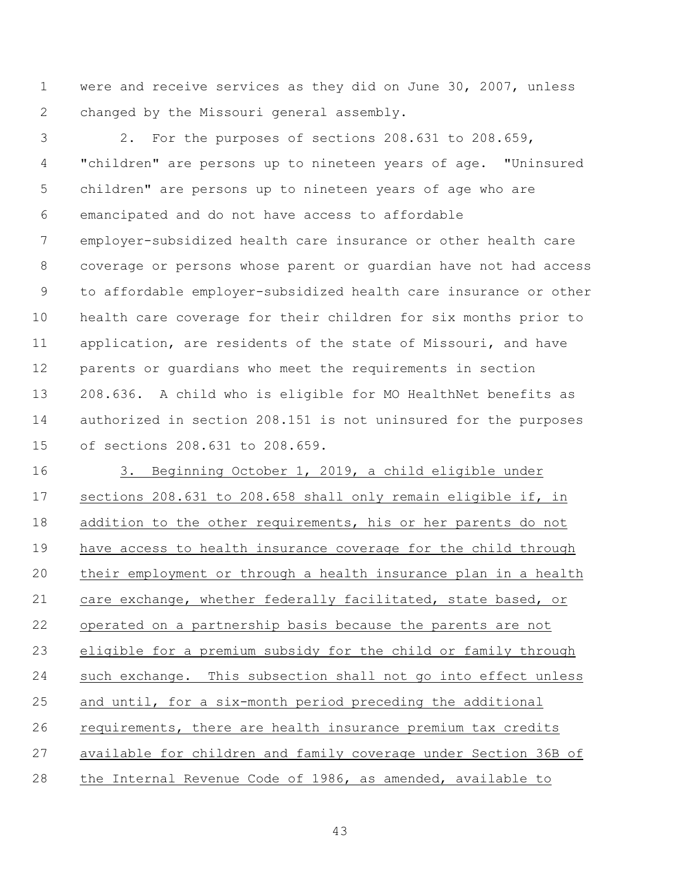were and receive services as they did on June 30, 2007, unless 2 changed by the Missouri general assembly.

 2. For the purposes of sections 208.631 to 208.659, "children" are persons up to nineteen years of age. "Uninsured children" are persons up to nineteen years of age who are emancipated and do not have access to affordable employer-subsidized health care insurance or other health care coverage or persons whose parent or guardian have not had access to affordable employer-subsidized health care insurance or other health care coverage for their children for six months prior to application, are residents of the state of Missouri, and have parents or guardians who meet the requirements in section 208.636. A child who is eligible for MO HealthNet benefits as authorized in section 208.151 is not uninsured for the purposes of sections 208.631 to 208.659.

 3. Beginning October 1, 2019, a child eligible under sections 208.631 to 208.658 shall only remain eligible if, in addition to the other requirements, his or her parents do not have access to health insurance coverage for the child through their employment or through a health insurance plan in a health care exchange, whether federally facilitated, state based, or operated on a partnership basis because the parents are not eligible for a premium subsidy for the child or family through such exchange. This subsection shall not go into effect unless and until, for a six-month period preceding the additional requirements, there are health insurance premium tax credits available for children and family coverage under Section 36B of 28 the Internal Revenue Code of 1986, as amended, available to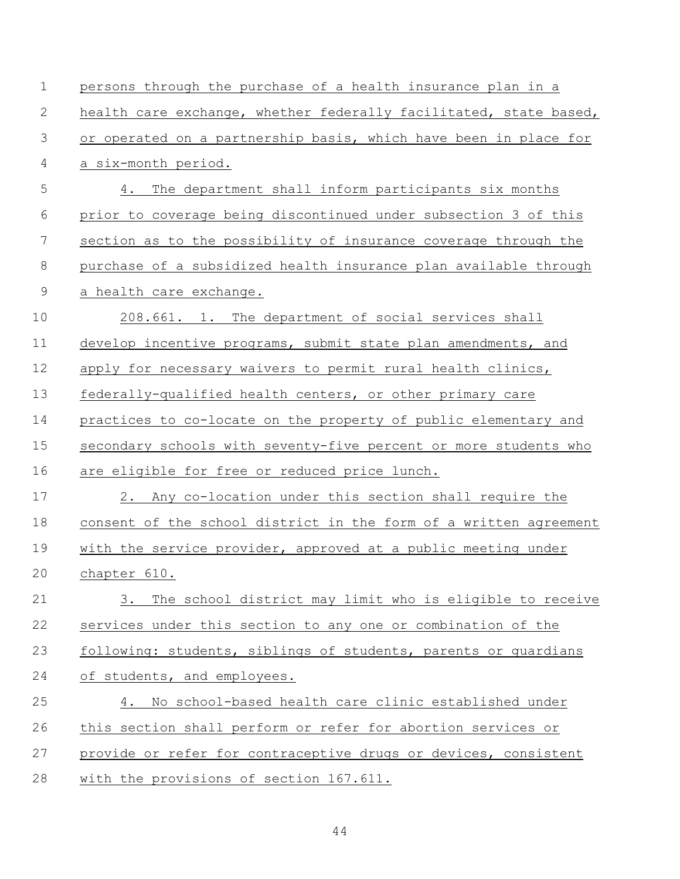| $\mathbf 1$    | persons through the purchase of a health insurance plan in a      |
|----------------|-------------------------------------------------------------------|
| 2              | health care exchange, whether federally facilitated, state based, |
| 3              | or operated on a partnership basis, which have been in place for  |
| $\overline{4}$ | a six-month period.                                               |
| 5              | The department shall inform participants six months<br>4.         |
| 6              | prior to coverage being discontinued under subsection 3 of this   |
| 7              | section as to the possibility of insurance coverage through the   |
| $\,8\,$        | purchase of a subsidized health insurance plan available through  |
| $\mathsf 9$    | a health care exchange.                                           |
| 10             | 208.661. 1. The department of social services shall               |
| 11             | develop incentive programs, submit state plan amendments, and     |
| 12             | apply for necessary waivers to permit rural health clinics,       |
| 13             | federally-qualified health centers, or other primary care         |
| 14             | practices to co-locate on the property of public elementary and   |
| 15             | secondary schools with seventy-five percent or more students who  |
| 16             | are eligible for free or reduced price lunch.                     |
| 17             | 2. Any co-location under this section shall require the           |
| 18             | consent of the school district in the form of a written agreement |
| 19             | with the service provider, approved at a public meeting under     |
| 20             | chapter 610.                                                      |
| 21             | The school district may limit who is eligible to receive<br>3.    |
| 22             | services under this section to any one or combination of the      |
| 23             | following: students, siblings of students, parents or guardians   |
| 24             | of students, and employees.                                       |
| 25             | No school-based health care clinic established under<br>4.        |
| 26             | this section shall perform or refer for abortion services or      |
| 27             | provide or refer for contraceptive drugs or devices, consistent   |
| 28             | with the provisions of section 167.611.                           |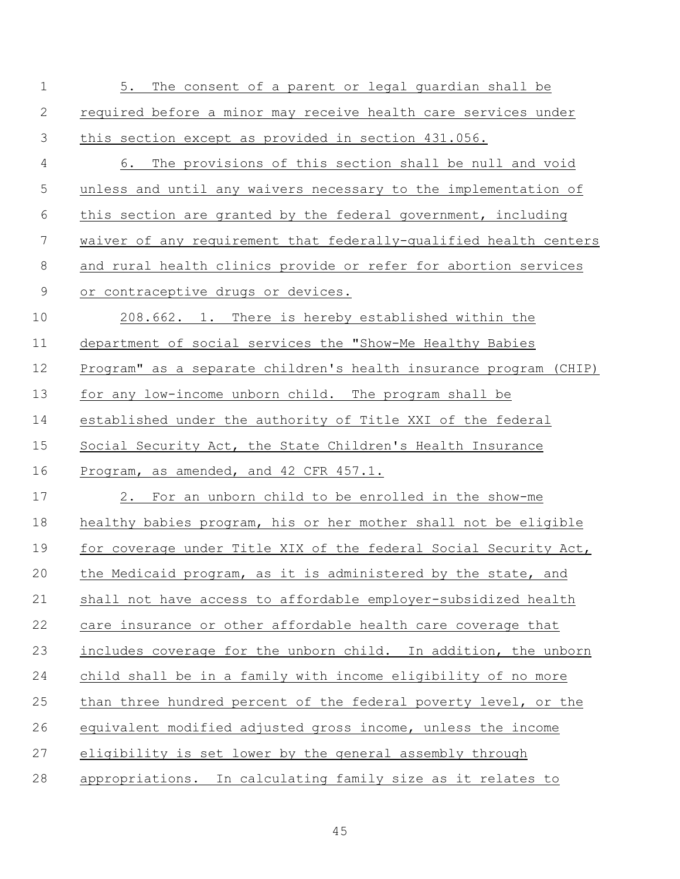| $\mathbf 1$ | 5.<br>The consent of a parent or legal guardian shall be          |
|-------------|-------------------------------------------------------------------|
| 2           | required before a minor may receive health care services under    |
| 3           | this section except as provided in section 431.056.               |
| 4           | 6. The provisions of this section shall be null and void          |
| 5           | unless and until any waivers necessary to the implementation of   |
| 6           | this section are granted by the federal government, including     |
| 7           | waiver of any requirement that federally-qualified health centers |
| 8           | and rural health clinics provide or refer for abortion services   |
| 9           | or contraceptive drugs or devices.                                |
| 10          | 208.662. 1. There is hereby established within the                |
| 11          | department of social services the "Show-Me Healthy Babies         |
| 12          | Program" as a separate children's health insurance program (CHIP) |
| 13          | for any low-income unborn child. The program shall be             |
| 14          | established under the authority of Title XXI of the federal       |
| 15          | Social Security Act, the State Children's Health Insurance        |
| 16          | Program, as amended, and 42 CFR 457.1.                            |
| 17          | For an unborn child to be enrolled in the show-me<br>2.           |
| 18          | healthy babies program, his or her mother shall not be eligible   |
| 19          | for coverage under Title XIX of the federal Social Security Act,  |
| 20          | the Medicaid program, as it is administered by the state, and     |
| 21          | shall not have access to affordable employer-subsidized health    |
| 22          | care insurance or other affordable health care coverage that      |
| 23          | includes coverage for the unborn child. In addition, the unborn   |
| 24          | child shall be in a family with income eligibility of no more     |
| 25          | than three hundred percent of the federal poverty level, or the   |
| 26          | equivalent modified adjusted gross income, unless the income      |
| 27          | eligibility is set lower by the general assembly through          |
| 28          | appropriations. In calculating family size as it relates to       |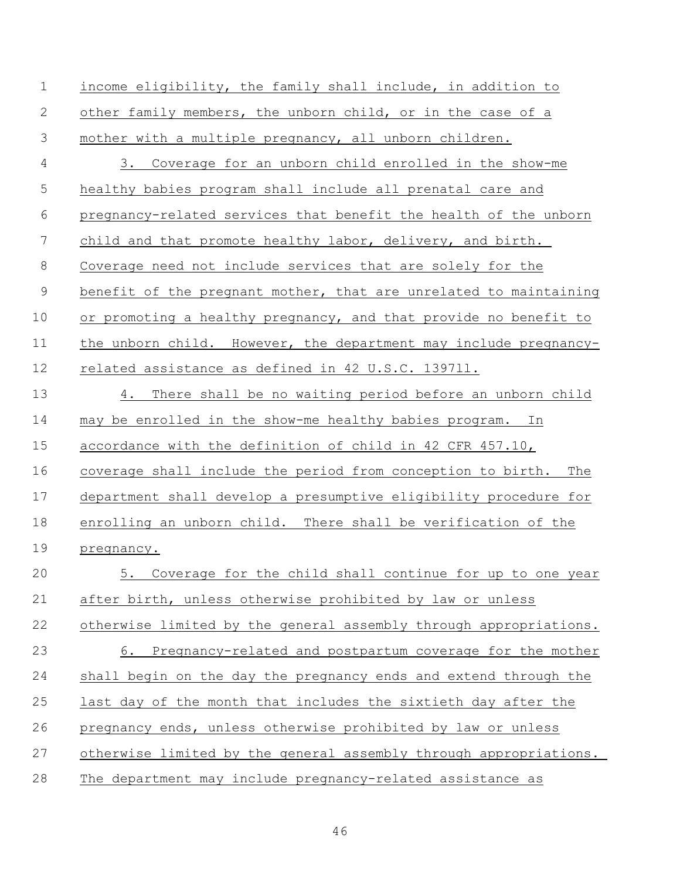| $\mathbf 1$    | income eligibility, the family shall include, in addition to       |
|----------------|--------------------------------------------------------------------|
| 2              | other family members, the unborn child, or in the case of a        |
| $\mathfrak{Z}$ | mother with a multiple pregnancy, all unborn children.             |
| 4              | Coverage for an unborn child enrolled in the show-me<br>3.         |
| 5              | healthy babies program shall include all prenatal care and         |
| 6              | pregnancy-related services that benefit the health of the unborn   |
| 7              | child and that promote healthy labor, delivery, and birth.         |
| $8\,$          | Coverage need not include services that are solely for the         |
| $\mathsf 9$    | benefit of the pregnant mother, that are unrelated to maintaining  |
| 10             | or promoting a healthy pregnancy, and that provide no benefit to   |
| 11             | the unborn child. However, the department may include pregnancy-   |
| 12             | related assistance as defined in 42 U.S.C. 139711.                 |
| 13             | 4. There shall be no waiting period before an unborn child         |
| 14             | may be enrolled in the show-me healthy babies program. In          |
| 15             | accordance with the definition of child in 42 CFR 457.10,          |
| 16             | coverage shall include the period from conception to birth.<br>The |
| 17             | department shall develop a presumptive eligibility procedure for   |
| 18             | enrolling an unborn child. There shall be verification of the      |
| 19             | pregnancy.                                                         |
| 20             | 5. Coverage for the child shall continue for up to one year        |
| 21             | after birth, unless otherwise prohibited by law or unless          |
| 22             | otherwise limited by the general assembly through appropriations.  |
| 23             | Pregnancy-related and postpartum coverage for the mother<br>6.     |
| 24             | shall begin on the day the pregnancy ends and extend through the   |
| 25             | last day of the month that includes the sixtieth day after the     |
| 26             | pregnancy ends, unless otherwise prohibited by law or unless       |
| 27             | otherwise limited by the general assembly through appropriations.  |
| 28             | The department may include pregnancy-related assistance as         |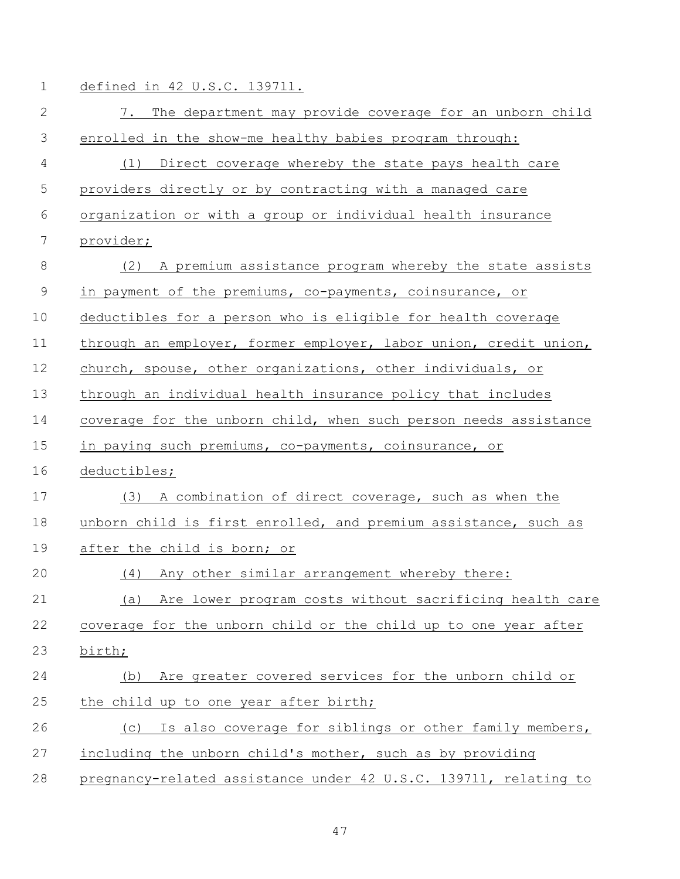1 defined in 42 U.S.C. 1397ll.

| $\mathbf{2}$ | 7. The department may provide coverage for an unborn child       |
|--------------|------------------------------------------------------------------|
| 3            | enrolled in the show-me healthy babies program through:          |
| 4            | (1) Direct coverage whereby the state pays health care           |
| 5            | providers directly or by contracting with a managed care         |
| 6            | organization or with a group or individual health insurance      |
| 7            | provider;                                                        |
|              |                                                                  |
| $\,8\,$      | (2) A premium assistance program whereby the state assists       |
| $\mathsf 9$  | in payment of the premiums, co-payments, coinsurance, or         |
| 10           | deductibles for a person who is eligible for health coverage     |
| 11           | through an employer, former employer, labor union, credit union, |
| 12           | church, spouse, other organizations, other individuals, or       |
| 13           | through an individual health insurance policy that includes      |
| 14           | coverage for the unborn child, when such person needs assistance |
| 15           | in paying such premiums, co-payments, coinsurance, or            |
| 16           | deductibles;                                                     |
| 17           | A combination of direct coverage, such as when the<br>(3)        |
| 18           | unborn child is first enrolled, and premium assistance, such as  |
| 19           | after the child is born; or                                      |
| 20           | Any other similar arrangement whereby there:<br>(4)              |
| 21           | (a) Are lower program costs without sacrificing health care      |
| 22           | coverage for the unborn child or the child up to one year after  |
| 23           | birth;                                                           |
| 24           | Are greater covered services for the unborn child or<br>(b)      |
| 25           | the child up to one year after birth;                            |
| 26           | Is also coverage for siblings or other family members,<br>(C)    |
| 27           | including the unborn child's mother, such as by providing        |
| 28           | pregnancy-related assistance under 42 U.S.C. 139711, relating to |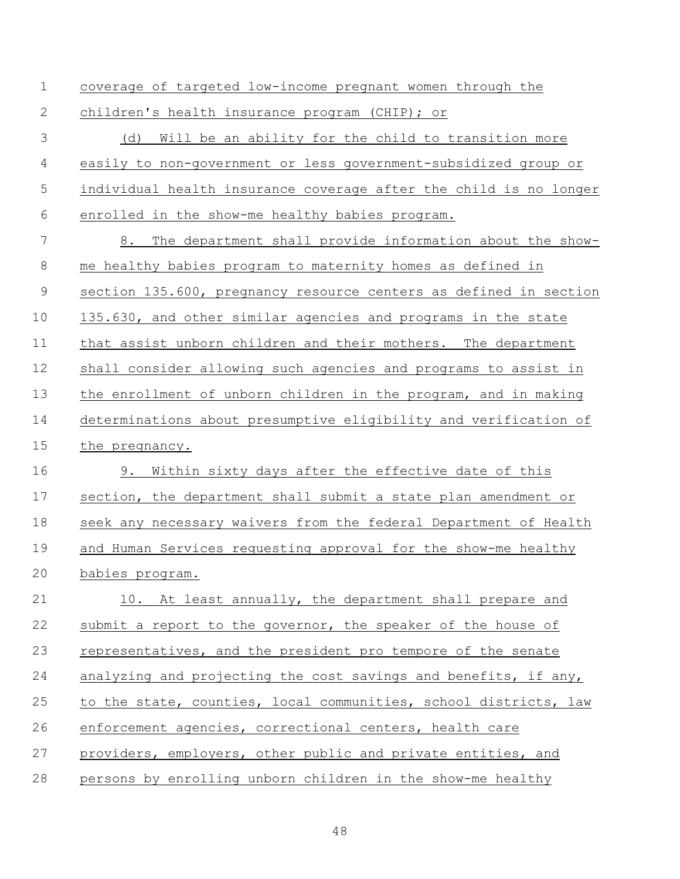coverage of targeted low-income pregnant women through the

children's health insurance program (CHIP); or

 (d) Will be an ability for the child to transition more easily to non-government or less government-subsidized group or individual health insurance coverage after the child is no longer enrolled in the show-me healthy babies program.

 8. The department shall provide information about the show- me healthy babies program to maternity homes as defined in 9 section 135.600, pregnancy resource centers as defined in section 135.630, and other similar agencies and programs in the state that assist unborn children and their mothers. The department shall consider allowing such agencies and programs to assist in the enrollment of unborn children in the program, and in making determinations about presumptive eligibility and verification of the pregnancy. 9. Within sixty days after the effective date of this

 section, the department shall submit a state plan amendment or seek any necessary waivers from the federal Department of Health and Human Services requesting approval for the show-me healthy babies program.

21 10. At least annually, the department shall prepare and 22 submit a report to the governor, the speaker of the house of representatives, and the president pro tempore of the senate analyzing and projecting the cost savings and benefits, if any, to the state, counties, local communities, school districts, law enforcement agencies, correctional centers, health care 27 providers, employers, other public and private entities, and persons by enrolling unborn children in the show-me healthy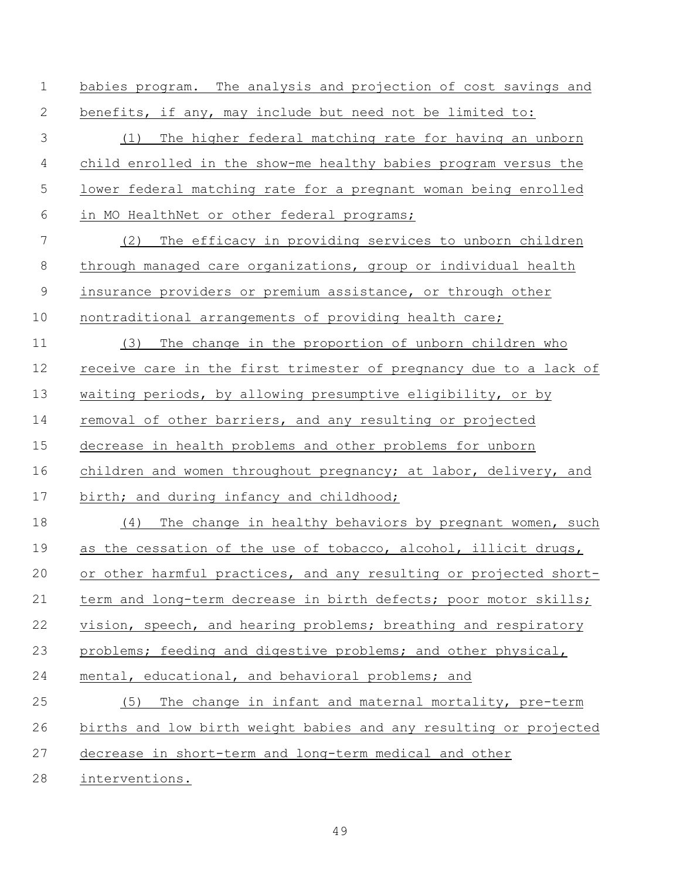benefits, if any, may include but need not be limited to: (1) The higher federal matching rate for having an unborn child enrolled in the show-me healthy babies program versus the lower federal matching rate for a pregnant woman being enrolled in MO HealthNet or other federal programs; (2) The efficacy in providing services to unborn children through managed care organizations, group or individual health insurance providers or premium assistance, or through other 10 nontraditional arrangements of providing health care; (3) The change in the proportion of unborn children who receive care in the first trimester of pregnancy due to a lack of waiting periods, by allowing presumptive eligibility, or by

babies program. The analysis and projection of cost savings and

removal of other barriers, and any resulting or projected

decrease in health problems and other problems for unborn

children and women throughout pregnancy; at labor, delivery, and

17 birth; and during infancy and childhood;

 (4) The change in healthy behaviors by pregnant women, such 19 as the cessation of the use of tobacco, alcohol, illicit drugs, 20 or other harmful practices, and any resulting or projected short- term and long-term decrease in birth defects; poor motor skills; 22 vision, speech, and hearing problems; breathing and respiratory problems; feeding and digestive problems; and other physical, mental, educational, and behavioral problems; and (5) The change in infant and maternal mortality, pre-term births and low birth weight babies and any resulting or projected decrease in short-term and long-term medical and other

interventions.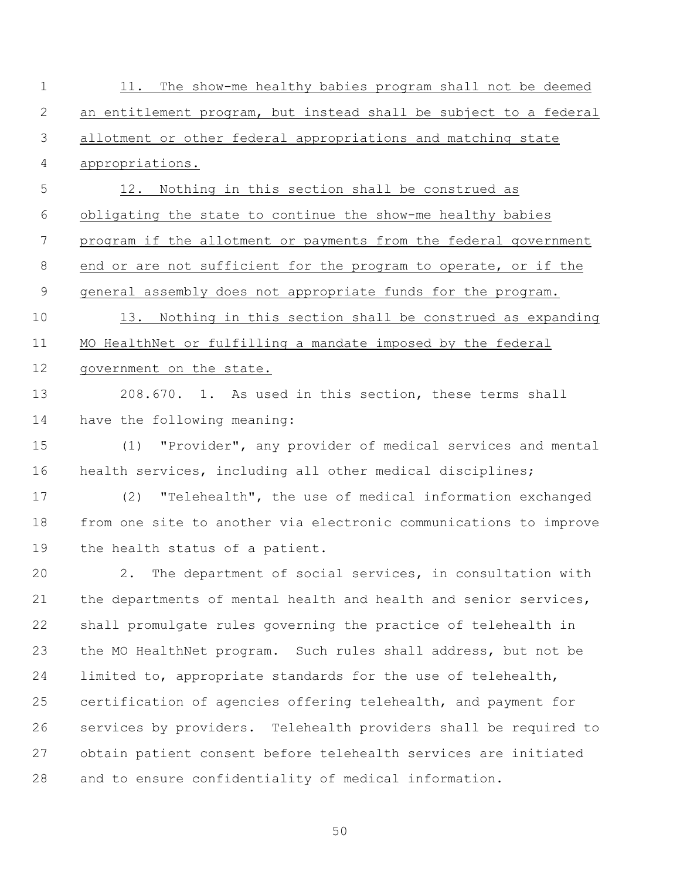| an entitlement program, but instead shall be subject to a federal<br>allotment or other federal appropriations and matching state<br>appropriations.<br>Nothing in this section shall be construed as<br>12.<br>obligating the state to continue the show-me healthy babies<br>program if the allotment or payments from the federal government<br>end or are not sufficient for the program to operate, or if the<br>general assembly does not appropriate funds for the program.<br>Nothing in this section shall be construed as expanding<br>13.<br>MO HealthNet or fulfilling a mandate imposed by the federal |
|---------------------------------------------------------------------------------------------------------------------------------------------------------------------------------------------------------------------------------------------------------------------------------------------------------------------------------------------------------------------------------------------------------------------------------------------------------------------------------------------------------------------------------------------------------------------------------------------------------------------|
|                                                                                                                                                                                                                                                                                                                                                                                                                                                                                                                                                                                                                     |
|                                                                                                                                                                                                                                                                                                                                                                                                                                                                                                                                                                                                                     |
|                                                                                                                                                                                                                                                                                                                                                                                                                                                                                                                                                                                                                     |
|                                                                                                                                                                                                                                                                                                                                                                                                                                                                                                                                                                                                                     |
|                                                                                                                                                                                                                                                                                                                                                                                                                                                                                                                                                                                                                     |
|                                                                                                                                                                                                                                                                                                                                                                                                                                                                                                                                                                                                                     |
|                                                                                                                                                                                                                                                                                                                                                                                                                                                                                                                                                                                                                     |
|                                                                                                                                                                                                                                                                                                                                                                                                                                                                                                                                                                                                                     |
|                                                                                                                                                                                                                                                                                                                                                                                                                                                                                                                                                                                                                     |
|                                                                                                                                                                                                                                                                                                                                                                                                                                                                                                                                                                                                                     |
| government on the state.                                                                                                                                                                                                                                                                                                                                                                                                                                                                                                                                                                                            |
| 208.670. 1. As used in this section, these terms shall                                                                                                                                                                                                                                                                                                                                                                                                                                                                                                                                                              |
| have the following meaning:                                                                                                                                                                                                                                                                                                                                                                                                                                                                                                                                                                                         |
| "Provider", any provider of medical services and mental<br>(1)                                                                                                                                                                                                                                                                                                                                                                                                                                                                                                                                                      |
| health services, including all other medical disciplines;                                                                                                                                                                                                                                                                                                                                                                                                                                                                                                                                                           |
| "Telehealth", the use of medical information exchanged<br>(2)                                                                                                                                                                                                                                                                                                                                                                                                                                                                                                                                                       |
| from one site to another via electronic communications to improve                                                                                                                                                                                                                                                                                                                                                                                                                                                                                                                                                   |
| the health status of a patient.                                                                                                                                                                                                                                                                                                                                                                                                                                                                                                                                                                                     |
| The department of social services, in consultation with<br>2.                                                                                                                                                                                                                                                                                                                                                                                                                                                                                                                                                       |
| the departments of mental health and health and senior services,                                                                                                                                                                                                                                                                                                                                                                                                                                                                                                                                                    |
| shall promulgate rules governing the practice of telehealth in                                                                                                                                                                                                                                                                                                                                                                                                                                                                                                                                                      |
| the MO HealthNet program. Such rules shall address, but not be                                                                                                                                                                                                                                                                                                                                                                                                                                                                                                                                                      |
| limited to, appropriate standards for the use of telehealth,                                                                                                                                                                                                                                                                                                                                                                                                                                                                                                                                                        |
| certification of agencies offering telehealth, and payment for                                                                                                                                                                                                                                                                                                                                                                                                                                                                                                                                                      |
| services by providers. Telehealth providers shall be required to                                                                                                                                                                                                                                                                                                                                                                                                                                                                                                                                                    |
| obtain patient consent before telehealth services are initiated                                                                                                                                                                                                                                                                                                                                                                                                                                                                                                                                                     |
| and to ensure confidentiality of medical information.                                                                                                                                                                                                                                                                                                                                                                                                                                                                                                                                                               |
|                                                                                                                                                                                                                                                                                                                                                                                                                                                                                                                                                                                                                     |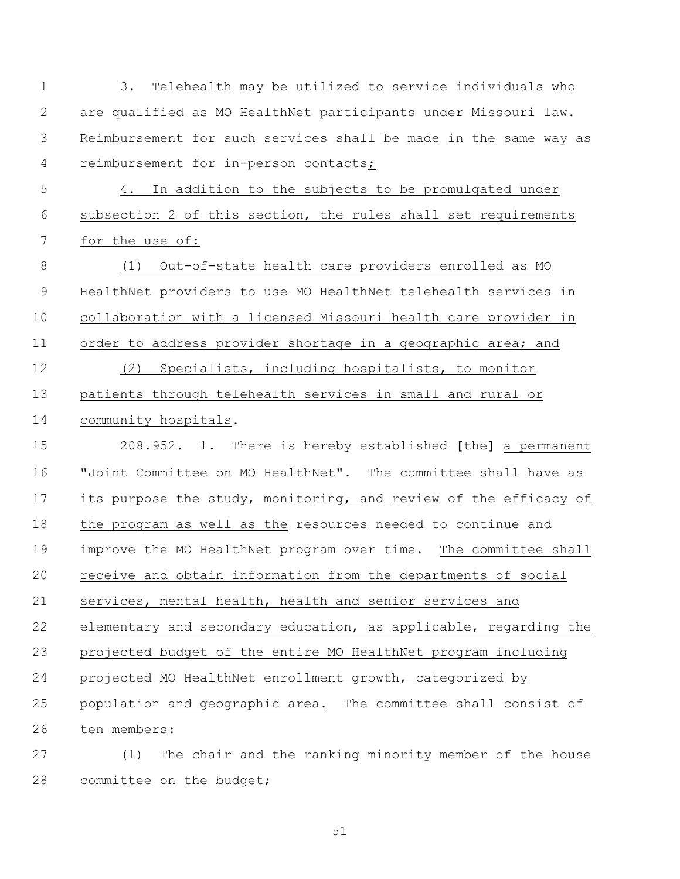3. Telehealth may be utilized to service individuals who are qualified as MO HealthNet participants under Missouri law. Reimbursement for such services shall be made in the same way as reimbursement for in-person contacts;

 4. In addition to the subjects to be promulgated under subsection 2 of this section, the rules shall set requirements for the use of:

 (1) Out-of-state health care providers enrolled as MO HealthNet providers to use MO HealthNet telehealth services in collaboration with a licensed Missouri health care provider in order to address provider shortage in a geographic area; and (2) Specialists, including hospitalists, to monitor patients through telehealth services in small and rural or community hospitals.

 208.952. 1. There is hereby established **[**the**]** a permanent "Joint Committee on MO HealthNet". The committee shall have as its purpose the study, monitoring, and review of the efficacy of the program as well as the resources needed to continue and improve the MO HealthNet program over time. The committee shall receive and obtain information from the departments of social services, mental health, health and senior services and elementary and secondary education, as applicable, regarding the projected budget of the entire MO HealthNet program including projected MO HealthNet enrollment growth, categorized by population and geographic area. The committee shall consist of ten members:

 (1) The chair and the ranking minority member of the house committee on the budget;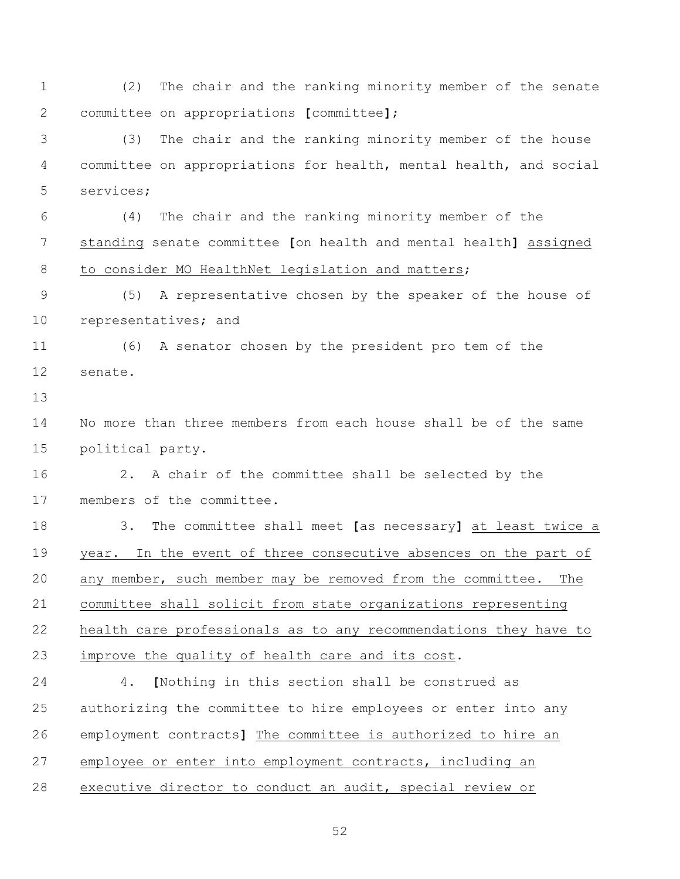(2) The chair and the ranking minority member of the senate committee on appropriations **[**committee**]**;

 (3) The chair and the ranking minority member of the house committee on appropriations for health, mental health, and social services;

 (4) The chair and the ranking minority member of the standing senate committee **[**on health and mental health**]** assigned 8 to consider MO HealthNet legislation and matters;

 (5) A representative chosen by the speaker of the house of representatives; and

 (6) A senator chosen by the president pro tem of the senate.

 No more than three members from each house shall be of the same political party.

 2. A chair of the committee shall be selected by the members of the committee.

 3. The committee shall meet **[**as necessary**]** at least twice a year. In the event of three consecutive absences on the part of any member, such member may be removed from the committee. The committee shall solicit from state organizations representing health care professionals as to any recommendations they have to improve the quality of health care and its cost.

 4. **[**Nothing in this section shall be construed as authorizing the committee to hire employees or enter into any employment contracts**]** The committee is authorized to hire an employee or enter into employment contracts, including an executive director to conduct an audit, special review or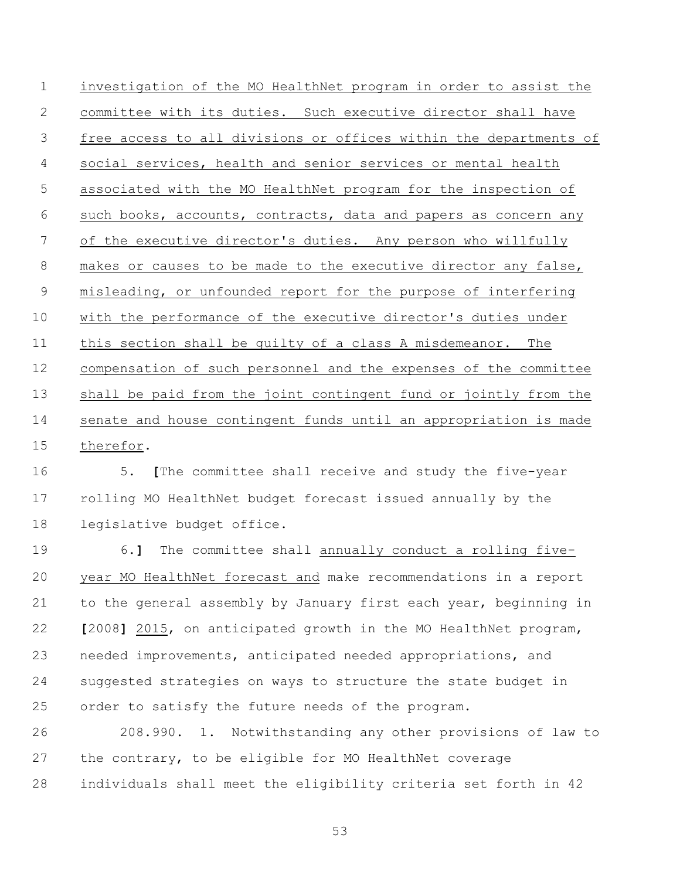investigation of the MO HealthNet program in order to assist the committee with its duties. Such executive director shall have free access to all divisions or offices within the departments of social services, health and senior services or mental health associated with the MO HealthNet program for the inspection of such books, accounts, contracts, data and papers as concern any of the executive director's duties. Any person who willfully makes or causes to be made to the executive director any false, misleading, or unfounded report for the purpose of interfering with the performance of the executive director's duties under this section shall be guilty of a class A misdemeanor. The compensation of such personnel and the expenses of the committee shall be paid from the joint contingent fund or jointly from the senate and house contingent funds until an appropriation is made therefor.

 5. **[**The committee shall receive and study the five-year rolling MO HealthNet budget forecast issued annually by the legislative budget office.

 6.**]** The committee shall annually conduct a rolling five- year MO HealthNet forecast and make recommendations in a report to the general assembly by January first each year, beginning in **[**2008**]** 2015, on anticipated growth in the MO HealthNet program, needed improvements, anticipated needed appropriations, and suggested strategies on ways to structure the state budget in order to satisfy the future needs of the program.

 208.990. 1. Notwithstanding any other provisions of law to the contrary, to be eligible for MO HealthNet coverage individuals shall meet the eligibility criteria set forth in 42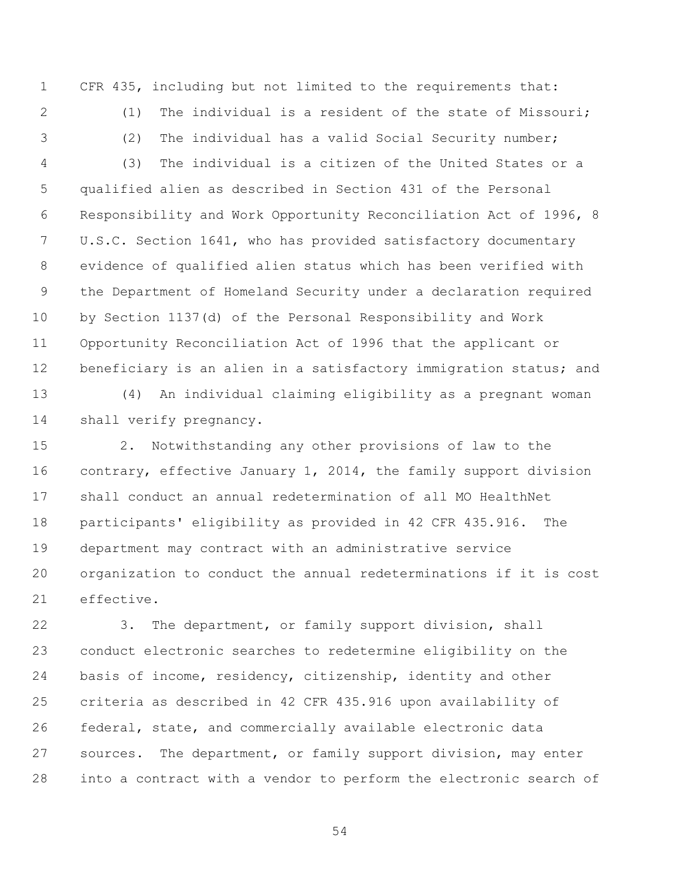CFR 435, including but not limited to the requirements that:

2 (1) The individual is a resident of the state of Missouri;

(2) The individual has a valid Social Security number;

 (3) The individual is a citizen of the United States or a qualified alien as described in Section 431 of the Personal Responsibility and Work Opportunity Reconciliation Act of 1996, 8 U.S.C. Section 1641, who has provided satisfactory documentary evidence of qualified alien status which has been verified with the Department of Homeland Security under a declaration required by Section 1137(d) of the Personal Responsibility and Work Opportunity Reconciliation Act of 1996 that the applicant or 12 beneficiary is an alien in a satisfactory immigration status; and

 (4) An individual claiming eligibility as a pregnant woman shall verify pregnancy.

 2. Notwithstanding any other provisions of law to the contrary, effective January 1, 2014, the family support division shall conduct an annual redetermination of all MO HealthNet participants' eligibility as provided in 42 CFR 435.916. The department may contract with an administrative service organization to conduct the annual redeterminations if it is cost effective.

 3. The department, or family support division, shall conduct electronic searches to redetermine eligibility on the basis of income, residency, citizenship, identity and other criteria as described in 42 CFR 435.916 upon availability of federal, state, and commercially available electronic data sources. The department, or family support division, may enter into a contract with a vendor to perform the electronic search of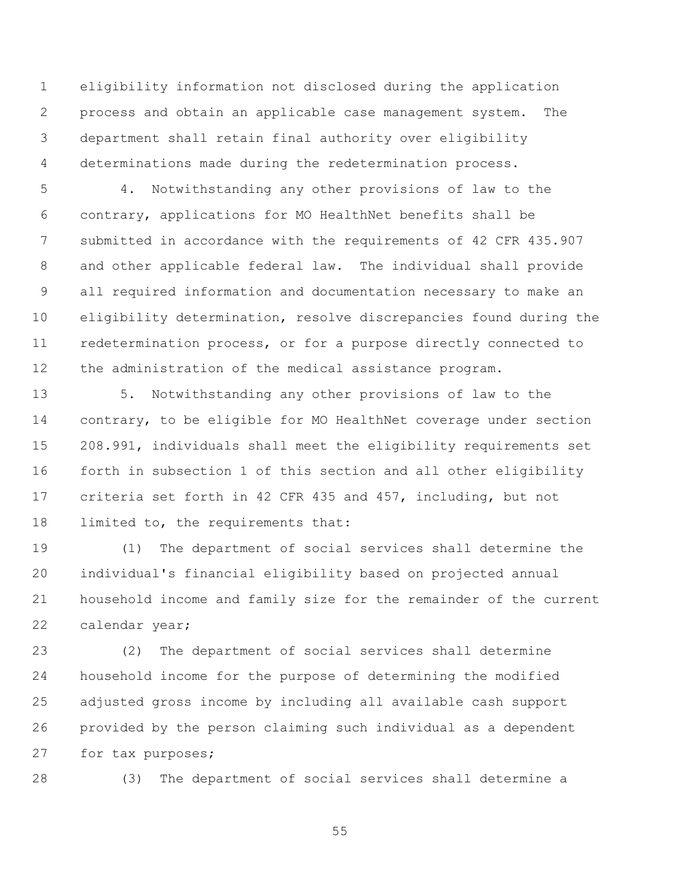eligibility information not disclosed during the application process and obtain an applicable case management system. The department shall retain final authority over eligibility determinations made during the redetermination process.

 4. Notwithstanding any other provisions of law to the contrary, applications for MO HealthNet benefits shall be submitted in accordance with the requirements of 42 CFR 435.907 and other applicable federal law. The individual shall provide all required information and documentation necessary to make an eligibility determination, resolve discrepancies found during the redetermination process, or for a purpose directly connected to the administration of the medical assistance program.

 5. Notwithstanding any other provisions of law to the contrary, to be eligible for MO HealthNet coverage under section 208.991, individuals shall meet the eligibility requirements set forth in subsection 1 of this section and all other eligibility criteria set forth in 42 CFR 435 and 457, including, but not limited to, the requirements that:

 (1) The department of social services shall determine the individual's financial eligibility based on projected annual household income and family size for the remainder of the current calendar year;

 (2) The department of social services shall determine household income for the purpose of determining the modified adjusted gross income by including all available cash support provided by the person claiming such individual as a dependent for tax purposes;

(3) The department of social services shall determine a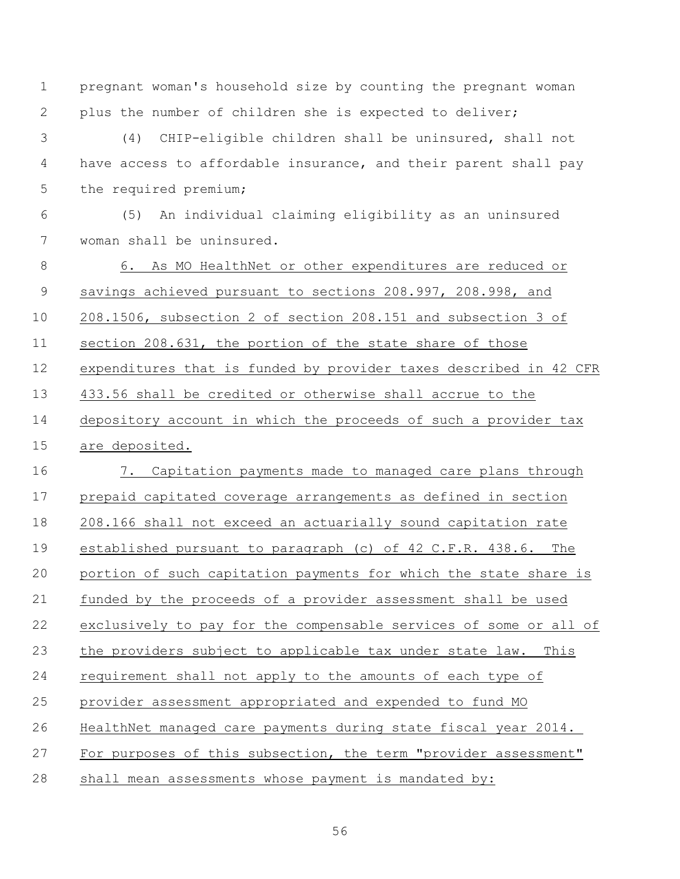pregnant woman's household size by counting the pregnant woman plus the number of children she is expected to deliver; (4) CHIP-eligible children shall be uninsured, shall not 4 have access to affordable insurance, and their parent shall pay 5 the required premium; (5) An individual claiming eligibility as an uninsured woman shall be uninsured. 6. As MO HealthNet or other expenditures are reduced or savings achieved pursuant to sections 208.997, 208.998, and 208.1506, subsection 2 of section 208.151 and subsection 3 of section 208.631, the portion of the state share of those expenditures that is funded by provider taxes described in 42 CFR 433.56 shall be credited or otherwise shall accrue to the depository account in which the proceeds of such a provider tax are deposited. 7. Capitation payments made to managed care plans through prepaid capitated coverage arrangements as defined in section 208.166 shall not exceed an actuarially sound capitation rate established pursuant to paragraph (c) of 42 C.F.R. 438.6. The portion of such capitation payments for which the state share is funded by the proceeds of a provider assessment shall be used exclusively to pay for the compensable services of some or all of the providers subject to applicable tax under state law. This requirement shall not apply to the amounts of each type of provider assessment appropriated and expended to fund MO HealthNet managed care payments during state fiscal year 2014. For purposes of this subsection, the term "provider assessment" shall mean assessments whose payment is mandated by: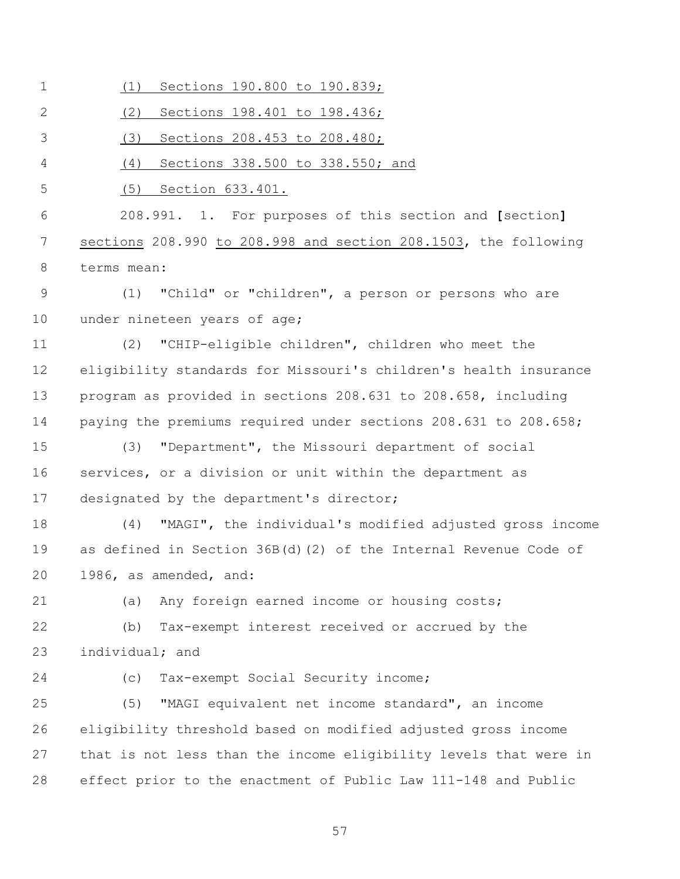| $\mathbf 1$  | Sections 190.800 to 190.839;<br>(1)                              |
|--------------|------------------------------------------------------------------|
| $\mathbf{2}$ | (2)<br>Sections 198.401 to 198.436;                              |
| 3            | (3)<br>Sections 208.453 to 208.480;                              |
| 4            | (4)<br>Sections 338.500 to 338.550; and                          |
| 5            | (5) Section 633.401.                                             |
| 6            | 208.991. 1. For purposes of this section and [section]           |
| 7            | sections 208.990 to 208.998 and section 208.1503, the following  |
| 8            | terms mean:                                                      |
| $\mathsf 9$  | "Child" or "children", a person or persons who are<br>(1)        |
| 10           | under nineteen years of age;                                     |
| 11           | "CHIP-eligible children", children who meet the<br>(2)           |
| 12           | eligibility standards for Missouri's children's health insurance |
| 13           | program as provided in sections 208.631 to 208.658, including    |
| 14           | paying the premiums required under sections 208.631 to 208.658;  |
| 15           | "Department", the Missouri department of social<br>(3)           |
| 16           | services, or a division or unit within the department as         |
| 17           | designated by the department's director;                         |
| 18           | "MAGI", the individual's modified adjusted gross income<br>(4)   |
| 19           | as defined in Section 36B(d)(2) of the Internal Revenue Code of  |
| 20           | 1986, as amended, and:                                           |
| 21           | Any foreign earned income or housing costs;<br>(a)               |
| 22           | Tax-exempt interest received or accrued by the<br>(b)            |
| 23           | individual; and                                                  |
| 24           | Tax-exempt Social Security income;<br>(C)                        |
| 25           | (5)<br>"MAGI equivalent net income standard", an income          |
| 26           | eligibility threshold based on modified adjusted gross income    |
| 27           | that is not less than the income eligibility levels that were in |
| 28           | effect prior to the enactment of Public Law 111-148 and Public   |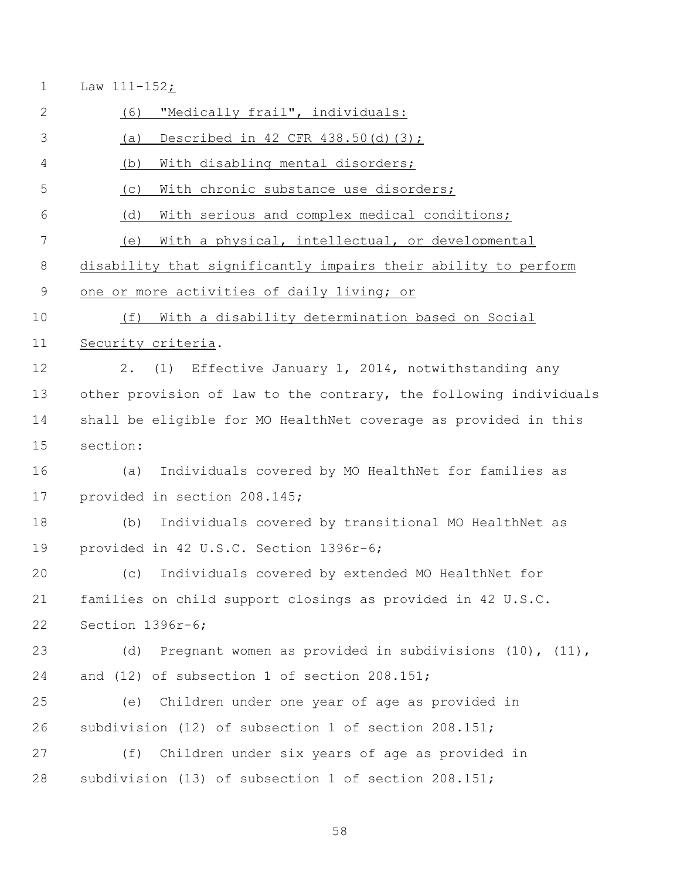Law 111-152;

 (6) "Medically frail", individuals: (a) Described in 42 CFR 438.50(d)(3); (b) With disabling mental disorders; (c) With chronic substance use disorders; (d) With serious and complex medical conditions; (e) With a physical, intellectual, or developmental disability that significantly impairs their ability to perform one or more activities of daily living; or (f) With a disability determination based on Social Security criteria. 2. (1) Effective January 1, 2014, notwithstanding any other provision of law to the contrary, the following individuals shall be eligible for MO HealthNet coverage as provided in this section: (a) Individuals covered by MO HealthNet for families as provided in section 208.145; (b) Individuals covered by transitional MO HealthNet as provided in 42 U.S.C. Section 1396r-6; (c) Individuals covered by extended MO HealthNet for families on child support closings as provided in 42 U.S.C. Section 1396r-6; (d) Pregnant women as provided in subdivisions (10), (11), and (12) of subsection 1 of section 208.151; (e) Children under one year of age as provided in subdivision (12) of subsection 1 of section 208.151; (f) Children under six years of age as provided in subdivision (13) of subsection 1 of section 208.151;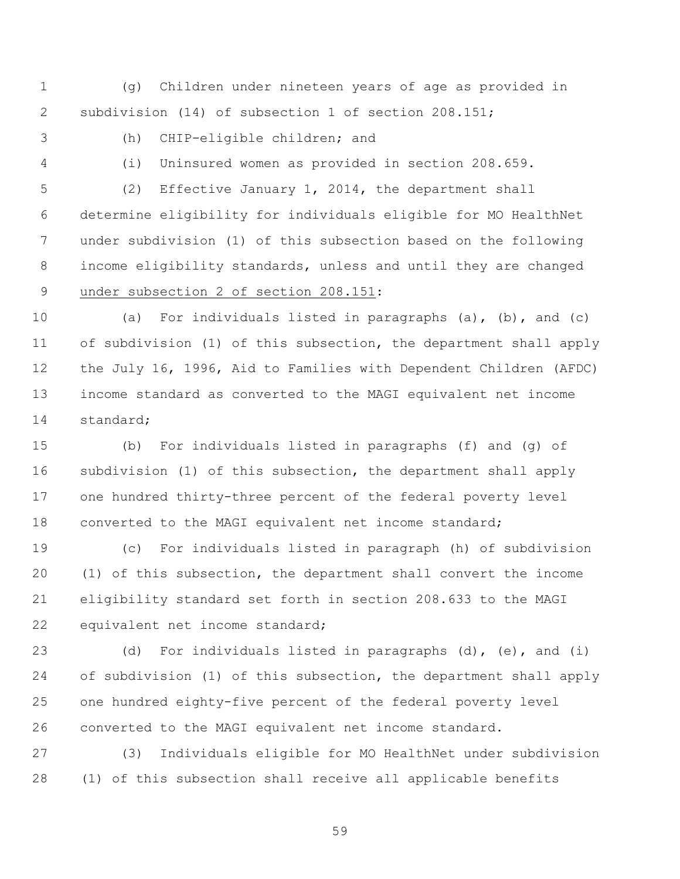(g) Children under nineteen years of age as provided in subdivision (14) of subsection 1 of section 208.151;

(h) CHIP-eligible children; and

(i) Uninsured women as provided in section 208.659.

 (2) Effective January 1, 2014, the department shall determine eligibility for individuals eligible for MO HealthNet under subdivision (1) of this subsection based on the following income eligibility standards, unless and until they are changed under subsection 2 of section 208.151:

 (a) For individuals listed in paragraphs (a), (b), and (c) of subdivision (1) of this subsection, the department shall apply the July 16, 1996, Aid to Families with Dependent Children (AFDC) income standard as converted to the MAGI equivalent net income standard;

 (b) For individuals listed in paragraphs (f) and (g) of subdivision (1) of this subsection, the department shall apply one hundred thirty-three percent of the federal poverty level 18 converted to the MAGI equivalent net income standard;

 (c) For individuals listed in paragraph (h) of subdivision (1) of this subsection, the department shall convert the income eligibility standard set forth in section 208.633 to the MAGI equivalent net income standard;

 (d) For individuals listed in paragraphs (d), (e), and (i) of subdivision (1) of this subsection, the department shall apply one hundred eighty-five percent of the federal poverty level converted to the MAGI equivalent net income standard.

 (3) Individuals eligible for MO HealthNet under subdivision (1) of this subsection shall receive all applicable benefits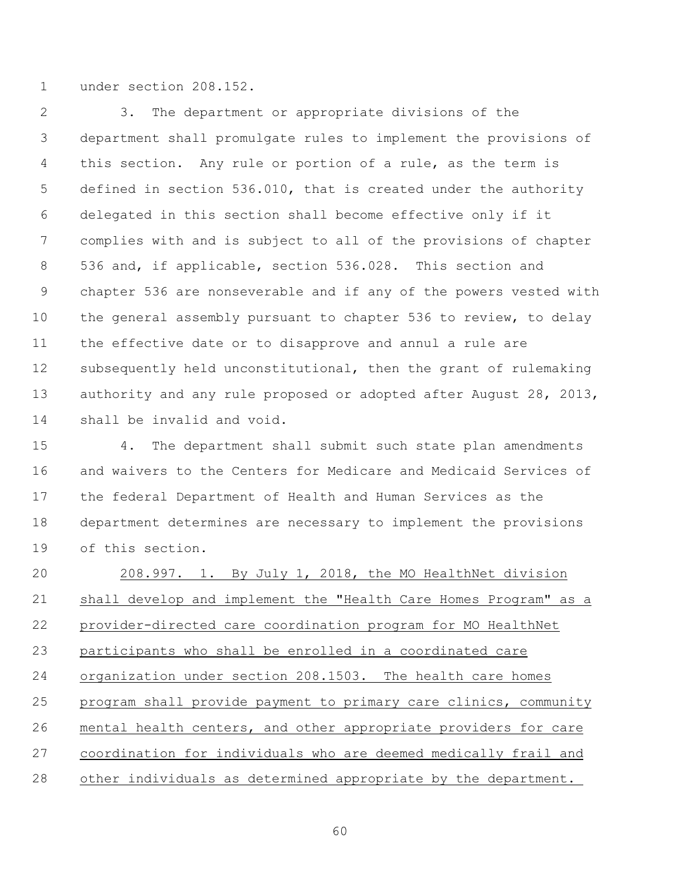under section 208.152.

 3. The department or appropriate divisions of the department shall promulgate rules to implement the provisions of 4 this section. Any rule or portion of a rule, as the term is defined in section 536.010, that is created under the authority delegated in this section shall become effective only if it complies with and is subject to all of the provisions of chapter 536 and, if applicable, section 536.028. This section and chapter 536 are nonseverable and if any of the powers vested with the general assembly pursuant to chapter 536 to review, to delay the effective date or to disapprove and annul a rule are subsequently held unconstitutional, then the grant of rulemaking 13 authority and any rule proposed or adopted after August 28, 2013, shall be invalid and void.

 4. The department shall submit such state plan amendments and waivers to the Centers for Medicare and Medicaid Services of the federal Department of Health and Human Services as the department determines are necessary to implement the provisions of this section.

20 208.997. 1. By July 1, 2018, the MO HealthNet division shall develop and implement the "Health Care Homes Program" as a provider-directed care coordination program for MO HealthNet participants who shall be enrolled in a coordinated care organization under section 208.1503. The health care homes program shall provide payment to primary care clinics, community mental health centers, and other appropriate providers for care 27 coordination for individuals who are deemed medically frail and other individuals as determined appropriate by the department.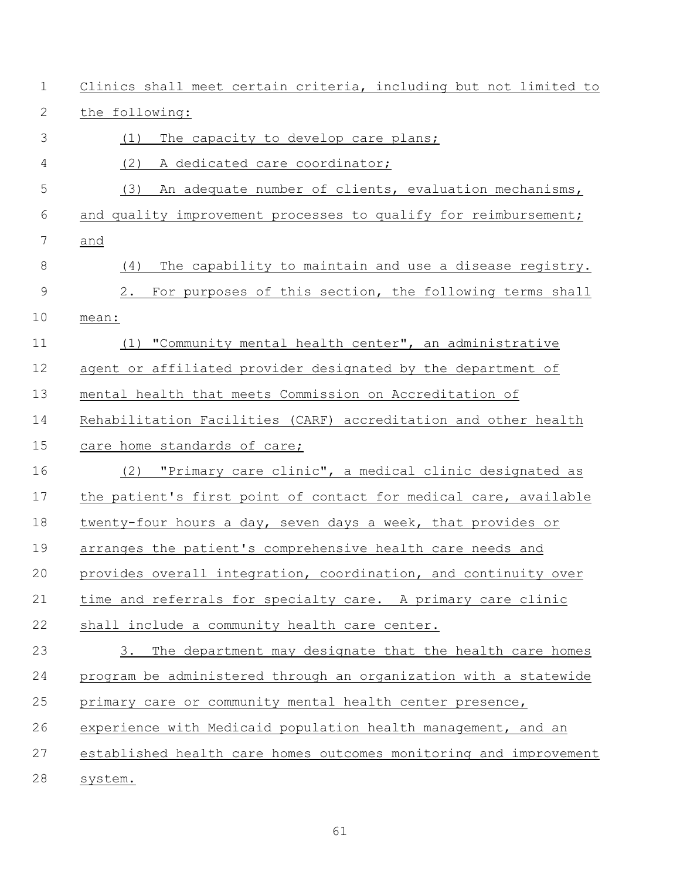| $\mathbf 1$   | Clinics shall meet certain criteria, including but not limited to |
|---------------|-------------------------------------------------------------------|
| 2             | the following:                                                    |
| 3             | The capacity to develop care plans;<br>(1)                        |
| 4             | (2)<br>A dedicated care coordinator;                              |
| 5             | (3)<br>An adequate number of clients, evaluation mechanisms,      |
| 6             | and quality improvement processes to qualify for reimbursement;   |
| 7             | and                                                               |
| $\,8\,$       | The capability to maintain and use a disease registry.<br>(4)     |
| $\mathcal{G}$ | For purposes of this section, the following terms shall<br>2.     |
| 10            | mean:                                                             |
| 11            | (1) "Community mental health center", an administrative           |
| 12            | agent or affiliated provider designated by the department of      |
| 13            | mental health that meets Commission on Accreditation of           |
| 14            | Rehabilitation Facilities (CARF) accreditation and other health   |
| 15            | care home standards of care;                                      |
| 16            | "Primary care clinic", a medical clinic designated as<br>(2)      |
| 17            | the patient's first point of contact for medical care, available  |
| 18            | twenty-four hours a day, seven days a week, that provides or      |
| 19            | arranges the patient's comprehensive health care needs and        |
| 20            | provides overall integration, coordination, and continuity over   |
| 21            | time and referrals for specialty care. A primary care clinic      |
| 22            | shall include a community health care center.                     |
| 23            | The department may designate that the health care homes<br>3.     |
| 24            | program be administered through an organization with a statewide  |
| 25            | primary care or community mental health center presence,          |
| 26            | experience with Medicaid population health management, and an     |
| 27            | established health care homes outcomes monitoring and improvement |
| 28            | system.                                                           |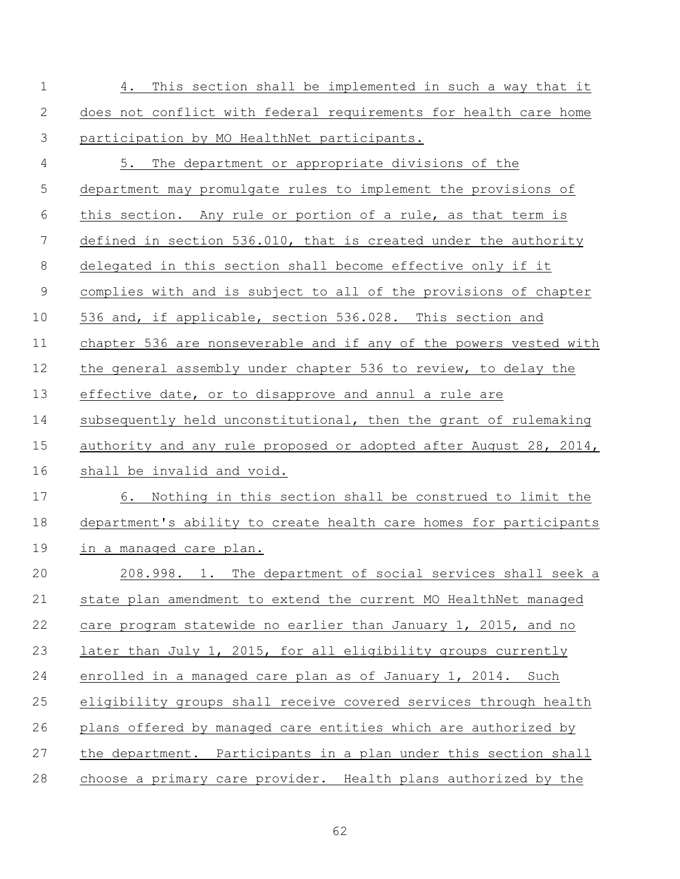| $\mathbf 1$ | This section shall be implemented in such a way that it<br>4.     |
|-------------|-------------------------------------------------------------------|
| 2           | does not conflict with federal requirements for health care home  |
| 3           | participation by MO HealthNet participants.                       |
| 4           | 5. The department or appropriate divisions of the                 |
| 5           | department may promulgate rules to implement the provisions of    |
| 6           | this section. Any rule or portion of a rule, as that term is      |
| 7           | defined in section 536.010, that is created under the authority   |
| 8           | delegated in this section shall become effective only if it       |
| $\mathsf 9$ | complies with and is subject to all of the provisions of chapter  |
| 10          | 536 and, if applicable, section 536.028. This section and         |
| 11          | chapter 536 are nonseverable and if any of the powers vested with |
| 12          | the general assembly under chapter 536 to review, to delay the    |
| 13          | effective date, or to disapprove and annul a rule are             |
| 14          | subsequently held unconstitutional, then the grant of rulemaking  |
| 15          | authority and any rule proposed or adopted after August 28, 2014, |
| 16          | shall be invalid and void.                                        |
| 17          | 6. Nothing in this section shall be construed to limit the        |
| 18          | department's ability to create health care homes for participants |
| 19          | in a managed care plan.                                           |
| 20          | 208.998. 1. The department of social services shall seek a        |
| 21          | state plan amendment to extend the current MO HealthNet managed   |
| 22          | care program statewide no earlier than January 1, 2015, and no    |
| 23          | later than July 1, 2015, for all eligibility groups currently     |
| 24          | enrolled in a managed care plan as of January 1, 2014. Such       |
| 25          | eligibility groups shall receive covered services through health  |
| 26          | plans offered by managed care entities which are authorized by    |
| 27          | the department. Participants in a plan under this section shall   |
| 28          | choose a primary care provider. Health plans authorized by the    |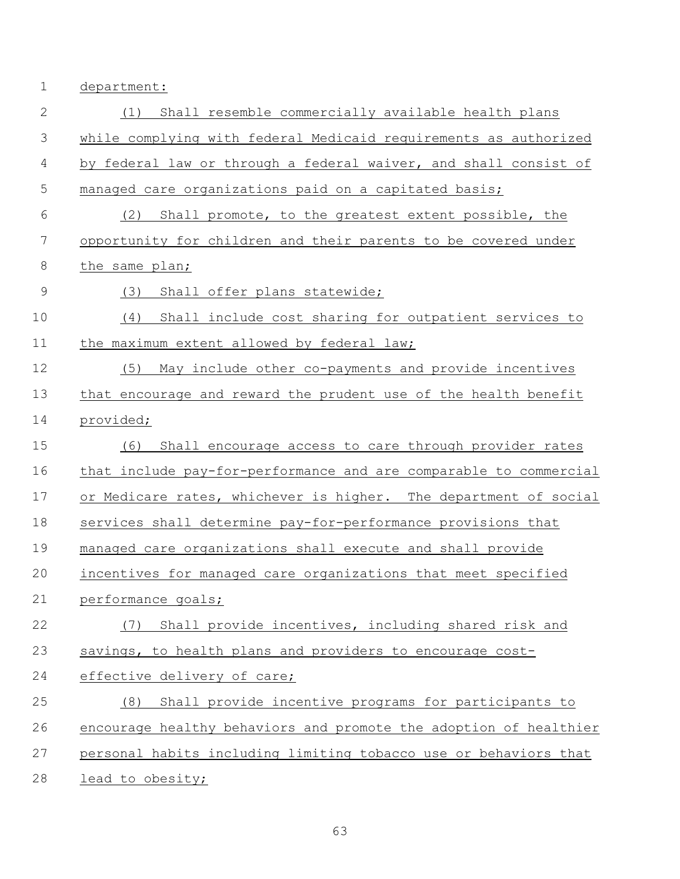department:

| $\mathbf{2}$  | Shall resemble commercially available health plans<br>(1)         |
|---------------|-------------------------------------------------------------------|
| 3             | while complying with federal Medicaid requirements as authorized  |
| 4             | by federal law or through a federal waiver, and shall consist of  |
| 5             | managed care organizations paid on a capitated basis;             |
| 6             | Shall promote, to the greatest extent possible, the<br>(2)        |
| 7             | opportunity for children and their parents to be covered under    |
| $\,8\,$       | the same plan;                                                    |
| $\mathcal{G}$ | (3)<br>Shall offer plans statewide;                               |
| 10            | Shall include cost sharing for outpatient services to<br>(4)      |
| 11            | the maximum extent allowed by federal law;                        |
| 12            | (5)<br>May include other co-payments and provide incentives       |
| 13            | that encourage and reward the prudent use of the health benefit   |
| 14            | provided;                                                         |
| 15            | Shall encourage access to care through provider rates<br>(6)      |
| 16            | that include pay-for-performance and are comparable to commercial |
| 17            | or Medicare rates, whichever is higher. The department of social  |
| 18            | services shall determine pay-for-performance provisions that      |
| 19            | managed care organizations shall execute and shall provide        |
| 20            | incentives for managed care organizations that meet specified     |
| 21            | performance goals;                                                |
| 22            | Shall provide incentives, including shared risk and<br>(7)        |
| 23            | savings, to health plans and providers to encourage cost-         |
| 24            | effective delivery of care;                                       |
| 25            | Shall provide incentive programs for participants to<br>(8)       |
| 26            | encourage healthy behaviors and promote the adoption of healthier |
| 27            | personal habits including limiting tobacco use or behaviors that  |
| 28            | lead to obesity;                                                  |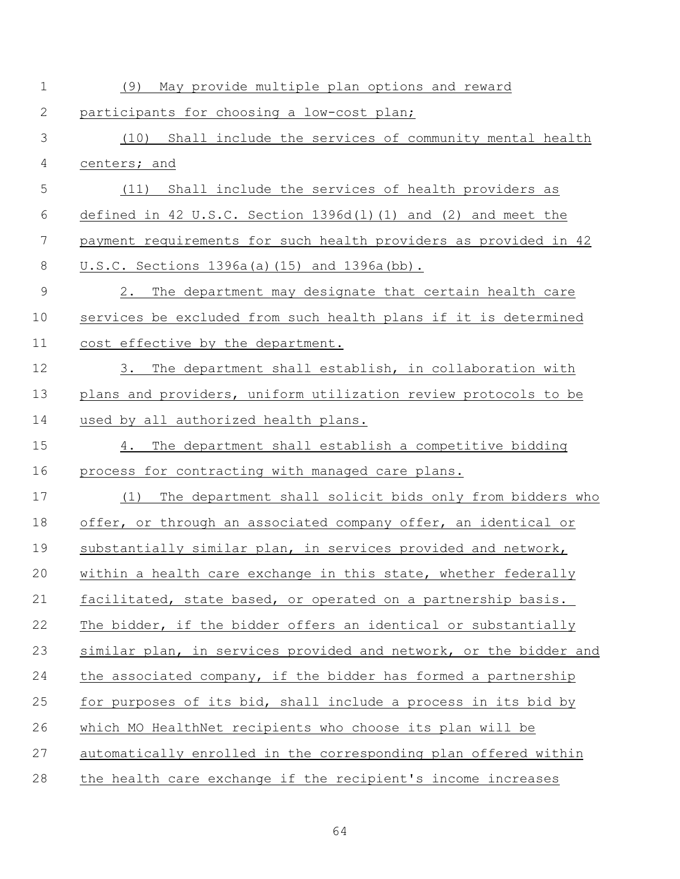| $\mathbf 1$    | (9)<br>May provide multiple plan options and reward                |
|----------------|--------------------------------------------------------------------|
| $\mathbf{2}$   | participants for choosing a low-cost plan;                         |
| 3              | (10) Shall include the services of community mental health         |
| $\overline{4}$ | centers; and                                                       |
| 5              | (11) Shall include the services of health providers as             |
| 6              | defined in 42 U.S.C. Section $1396d(1)(1)$ and $(2)$ and meet the  |
| 7              | payment requirements for such health providers as provided in 42   |
| $\,8\,$        | U.S.C. Sections 1396a(a)(15) and 1396a(bb).                        |
| $\mathsf 9$    | The department may designate that certain health care<br>$2 \cdot$ |
| 10             | services be excluded from such health plans if it is determined    |
| 11             | cost effective by the department.                                  |
| 12             | The department shall establish, in collaboration with<br>3.        |
| 13             | plans and providers, uniform utilization review protocols to be    |
| 14             | used by all authorized health plans.                               |
| 15             | The department shall establish a competitive bidding<br>4.         |
| 16             | process for contracting with managed care plans.                   |
| 17             | The department shall solicit bids only from bidders who<br>(1)     |
| 18             | offer, or through an associated company offer, an identical or     |
| 19             | substantially similar plan, in services provided and network,      |
| 20             | within a health care exchange in this state, whether federally     |
| 21             | facilitated, state based, or operated on a partnership basis.      |
| 22             | The bidder, if the bidder offers an identical or substantially     |
| 23             | similar plan, in services provided and network, or the bidder and  |
| 24             | the associated company, if the bidder has formed a partnership     |
| 25             | for purposes of its bid, shall include a process in its bid by     |
| 26             | which MO HealthNet recipients who choose its plan will be          |
| 27             | automatically enrolled in the corresponding plan offered within    |
| 28             | the health care exchange if the recipient's income increases       |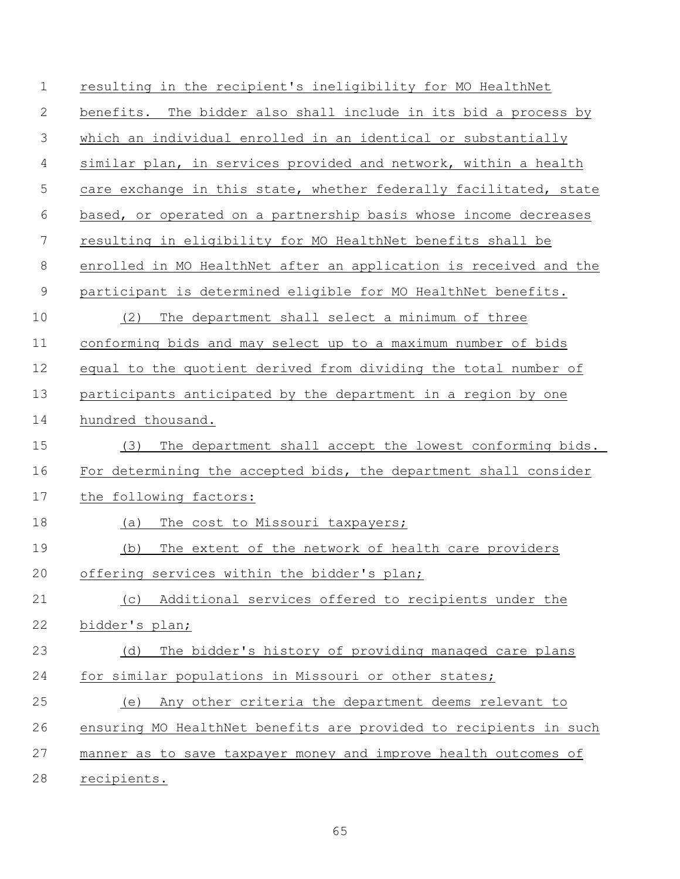| $\mathbf 1$    | resulting in the recipient's ineligibility for MO HealthNet       |
|----------------|-------------------------------------------------------------------|
| $\mathbf{2}$   | benefits. The bidder also shall include in its bid a process by   |
| 3              | which an individual enrolled in an identical or substantially     |
| $\overline{4}$ | similar plan, in services provided and network, within a health   |
| 5              | care exchange in this state, whether federally facilitated, state |
| 6              | based, or operated on a partnership basis whose income decreases  |
| 7              | resulting in eligibility for MO HealthNet benefits shall be       |
| $8\,$          | enrolled in MO HealthNet after an application is received and the |
| $\mathsf 9$    | participant is determined eligible for MO HealthNet benefits.     |
| 10             | The department shall select a minimum of three<br>(2)             |
| 11             | conforming bids and may select up to a maximum number of bids     |
| 12             | equal to the quotient derived from dividing the total number of   |
| 13             | participants anticipated by the department in a region by one     |
| 14             | hundred thousand.                                                 |
| 15             | The department shall accept the lowest conforming bids.<br>(3)    |
| 16             | For determining the accepted bids, the department shall consider  |
| 17             | the following factors:                                            |
| 18             | The cost to Missouri taxpayers;<br>(a)                            |
| 19             | The extent of the network of health care providers<br>(b)         |
| 20             | offering services within the bidder's plan;                       |
| 21             | Additional services offered to recipients under the<br>(C)        |
| 22             | bidder's plan;                                                    |
| 23             | The bidder's history of providing managed care plans<br>(d)       |
| 24             | for similar populations in Missouri or other states;              |
| 25             | Any other criteria the department deems relevant to<br>(e)        |
| 26             | ensuring MO HealthNet benefits are provided to recipients in such |
|                |                                                                   |
| 27             | manner as to save taxpayer money and improve health outcomes of   |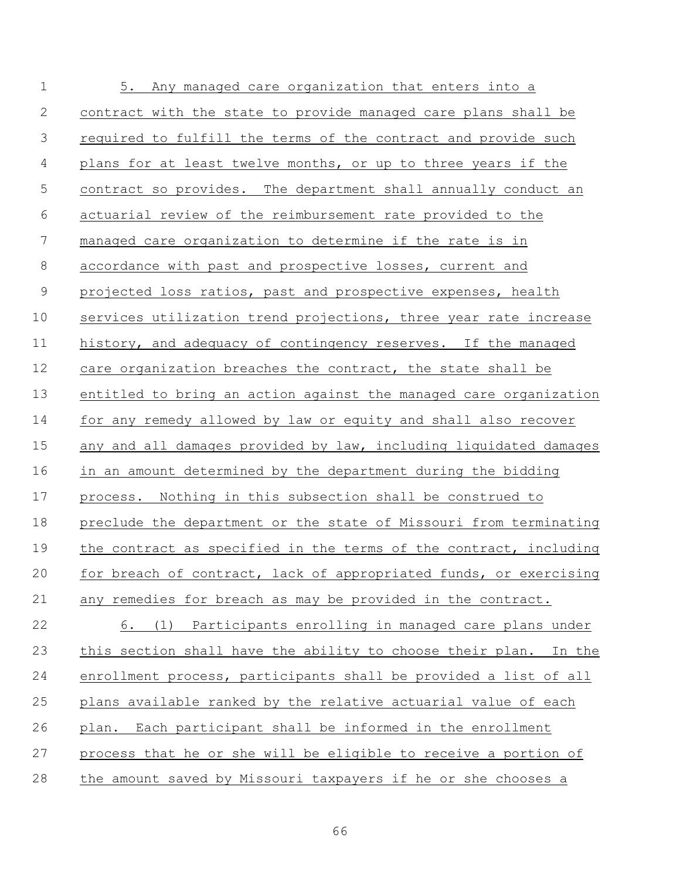| $\mathbf 1$    | 5. Any managed care organization that enters into a               |
|----------------|-------------------------------------------------------------------|
| $\mathbf{2}$   | contract with the state to provide managed care plans shall be    |
| $\mathcal{S}$  | required to fulfill the terms of the contract and provide such    |
| $\overline{4}$ | plans for at least twelve months, or up to three years if the     |
| 5              | contract so provides. The department shall annually conduct an    |
| 6              | actuarial review of the reimbursement rate provided to the        |
| $\overline{7}$ | managed care organization to determine if the rate is in          |
| 8              | accordance with past and prospective losses, current and          |
| $\mathcal{G}$  | projected loss ratios, past and prospective expenses, health      |
| 10             | services utilization trend projections, three year rate increase  |
| 11             | history, and adequacy of contingency reserves. If the managed     |
| 12             | care organization breaches the contract, the state shall be       |
| 13             | entitled to bring an action against the managed care organization |
| 14             | for any remedy allowed by law or equity and shall also recover    |
| 15             | any and all damages provided by law, including liquidated damages |
| 16             | in an amount determined by the department during the bidding      |
| 17             | process. Nothing in this subsection shall be construed to         |
| 18             | preclude the department or the state of Missouri from terminating |
| 19             | the contract as specified in the terms of the contract, including |
| 20             | for breach of contract, lack of appropriated funds, or exercising |
| 21             | any remedies for breach as may be provided in the contract.       |
| 22             | 6. (1) Participants enrolling in managed care plans under         |
| 23             | this section shall have the ability to choose their plan. In the  |
| 24             | enrollment process, participants shall be provided a list of all  |
| 25             | plans available ranked by the relative actuarial value of each    |
| 26             | plan. Each participant shall be informed in the enrollment        |
| 27             | process that he or she will be eligible to receive a portion of   |
| 28             | the amount saved by Missouri taxpayers if he or she chooses a     |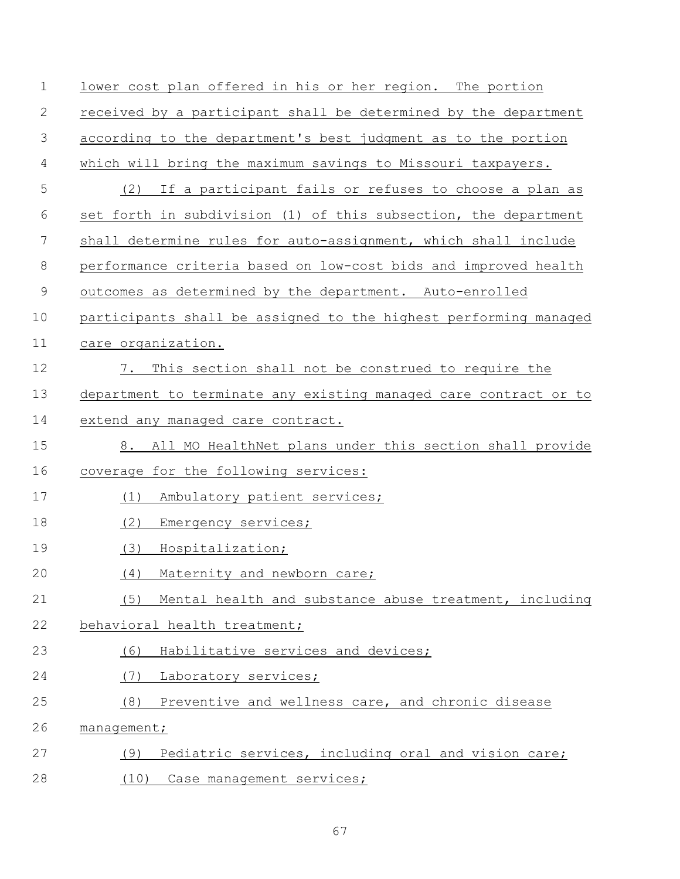| $\mathbf 1$ | lower cost plan offered in his or her region. The portion        |
|-------------|------------------------------------------------------------------|
| 2           | received by a participant shall be determined by the department  |
| 3           | according to the department's best judgment as to the portion    |
| 4           | which will bring the maximum savings to Missouri taxpayers.      |
| 5           | If a participant fails or refuses to choose a plan as<br>(2)     |
| 6           | set forth in subdivision (1) of this subsection, the department  |
| 7           | shall determine rules for auto-assignment, which shall include   |
| $\,8\,$     | performance criteria based on low-cost bids and improved health  |
| $\mathsf 9$ | outcomes as determined by the department. Auto-enrolled          |
| 10          | participants shall be assigned to the highest performing managed |
| 11          | care organization.                                               |
| 12          | This section shall not be construed to require the<br>7.         |
| 13          | department to terminate any existing managed care contract or to |
| 14          | extend any managed care contract.                                |
| 15          | All MO HealthNet plans under this section shall provide<br>8.    |
| 16          | coverage for the following services:                             |
| 17          | Ambulatory patient services;<br>(1)                              |
| 18          | (2)<br>Emergency services;                                       |
| 19          | (3)<br>Hospitalization;                                          |
| 20          | (4) Maternity and newborn care;                                  |
| 21          | (5)<br>Mental health and substance abuse treatment, including    |
| 22          | behavioral health treatment;                                     |
| 23          | Habilitative services and devices;<br>(6)                        |
| 24          | (7)<br>Laboratory services;                                      |
| 25          | (8)<br>Preventive and wellness care, and chronic disease         |
| 26          | management;                                                      |
| 27          | Pediatric services, including oral and vision care;<br>(9)       |
| 28          | (10)<br>Case management services;                                |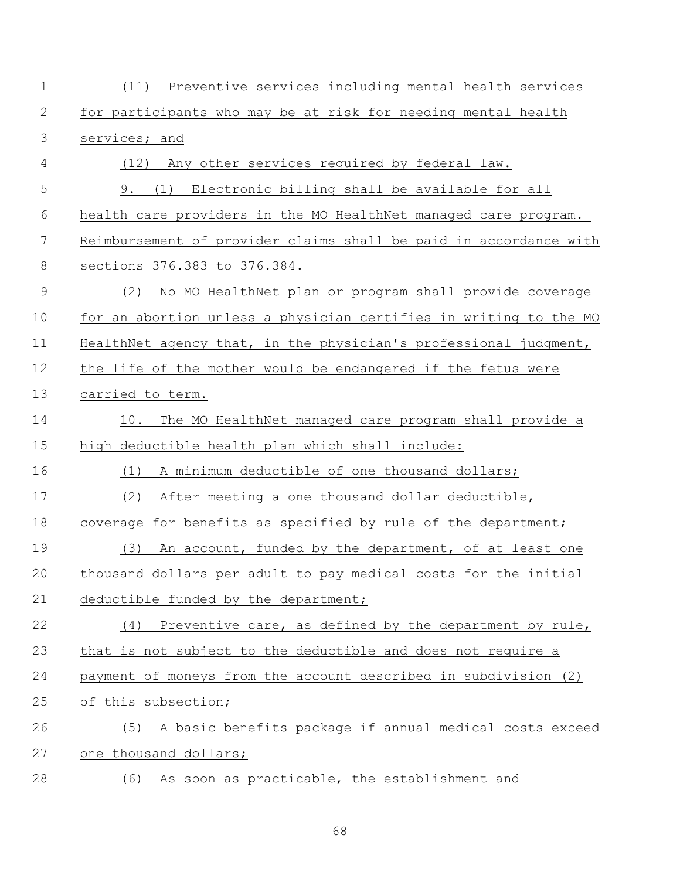| $\mathbf 1$ | (11) Preventive services including mental health services         |
|-------------|-------------------------------------------------------------------|
| 2           | for participants who may be at risk for needing mental health     |
| 3           | services; and                                                     |
| 4           | (12) Any other services required by federal law.                  |
| 5           | 9. (1) Electronic billing shall be available for all              |
| 6           | health care providers in the MO HealthNet managed care program.   |
| 7           | Reimbursement of provider claims shall be paid in accordance with |
| $\,8\,$     | sections 376.383 to 376.384.                                      |
| $\mathsf 9$ | No MO HealthNet plan or program shall provide coverage<br>(2)     |
| 10          | for an abortion unless a physician certifies in writing to the MO |
| 11          | HealthNet agency that, in the physician's professional judgment,  |
| 12          | the life of the mother would be endangered if the fetus were      |
| 13          | carried to term.                                                  |
| 14          | 10.<br>The MO HealthNet managed care program shall provide a      |
| 15          | high deductible health plan which shall include:                  |
| 16          | A minimum deductible of one thousand dollars;<br>(1)              |
| 17          | (2)<br>After meeting a one thousand dollar deductible,            |
| 18          | coverage for benefits as specified by rule of the department;     |
| 19          | (3)<br>An account, funded by the department, of at least one      |
| 20          | thousand dollars per adult to pay medical costs for the initial   |
| 21          | deductible funded by the department;                              |
| 22          | Preventive care, as defined by the department by rule,<br>(4)     |
| 23          | that is not subject to the deductible and does not require a      |
| 24          | payment of moneys from the account described in subdivision (2)   |
| 25          | of this subsection;                                               |
| 26          | A basic benefits package if annual medical costs exceed<br>(5)    |
| 27          | one thousand dollars;                                             |
| 28          | (6) As soon as practicable, the establishment and                 |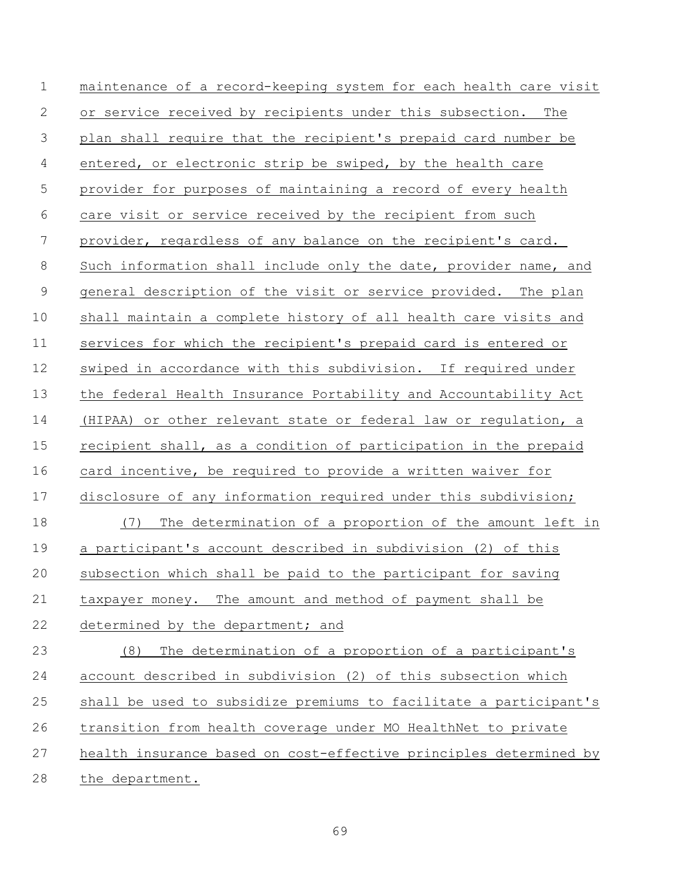| $\mathbf 1$    | maintenance of a record-keeping system for each health care visit |
|----------------|-------------------------------------------------------------------|
| $\mathbf{2}$   | or service received by recipients under this subsection. The      |
| $\mathcal{S}$  | plan shall require that the recipient's prepaid card number be    |
| $\overline{4}$ | entered, or electronic strip be swiped, by the health care        |
| 5              | provider for purposes of maintaining a record of every health     |
| $\sqrt{6}$     | care visit or service received by the recipient from such         |
| 7              | provider, regardless of any balance on the recipient's card.      |
| $8\,$          | Such information shall include only the date, provider name, and  |
| $\mathcal{G}$  | general description of the visit or service provided. The plan    |
| 10             | shall maintain a complete history of all health care visits and   |
| 11             | services for which the recipient's prepaid card is entered or     |
| 12             | swiped in accordance with this subdivision. If required under     |
| 13             | the federal Health Insurance Portability and Accountability Act   |
| 14             | (HIPAA) or other relevant state or federal law or regulation, a   |
| 15             | recipient shall, as a condition of participation in the prepaid   |
| 16             | card incentive, be required to provide a written waiver for       |
| 17             | disclosure of any information required under this subdivision;    |
| 18             | The determination of a proportion of the amount left in<br>(7)    |
| 19             | a participant's account described in subdivision (2) of this      |
| 20             | subsection which shall be paid to the participant for saving      |
| 21             | taxpayer money. The amount and method of payment shall be         |
| 22             | determined by the department; and                                 |
| 23             | The determination of a proportion of a participant's<br>(8)       |
| 24             | account described in subdivision (2) of this subsection which     |
| 25             | shall be used to subsidize premiums to facilitate a participant's |
| 26             | transition from health coverage under MO HealthNet to private     |
| 27             | health insurance based on cost-effective principles determined by |
| 28             | the department.                                                   |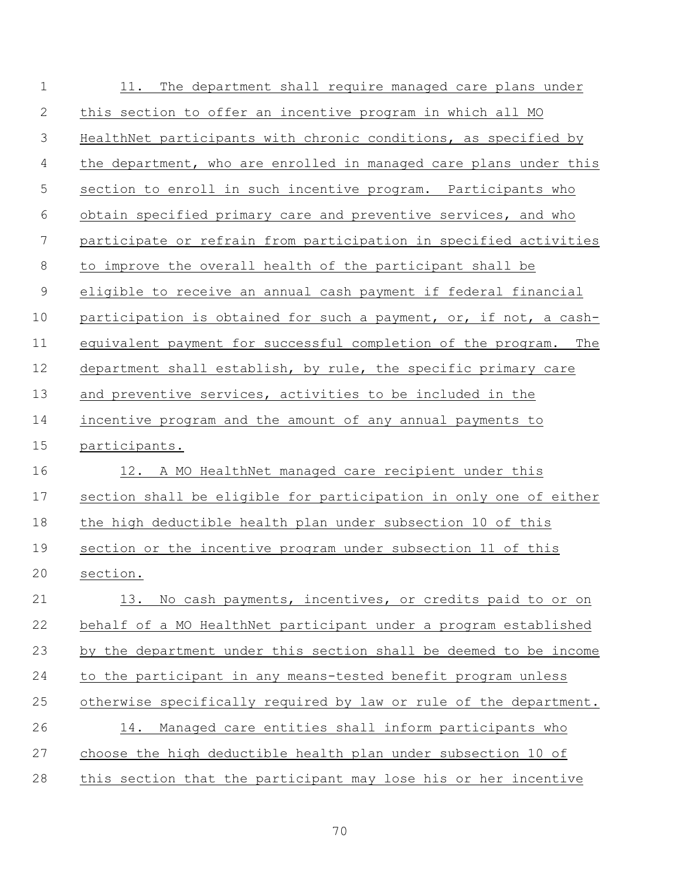| $\mathbf 1$    | 11. The department shall require managed care plans under         |
|----------------|-------------------------------------------------------------------|
| $\mathbf{2}$   | this section to offer an incentive program in which all MO        |
| 3              | HealthNet participants with chronic conditions, as specified by   |
| $\overline{4}$ | the department, who are enrolled in managed care plans under this |
| 5              | section to enroll in such incentive program. Participants who     |
| 6              | obtain specified primary care and preventive services, and who    |
| 7              | participate or refrain from participation in specified activities |
| 8              | to improve the overall health of the participant shall be         |
| $\mathsf 9$    | eligible to receive an annual cash payment if federal financial   |
| 10             | participation is obtained for such a payment, or, if not, a cash- |
| 11             | equivalent payment for successful completion of the program. The  |
| 12             | department shall establish, by rule, the specific primary care    |
| 13             | and preventive services, activities to be included in the         |
| 14             | incentive program and the amount of any annual payments to        |
| 15             | participants.                                                     |
| 16             | 12. A MO HealthNet managed care recipient under this              |
| 17             | section shall be eligible for participation in only one of either |
| 18             | the high deductible health plan under subsection 10 of this       |
| 19             | section or the incentive program under subsection 11 of this      |
| 20             | section.                                                          |
| 21             | 13. No cash payments, incentives, or credits paid to or on        |
| 22             | behalf of a MO HealthNet participant under a program established  |
| 23             | by the department under this section shall be deemed to be income |
| 24             | to the participant in any means-tested benefit program unless     |
| 25             | otherwise specifically required by law or rule of the department. |
| 26             | Managed care entities shall inform participants who<br>14.        |
| 27             | choose the high deductible health plan under subsection 10 of     |
| 28             | this section that the participant may lose his or her incentive   |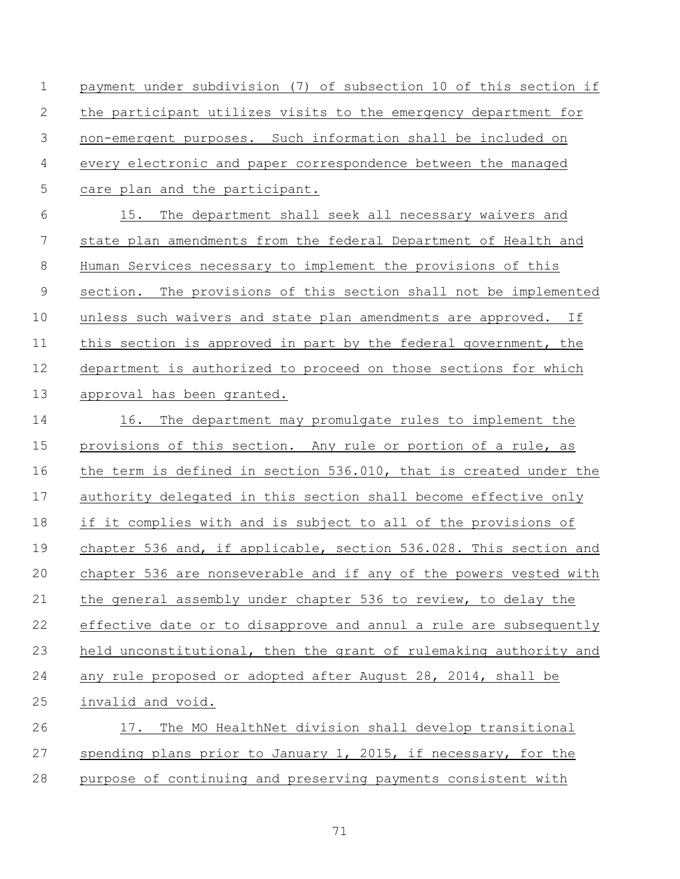payment under subdivision (7) of subsection 10 of this section if the participant utilizes visits to the emergency department for non-emergent purposes. Such information shall be included on every electronic and paper correspondence between the managed care plan and the participant.

 15. The department shall seek all necessary waivers and state plan amendments from the federal Department of Health and Human Services necessary to implement the provisions of this section. The provisions of this section shall not be implemented unless such waivers and state plan amendments are approved. If 11 this section is approved in part by the federal government, the department is authorized to proceed on those sections for which approval has been granted.

 16. The department may promulgate rules to implement the provisions of this section. Any rule or portion of a rule, as the term is defined in section 536.010, that is created under the authority delegated in this section shall become effective only if it complies with and is subject to all of the provisions of 19 chapter 536 and, if applicable, section 536.028. This section and chapter 536 are nonseverable and if any of the powers vested with the general assembly under chapter 536 to review, to delay the effective date or to disapprove and annul a rule are subsequently held unconstitutional, then the grant of rulemaking authority and any rule proposed or adopted after August 28, 2014, shall be invalid and void. 17. The MO HealthNet division shall develop transitional spending plans prior to January 1, 2015, if necessary, for the

purpose of continuing and preserving payments consistent with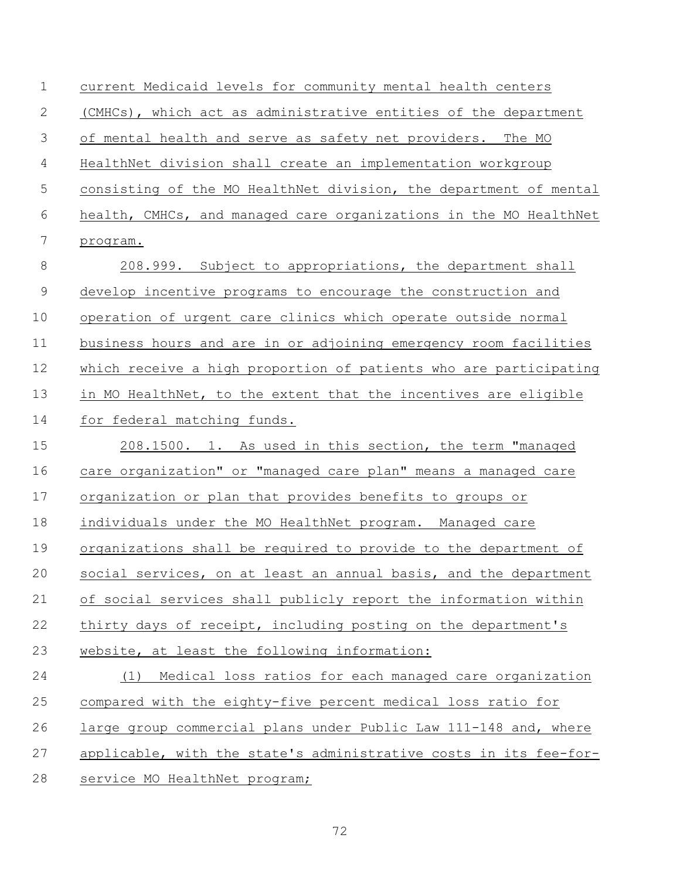current Medicaid levels for community mental health centers (CMHCs), which act as administrative entities of the department of mental health and serve as safety net providers. The MO HealthNet division shall create an implementation workgroup consisting of the MO HealthNet division, the department of mental health, CMHCs, and managed care organizations in the MO HealthNet program. 8 208.999. Subject to appropriations, the department shall 9 develop incentive programs to encourage the construction and operation of urgent care clinics which operate outside normal business hours and are in or adjoining emergency room facilities which receive a high proportion of patients who are participating in MO HealthNet, to the extent that the incentives are eligible for federal matching funds. 208.1500. 1. As used in this section, the term "managed care organization" or "managed care plan" means a managed care organization or plan that provides benefits to groups or individuals under the MO HealthNet program. Managed care organizations shall be required to provide to the department of social services, on at least an annual basis, and the department of social services shall publicly report the information within thirty days of receipt, including posting on the department's website, at least the following information: (1) Medical loss ratios for each managed care organization compared with the eighty-five percent medical loss ratio for large group commercial plans under Public Law 111-148 and, where applicable, with the state's administrative costs in its fee-for-service MO HealthNet program;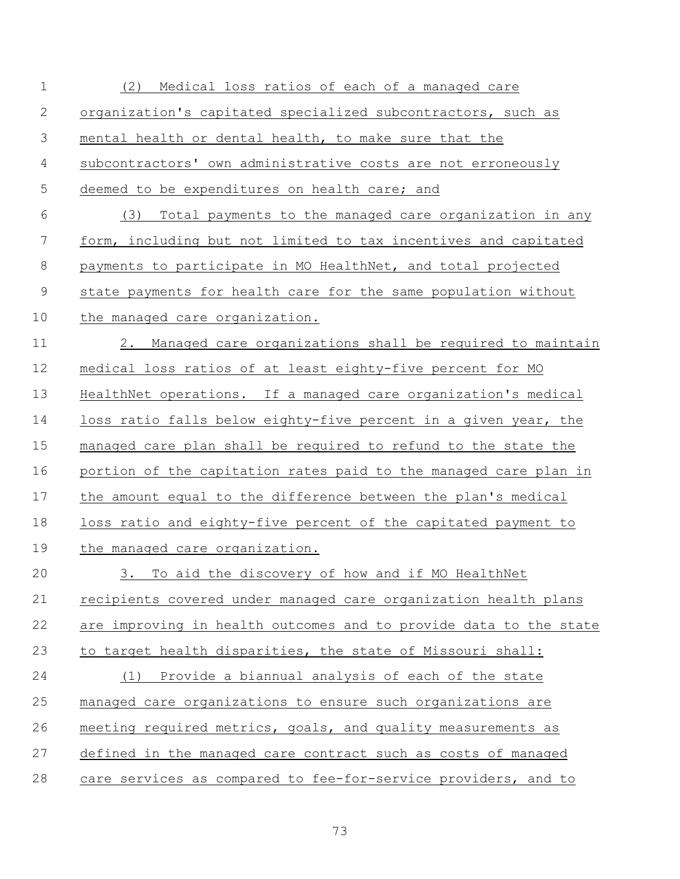| $\mathbf 1$ | Medical loss ratios of each of a managed care<br>(2)              |
|-------------|-------------------------------------------------------------------|
| 2           | organization's capitated specialized subcontractors, such as      |
| 3           | mental health or dental health, to make sure that the             |
| 4           | subcontractors' own administrative costs are not erroneously      |
| 5           | deemed to be expenditures on health care; and                     |
| 6           | (3) Total payments to the managed care organization in any        |
| 7           | form, including but not limited to tax incentives and capitated   |
| $\,8\,$     | payments to participate in MO HealthNet, and total projected      |
| $\mathsf 9$ | state payments for health care for the same population without    |
| 10          | the managed care organization.                                    |
| 11          | Managed care organizations shall be required to maintain<br>2.    |
| 12          | medical loss ratios of at least eighty-five percent for MO        |
| 13          | HealthNet operations. If a managed care organization's medical    |
| 14          | loss ratio falls below eighty-five percent in a given year, the   |
| 15          | managed care plan shall be required to refund to the state the    |
| 16          | portion of the capitation rates paid to the managed care plan in  |
| 17          | the amount equal to the difference between the plan's medical     |
| 18          | loss ratio and eighty-five percent of the capitated payment to    |
| 19          | the managed care organization.                                    |
| 20          | 3.<br>To aid the discovery of how and if MO HealthNet             |
| 21          | recipients covered under managed care organization health plans   |
| 22          | are improving in health outcomes and to provide data to the state |
| 23          | to target health disparities, the state of Missouri shall:        |
| 24          | Provide a biannual analysis of each of the state<br>(1)           |
| 25          | managed care organizations to ensure such organizations are       |
| 26          | meeting required metrics, goals, and quality measurements as      |
| 27          | defined in the managed care contract such as costs of managed     |
| 28          | care services as compared to fee-for-service providers, and to    |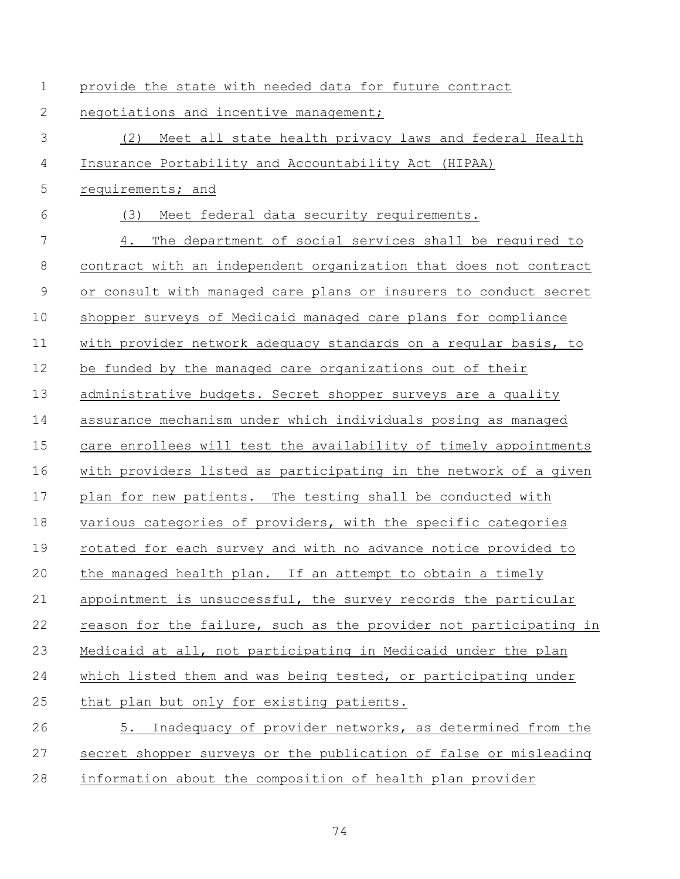| $\mathbf 1$ | provide the state with needed data for future contract            |
|-------------|-------------------------------------------------------------------|
| 2           | negotiations and incentive management;                            |
| 3           | (2)<br>Meet all state health privacy laws and federal Health      |
| 4           | Insurance Portability and Accountability Act (HIPAA)              |
| 5           | requirements; and                                                 |
| 6           | (3)<br>Meet federal data security requirements.                   |
| 7           | The department of social services shall be required to<br>4.      |
| $8\,$       | contract with an independent organization that does not contract  |
| $\mathsf 9$ | or consult with managed care plans or insurers to conduct secret  |
| 10          | shopper surveys of Medicaid managed care plans for compliance     |
| 11          | with provider network adequacy standards on a regular basis, to   |
| 12          | be funded by the managed care organizations out of their          |
| 13          | administrative budgets. Secret shopper surveys are a quality      |
| 14          | assurance mechanism under which individuals posing as managed     |
| 15          | care enrollees will test the availability of timely appointments  |
| 16          | with providers listed as participating in the network of a given  |
| 17          | plan for new patients. The testing shall be conducted with        |
| 18          | various categories of providers, with the specific categories     |
| 19          | rotated for each survey and with no advance notice provided to    |
| 20          | the managed health plan. If an attempt to obtain a timely         |
| 21          | appointment is unsuccessful, the survey records the particular    |
| 22          | reason for the failure, such as the provider not participating in |
| 23          | Medicaid at all, not participating in Medicaid under the plan     |
| 24          | which listed them and was being tested, or participating under    |
| 25          | that plan but only for existing patients.                         |
| 26          | Inadequacy of provider networks, as determined from the<br>5.     |
| 27          | secret shopper surveys or the publication of false or misleading  |
| 28          | information about the composition of health plan provider         |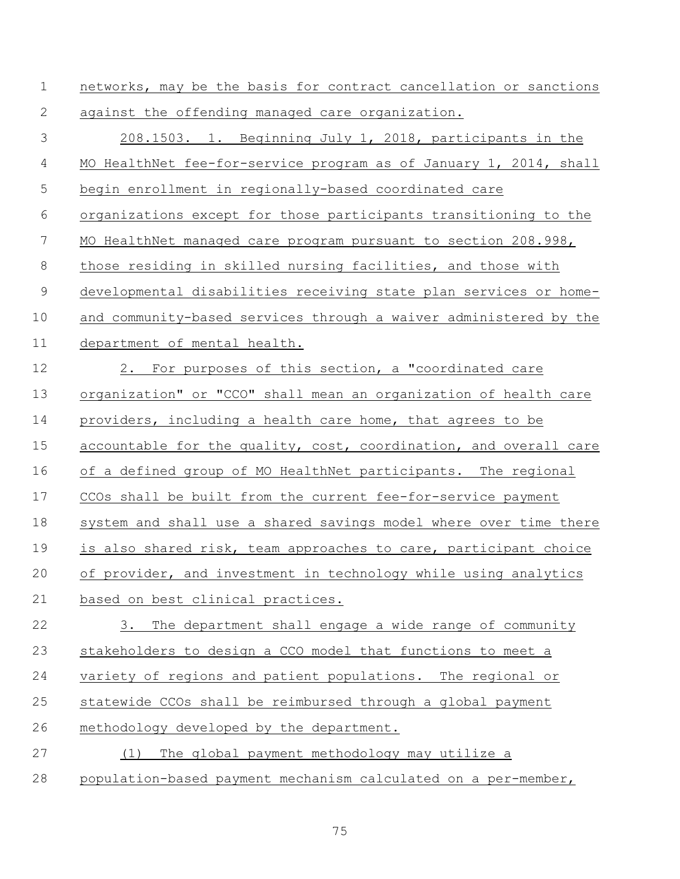| $\mathbf 1$ | networks, may be the basis for contract cancellation or sanctions |
|-------------|-------------------------------------------------------------------|
| 2           | against the offending managed care organization.                  |
| 3           | 208.1503. 1. Beginning July 1, 2018, participants in the          |
| 4           | MO HealthNet fee-for-service program as of January 1, 2014, shall |
| 5           | begin enrollment in regionally-based coordinated care             |
| 6           | organizations except for those participants transitioning to the  |
| 7           | MO HealthNet managed care program pursuant to section 208.998,    |
| $\,8\,$     | those residing in skilled nursing facilities, and those with      |
| $\mathsf 9$ | developmental disabilities receiving state plan services or home- |
| 10          | and community-based services through a waiver administered by the |
| 11          | department of mental health.                                      |
| 12          | 2. For purposes of this section, a "coordinated care              |
| 13          | organization" or "CCO" shall mean an organization of health care  |
| 14          | providers, including a health care home, that agrees to be        |
| 15          | accountable for the quality, cost, coordination, and overall care |
| 16          | of a defined group of MO HealthNet participants. The regional     |
| 17          | CCOs shall be built from the current fee-for-service payment      |
| 18          | system and shall use a shared savings model where over time there |
| 19          | is also shared risk, team approaches to care, participant choice  |
| 20          | of provider, and investment in technology while using analytics   |
| 21          | based on best clinical practices.                                 |
| 22          | 3.<br>The department shall engage a wide range of community       |
| 23          | stakeholders to design a CCO model that functions to meet a       |
| 24          | variety of regions and patient populations. The regional or       |
| 25          | statewide CCOs shall be reimbursed through a global payment       |
| 26          | methodology developed by the department.                          |
| 27          | The global payment methodology may utilize a<br>(1)               |
| 28          | population-based payment mechanism calculated on a per-member,    |
|             |                                                                   |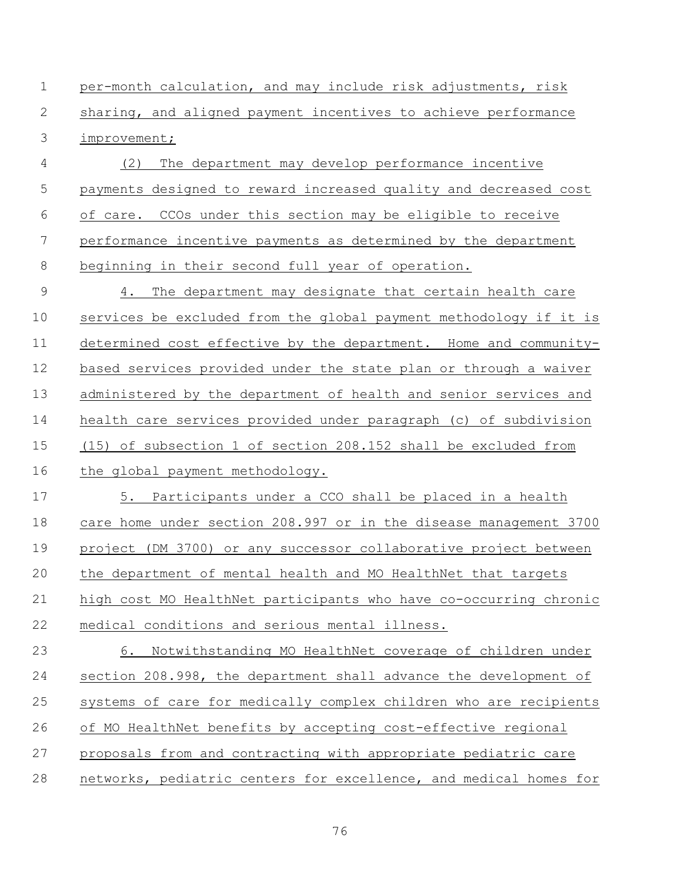per-month calculation, and may include risk adjustments, risk sharing, and aligned payment incentives to achieve performance improvement;

 (2) The department may develop performance incentive payments designed to reward increased quality and decreased cost of care. CCOs under this section may be eligible to receive performance incentive payments as determined by the department beginning in their second full year of operation.

 4. The department may designate that certain health care services be excluded from the global payment methodology if it is determined cost effective by the department. Home and community- based services provided under the state plan or through a waiver administered by the department of health and senior services and health care services provided under paragraph (c) of subdivision (15) of subsection 1 of section 208.152 shall be excluded from the global payment methodology.

 5. Participants under a CCO shall be placed in a health care home under section 208.997 or in the disease management 3700 project (DM 3700) or any successor collaborative project between the department of mental health and MO HealthNet that targets high cost MO HealthNet participants who have co-occurring chronic medical conditions and serious mental illness.

 6. Notwithstanding MO HealthNet coverage of children under section 208.998, the department shall advance the development of systems of care for medically complex children who are recipients of MO HealthNet benefits by accepting cost-effective regional proposals from and contracting with appropriate pediatric care networks, pediatric centers for excellence, and medical homes for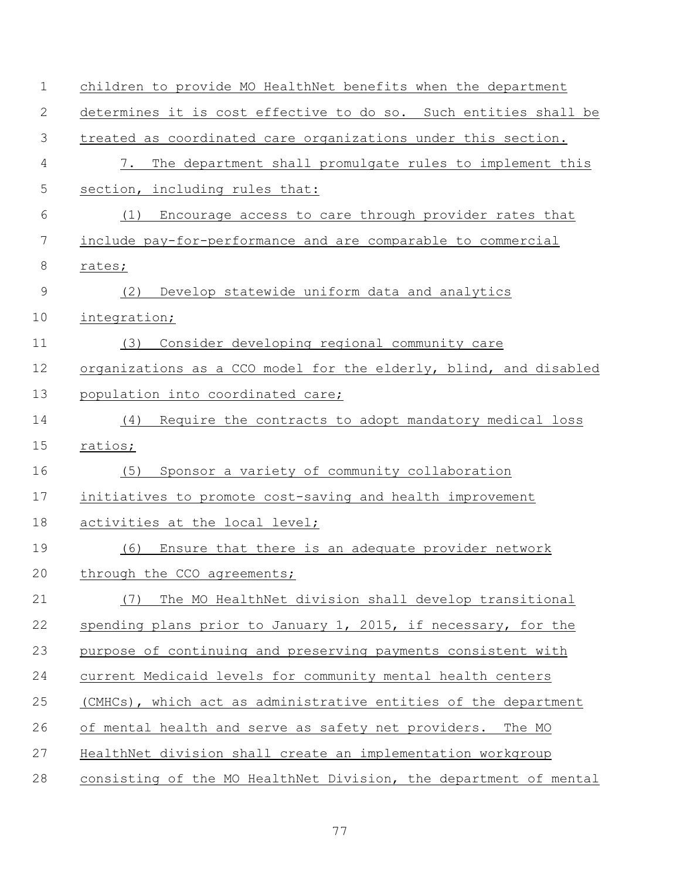| $\mathbf 1$   | children to provide MO HealthNet benefits when the department     |
|---------------|-------------------------------------------------------------------|
| 2             | determines it is cost effective to do so. Such entities shall be  |
| 3             | treated as coordinated care organizations under this section.     |
| 4             | The department shall promulgate rules to implement this<br>7.     |
| 5             | section, including rules that:                                    |
| 6             | Encourage access to care through provider rates that<br>(1)       |
| 7             | include pay-for-performance and are comparable to commercial      |
| 8             | rates;                                                            |
| $\mathcal{G}$ | Develop statewide uniform data and analytics<br>(2)               |
| 10            | integration;                                                      |
| 11            | Consider developing regional community care<br>(3)                |
| 12            | organizations as a CCO model for the elderly, blind, and disabled |
| 13            | population into coordinated care;                                 |
| 14            | (4) Require the contracts to adopt mandatory medical loss         |
| 15            | ratios;                                                           |
| 16            | Sponsor a variety of community collaboration<br>(5)               |
| 17            | initiatives to promote cost-saving and health improvement         |
| 18            | activities at the local level;                                    |
| 19            | Ensure that there is an adequate provider network<br>(6)          |
| 20            | through the CCO agreements;                                       |
| 21            | (7) The MO HealthNet division shall develop transitional          |
| 22            | spending plans prior to January 1, 2015, if necessary, for the    |
| 23            | purpose of continuing and preserving payments consistent with     |
| 24            | current Medicaid levels for community mental health centers       |
| 25            | (CMHCs), which act as administrative entities of the department   |
| 26            | of mental health and serve as safety net providers. The MO        |
| 27            | HealthNet division shall create an implementation workgroup       |
| 28            | consisting of the MO HealthNet Division, the department of mental |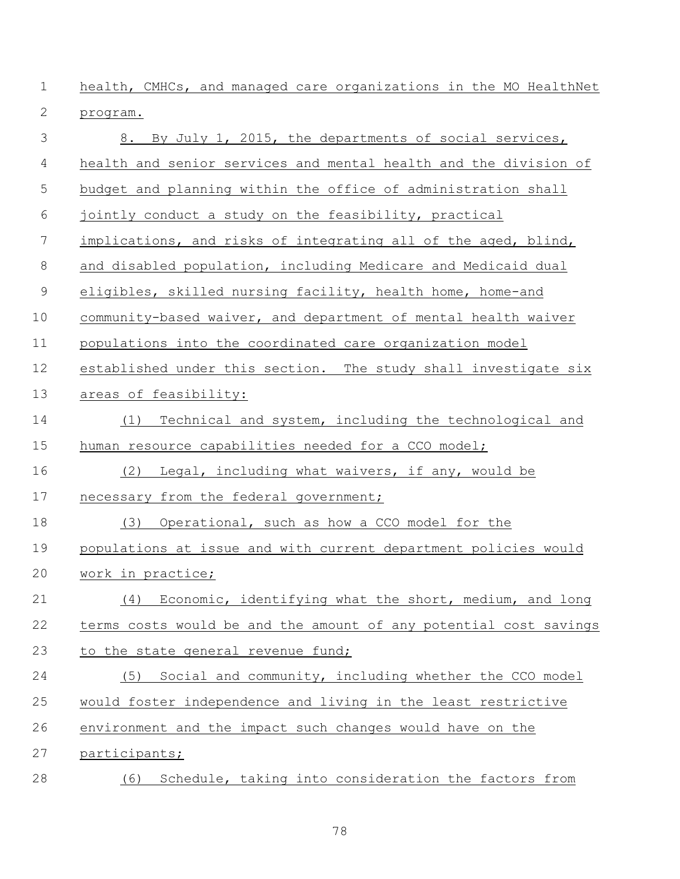health, CMHCs, and managed care organizations in the MO HealthNet program.

| 3           | 8. By July 1, 2015, the departments of social services,           |
|-------------|-------------------------------------------------------------------|
| 4           | health and senior services and mental health and the division of  |
| 5           | budget and planning within the office of administration shall     |
| 6           | jointly conduct a study on the feasibility, practical             |
| 7           | implications, and risks of integrating all of the aged, blind,    |
| $8\,$       | and disabled population, including Medicare and Medicaid dual     |
| $\mathsf 9$ | eligibles, skilled nursing facility, health home, home-and        |
| 10          | community-based waiver, and department of mental health waiver    |
| 11          | populations into the coordinated care organization model          |
| 12          | established under this section. The study shall investigate six   |
| 13          | areas of feasibility:                                             |
| 14          | Technical and system, including the technological and<br>(1)      |
| 15          | human resource capabilities needed for a CCO model;               |
| 16          | Legal, including what waivers, if any, would be<br>(2)            |
| 17          | necessary from the federal government;                            |
| 18          | (3) Operational, such as how a CCO model for the                  |
| 19          | populations at issue and with current department policies would   |
| 20          | work in practice;                                                 |
| 21          | (4) Economic, identifying what the short, medium, and long        |
| 22          | terms costs would be and the amount of any potential cost savings |
| 23          | to the state general revenue fund;                                |
| 24          | (5) Social and community, including whether the CCO model         |
| 25          | would foster independence and living in the least restrictive     |
| 26          | environment and the impact such changes would have on the         |
| 27          | participants;                                                     |
| 28          | Schedule, taking into consideration the factors from<br>(6)       |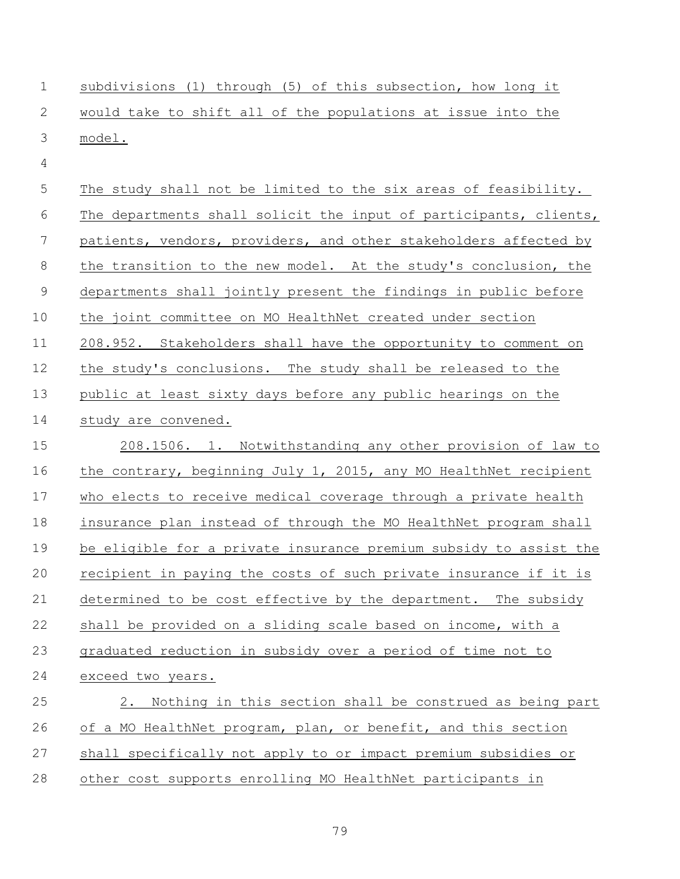| $\mathbf 1$    | subdivisions (1) through (5) of this subsection, how long it      |
|----------------|-------------------------------------------------------------------|
| 2              | would take to shift all of the populations at issue into the      |
| 3              | model.                                                            |
| $\overline{4}$ |                                                                   |
| 5              | The study shall not be limited to the six areas of feasibility.   |
| 6              | The departments shall solicit the input of participants, clients, |
| 7              | patients, vendors, providers, and other stakeholders affected by  |
| 8              | the transition to the new model. At the study's conclusion, the   |
| $\mathsf 9$    | departments shall jointly present the findings in public before   |
| 10             | the joint committee on MO HealthNet created under section         |
| 11             | 208.952. Stakeholders shall have the opportunity to comment on    |
| 12             | the study's conclusions. The study shall be released to the       |
| 13             | public at least sixty days before any public hearings on the      |
| 14             | study are convened.                                               |
| 15             | 208.1506. 1. Notwithstanding any other provision of law to        |
| 16             | the contrary, beginning July 1, 2015, any MO HealthNet recipient  |
| 17             | who elects to receive medical coverage through a private health   |
| 18             | insurance plan instead of through the MO HealthNet program shall  |
| 19             | be eligible for a private insurance premium subsidy to assist the |
| 20             | recipient in paying the costs of such private insurance if it is  |
| 21             | determined to be cost effective by the department. The subsidy    |
| 22             | shall be provided on a sliding scale based on income, with a      |
| 23             | graduated reduction in subsidy over a period of time not to       |
| 24             | exceed two years.                                                 |
| 25             | Nothing in this section shall be construed as being part<br>$2$ . |
| 26             | of a MO HealthNet program, plan, or benefit, and this section     |
| 27             | shall specifically not apply to or impact premium subsidies or    |
| 28             | other cost supports enrolling MO HealthNet participants in        |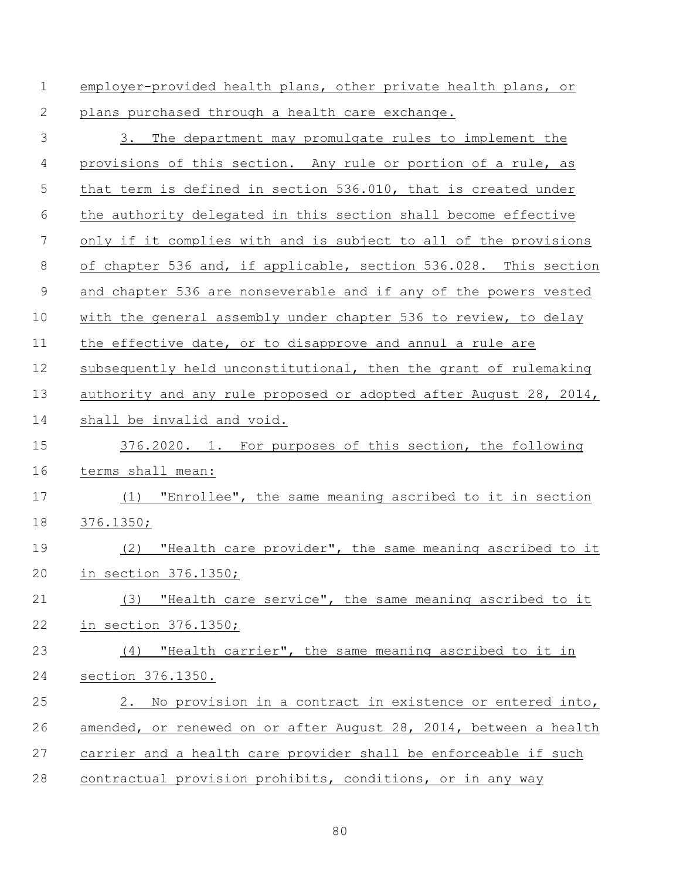| $\mathbf 1$ | employer-provided health plans, other private health plans, or    |
|-------------|-------------------------------------------------------------------|
| 2           | plans purchased through a health care exchange.                   |
| 3           | 3. The department may promulgate rules to implement the           |
| 4           | provisions of this section. Any rule or portion of a rule, as     |
| 5           | that term is defined in section 536.010, that is created under    |
| 6           | the authority delegated in this section shall become effective    |
| 7           | only if it complies with and is subject to all of the provisions  |
| 8           | of chapter 536 and, if applicable, section 536.028. This section  |
| $\mathsf 9$ | and chapter 536 are nonseverable and if any of the powers vested  |
| 10          | with the general assembly under chapter 536 to review, to delay   |
| 11          | the effective date, or to disapprove and annul a rule are         |
| 12          | subsequently held unconstitutional, then the grant of rulemaking  |
| 13          | authority and any rule proposed or adopted after August 28, 2014, |
| 14          | shall be invalid and void.                                        |
| 15          | 376.2020. 1. For purposes of this section, the following          |
| 16          | terms shall mean:                                                 |
| 17          | (1) "Enrollee", the same meaning ascribed to it in section        |
| 18          | 376.1350;                                                         |
| 19          | "Health care provider", the same meaning ascribed to it<br>(2)    |
| 20          | in section 376.1350;                                              |
| 21          | (3) "Health care service", the same meaning ascribed to it        |
| 22          | in section 376.1350;                                              |
| 23          | (4) "Health carrier", the same meaning ascribed to it in          |
| 24          | section 376.1350.                                                 |
| 25          | 2. No provision in a contract in existence or entered into,       |
| 26          | amended, or renewed on or after August 28, 2014, between a health |
| 27          | carrier and a health care provider shall be enforceable if such   |
| 28          | contractual provision prohibits, conditions, or in any way        |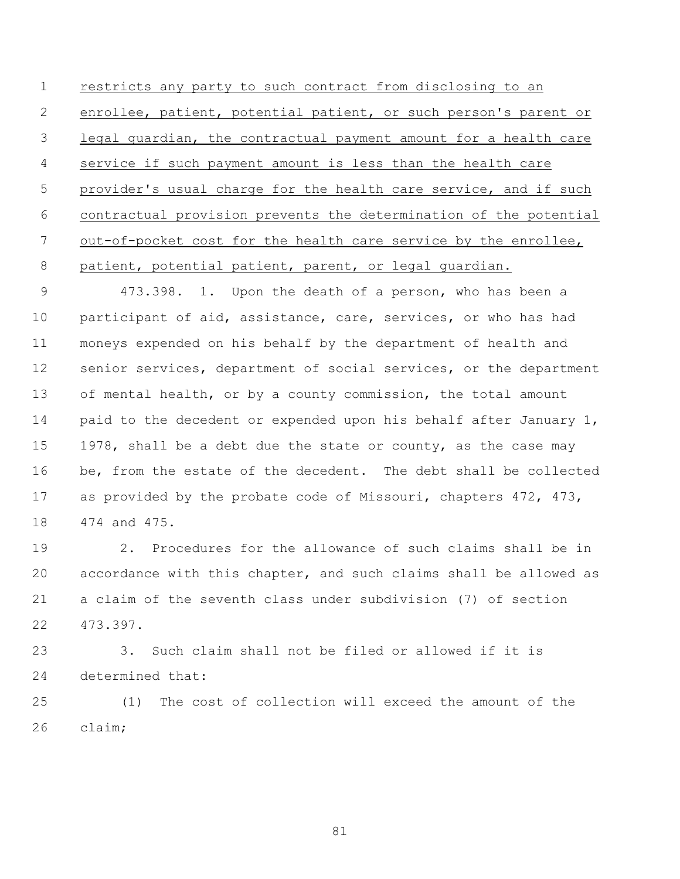restricts any party to such contract from disclosing to an enrollee, patient, potential patient, or such person's parent or legal guardian, the contractual payment amount for a health care service if such payment amount is less than the health care provider's usual charge for the health care service, and if such contractual provision prevents the determination of the potential 7 out-of-pocket cost for the health care service by the enrollee, patient, potential patient, parent, or legal guardian.

 473.398. 1. Upon the death of a person, who has been a participant of aid, assistance, care, services, or who has had moneys expended on his behalf by the department of health and 12 senior services, department of social services, or the department of mental health, or by a county commission, the total amount 14 paid to the decedent or expended upon his behalf after January 1, 15 1978, shall be a debt due the state or county, as the case may be, from the estate of the decedent. The debt shall be collected 17 as provided by the probate code of Missouri, chapters 472, 473, 474 and 475.

 2. Procedures for the allowance of such claims shall be in accordance with this chapter, and such claims shall be allowed as a claim of the seventh class under subdivision (7) of section 473.397.

 3. Such claim shall not be filed or allowed if it is determined that:

 (1) The cost of collection will exceed the amount of the claim;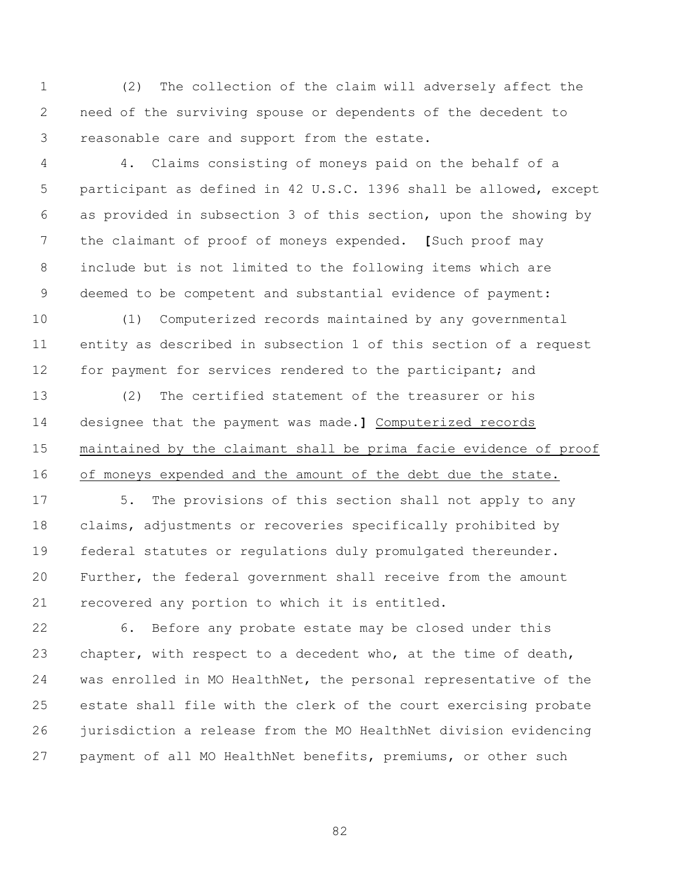(2) The collection of the claim will adversely affect the need of the surviving spouse or dependents of the decedent to reasonable care and support from the estate.

 4. Claims consisting of moneys paid on the behalf of a participant as defined in 42 U.S.C. 1396 shall be allowed, except as provided in subsection 3 of this section, upon the showing by the claimant of proof of moneys expended. **[**Such proof may include but is not limited to the following items which are deemed to be competent and substantial evidence of payment:

 (1) Computerized records maintained by any governmental entity as described in subsection 1 of this section of a request 12 for payment for services rendered to the participant; and

 (2) The certified statement of the treasurer or his designee that the payment was made.**]** Computerized records maintained by the claimant shall be prima facie evidence of proof of moneys expended and the amount of the debt due the state.

 5. The provisions of this section shall not apply to any claims, adjustments or recoveries specifically prohibited by federal statutes or regulations duly promulgated thereunder. Further, the federal government shall receive from the amount recovered any portion to which it is entitled.

 6. Before any probate estate may be closed under this chapter, with respect to a decedent who, at the time of death, was enrolled in MO HealthNet, the personal representative of the estate shall file with the clerk of the court exercising probate jurisdiction a release from the MO HealthNet division evidencing payment of all MO HealthNet benefits, premiums, or other such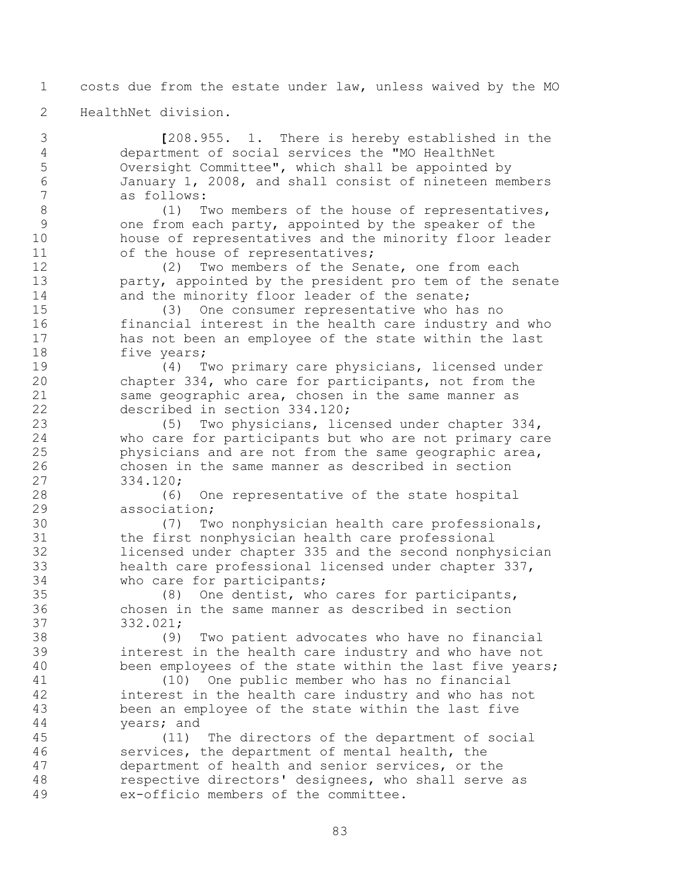costs due from the estate under law, unless waived by the MO

HealthNet division.

 **[**208.955. 1. There is hereby established in the department of social services the "MO HealthNet Oversight Committee", which shall be appointed by January 1, 2008, and shall consist of nineteen members as follows:

8 (1) Two members of the house of representatives, one from each party, appointed by the speaker of the house of representatives and the minority floor leader 11 of the house of representatives;

 (2) Two members of the Senate, one from each party, appointed by the president pro tem of the senate 14 and the minority floor leader of the senate;

 (3) One consumer representative who has no financial interest in the health care industry and who has not been an employee of the state within the last 18 five years;

 (4) Two primary care physicians, licensed under chapter 334, who care for participants, not from the 21 same geographic area, chosen in the same manner as described in section 334.120;

 (5) Two physicians, licensed under chapter 334, who care for participants but who are not primary care physicians and are not from the same geographic area, chosen in the same manner as described in section 334.120;

 (6) One representative of the state hospital association;

 (7) Two nonphysician health care professionals, the first nonphysician health care professional licensed under chapter 335 and the second nonphysician health care professional licensed under chapter 337, who care for participants;

 (8) One dentist, who cares for participants, chosen in the same manner as described in section 332.021;

 (9) Two patient advocates who have no financial interest in the health care industry and who have not been employees of the state within the last five years;

 (10) One public member who has no financial interest in the health care industry and who has not been an employee of the state within the last five years; and

 (11) The directors of the department of social services, the department of mental health, the department of health and senior services, or the respective directors' designees, who shall serve as ex-officio members of the committee.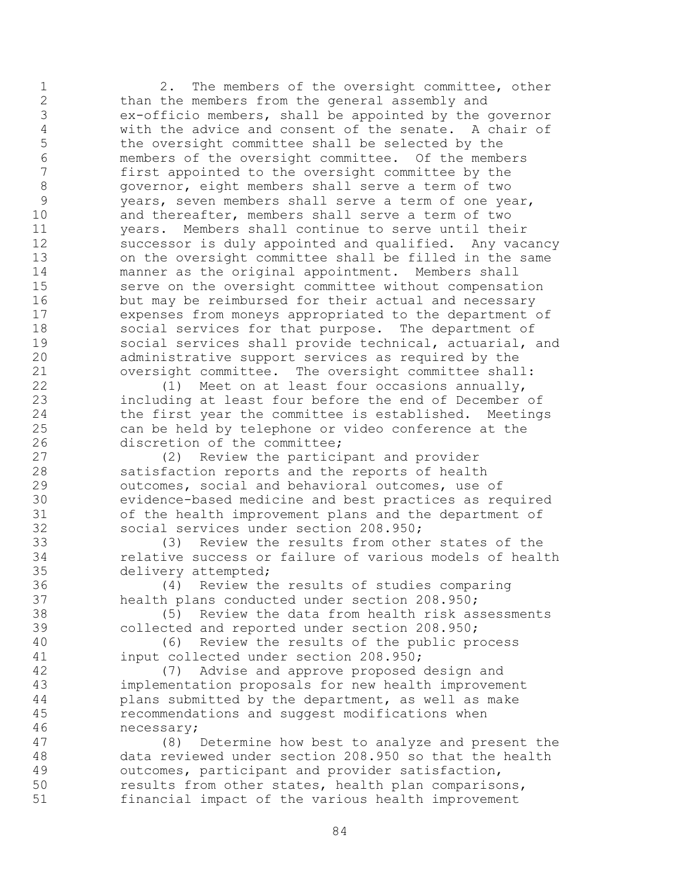2. The members of the oversight committee, other than the members from the general assembly and 3 ex-officio members, shall be appointed by the governor<br>4 with the advice and consent of the senate. A chair of 4 with the advice and consent of the senate. A chair of<br>5 the oversight committee shall be selected by the the oversight committee shall be selected by the 6 members of the oversight committee. Of the members<br>7 first appointed to the oversight committee by the first appointed to the oversight committee by the governor, eight members shall serve a term of two years, seven members shall serve a term of one year, and thereafter, members shall serve a term of two years. Members shall continue to serve until their successor is duly appointed and qualified. Any vacancy on the oversight committee shall be filled in the same manner as the original appointment. Members shall serve on the oversight committee without compensation but may be reimbursed for their actual and necessary expenses from moneys appropriated to the department of social services for that purpose. The department of social services shall provide technical, actuarial, and administrative support services as required by the oversight committee. The oversight committee shall:

 (1) Meet on at least four occasions annually, including at least four before the end of December of 24 the first year the committee is established. Meetings can be held by telephone or video conference at the discretion of the committee;

 (2) Review the participant and provider satisfaction reports and the reports of health outcomes, social and behavioral outcomes, use of evidence-based medicine and best practices as required of the health improvement plans and the department of social services under section 208.950;

 (3) Review the results from other states of the relative success or failure of various models of health delivery attempted;

 (4) Review the results of studies comparing health plans conducted under section 208.950;

 (5) Review the data from health risk assessments collected and reported under section 208.950;

 (6) Review the results of the public process input collected under section 208.950;

 (7) Advise and approve proposed design and implementation proposals for new health improvement plans submitted by the department, as well as make recommendations and suggest modifications when necessary;

 (8) Determine how best to analyze and present the data reviewed under section 208.950 so that the health outcomes, participant and provider satisfaction, results from other states, health plan comparisons, financial impact of the various health improvement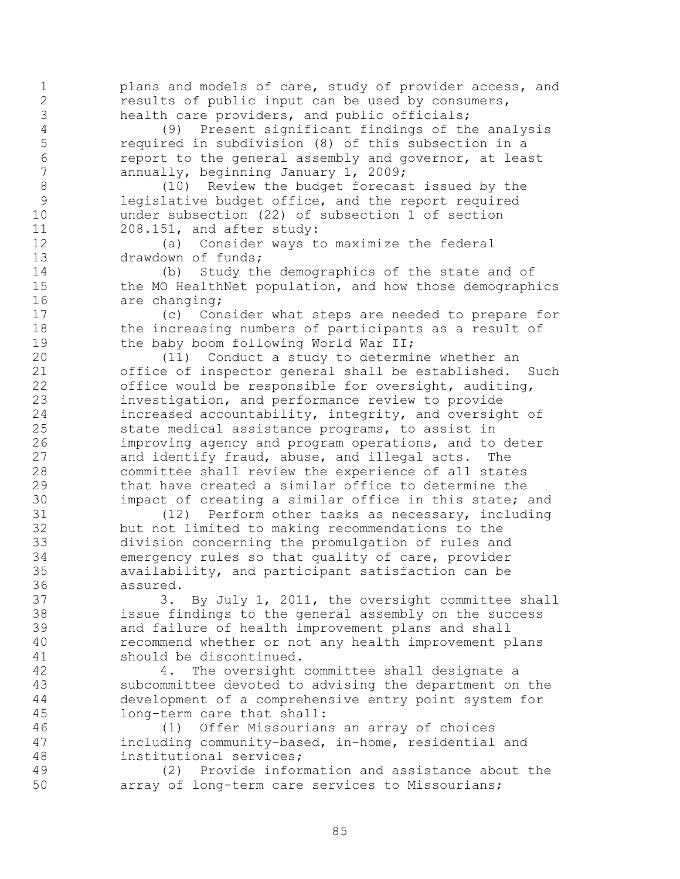plans and models of care, study of provider access, and results of public input can be used by consumers, health care providers, and public officials;

 (9) Present significant findings of the analysis required in subdivision (8) of this subsection in a 6 report to the general assembly and governor, at least<br>7 annually, beginning January 1, 2009; annually, beginning January 1, 2009;

 (10) Review the budget forecast issued by the legislative budget office, and the report required under subsection (22) of subsection 1 of section 208.151, and after study:

 (a) Consider ways to maximize the federal 13 drawdown of funds;

 (b) Study the demographics of the state and of 15 the MO HealthNet population, and how those demographics 16 are changing;

 (c) Consider what steps are needed to prepare for the increasing numbers of participants as a result of 19 the baby boom following World War II;

 (11) Conduct a study to determine whether an office of inspector general shall be established. Such office would be responsible for oversight, auditing, investigation, and performance review to provide increased accountability, integrity, and oversight of state medical assistance programs, to assist in improving agency and program operations, and to deter and identify fraud, abuse, and illegal acts. The committee shall review the experience of all states that have created a similar office to determine the 30 impact of creating a similar office in this state; and<br>31 (12) Perform other tasks as necessary, including

 $(12)$  Perform other tasks as necessary, including but not limited to making recommendations to the division concerning the promulgation of rules and emergency rules so that quality of care, provider availability, and participant satisfaction can be assured.

 3. By July 1, 2011, the oversight committee shall issue findings to the general assembly on the success and failure of health improvement plans and shall recommend whether or not any health improvement plans should be discontinued.

 4. The oversight committee shall designate a subcommittee devoted to advising the department on the development of a comprehensive entry point system for long-term care that shall:

 (1) Offer Missourians an array of choices including community-based, in-home, residential and institutional services;

 (2) Provide information and assistance about the array of long-term care services to Missourians;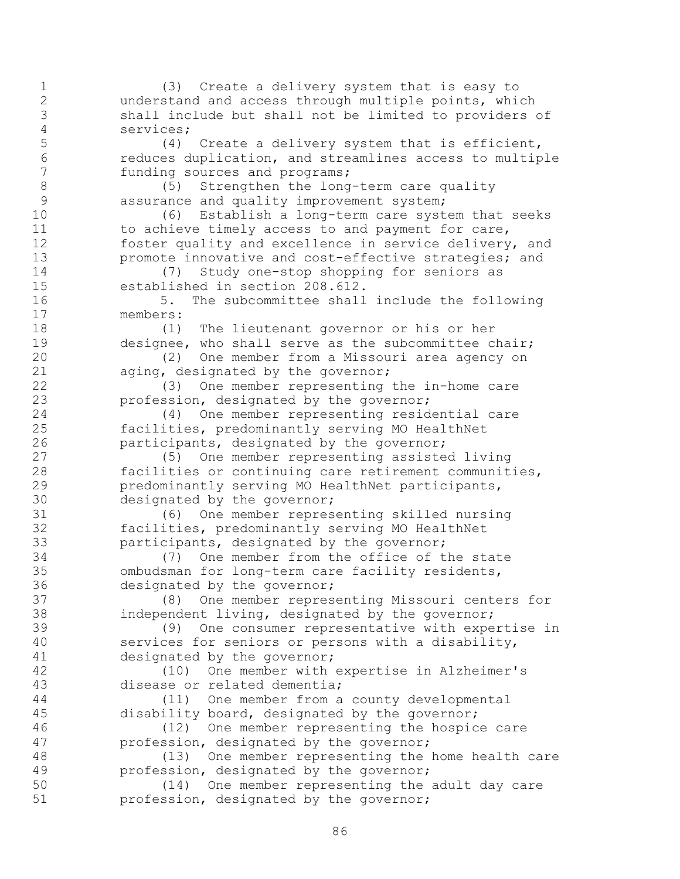(3) Create a delivery system that is easy to understand and access through multiple points, which shall include but shall not be limited to providers of services; (4) Create a delivery system that is efficient, 6 reduces duplication, and streamlines access to multiple<br>7 funding sources and programs; funding sources and programs; 8 (5) Strengthen the long-term care quality 9 assurance and quality improvement system; (6) Establish a long-term care system that seeks 11 to achieve timely access to and payment for care, foster quality and excellence in service delivery, and **promote innovative and cost-effective strategies; and**  (7) Study one-stop shopping for seniors as established in section 208.612. 5. The subcommittee shall include the following members: (1) The lieutenant governor or his or her designee, who shall serve as the subcommittee chair; (2) One member from a Missouri area agency on aging, designated by the governor; (3) One member representing the in-home care profession, designated by the governor; (4) One member representing residential care facilities, predominantly serving MO HealthNet participants, designated by the governor; (5) One member representing assisted living facilities or continuing care retirement communities, predominantly serving MO HealthNet participants, 30 designated by the governor;<br>31 (6) One member repres (6) One member representing skilled nursing facilities, predominantly serving MO HealthNet participants, designated by the governor; (7) One member from the office of the state ombudsman for long-term care facility residents, designated by the governor; (8) One member representing Missouri centers for independent living, designated by the governor; (9) One consumer representative with expertise in services for seniors or persons with a disability, designated by the governor; (10) One member with expertise in Alzheimer's disease or related dementia; (11) One member from a county developmental disability board, designated by the governor; (12) One member representing the hospice care profession, designated by the governor; (13) One member representing the home health care profession, designated by the governor; (14) One member representing the adult day care profession, designated by the governor;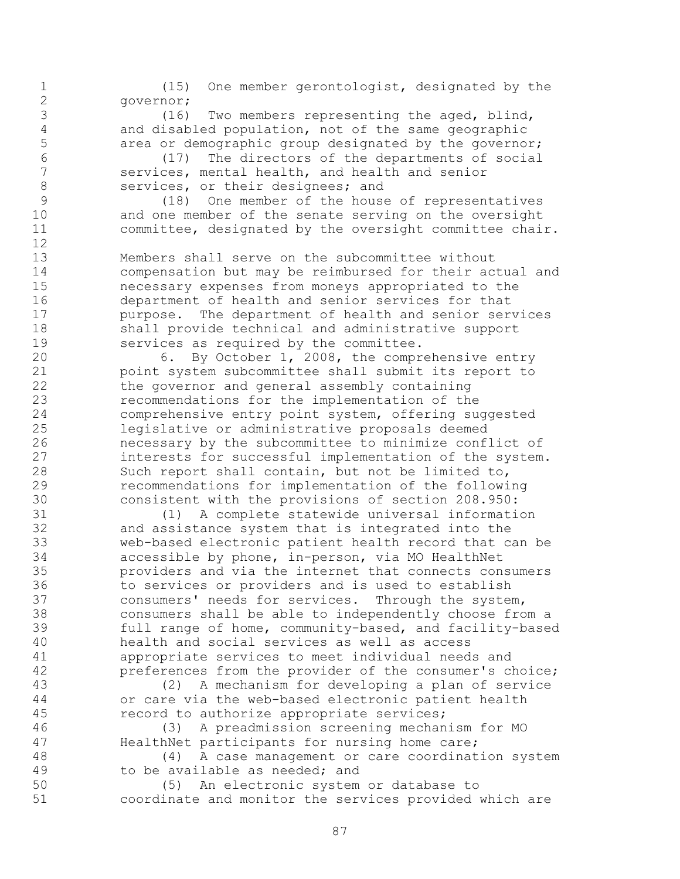(15) One member gerontologist, designated by the governor;

3 (16) Two members representing the aged, blind,<br>4 and disabled population, not of the same geographic and disabled population, not of the same geographic area or demographic group designated by the governor;

 (17) The directors of the departments of social services, mental health, and health and senior 8 services, or their designees; and

 (18) One member of the house of representatives and one member of the senate serving on the oversight committee, designated by the oversight committee chair.

 Members shall serve on the subcommittee without compensation but may be reimbursed for their actual and necessary expenses from moneys appropriated to the department of health and senior services for that **purpose.** The department of health and senior services shall provide technical and administrative support services as required by the committee.

 6. By October 1, 2008, the comprehensive entry point system subcommittee shall submit its report to the governor and general assembly containing recommendations for the implementation of the comprehensive entry point system, offering suggested legislative or administrative proposals deemed necessary by the subcommittee to minimize conflict of interests for successful implementation of the system. Such report shall contain, but not be limited to, recommendations for implementation of the following 30 consistent with the provisions of section 208.950:<br>31 (1) A complete statewide universal informati

 (1) A complete statewide universal information and assistance system that is integrated into the web-based electronic patient health record that can be accessible by phone, in-person, via MO HealthNet providers and via the internet that connects consumers to services or providers and is used to establish consumers' needs for services. Through the system, consumers shall be able to independently choose from a full range of home, community-based, and facility-based health and social services as well as access appropriate services to meet individual needs and preferences from the provider of the consumer's choice;

 (2) A mechanism for developing a plan of service or care via the web-based electronic patient health record to authorize appropriate services;

 (3) A preadmission screening mechanism for MO 47 HealthNet participants for nursing home care;

 (4) A case management or care coordination system 49 to be available as needed; and

 (5) An electronic system or database to coordinate and monitor the services provided which are